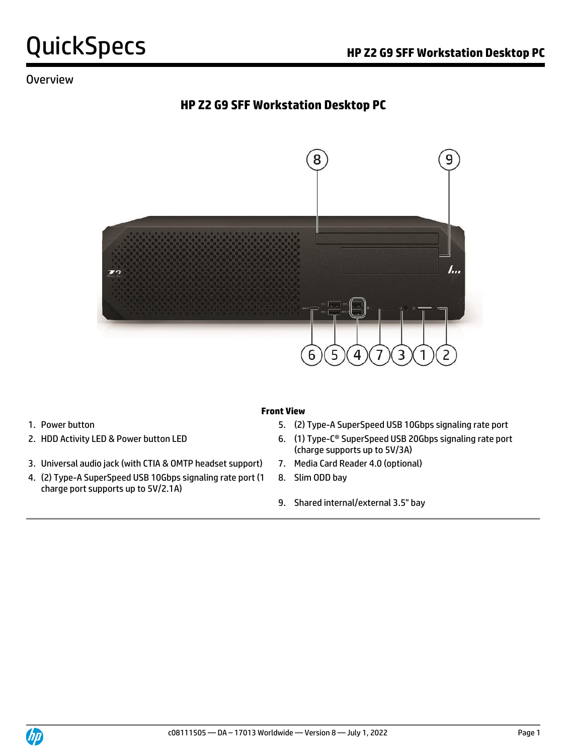#### Overview

### **HP Z2 G9 SFF Workstation Desktop PC**



- 
- 
- 3. Universal audio jack (with CTIA & OMTP headset support) 7. Media Card Reader 4.0 (optional)
- 4. (2) Type-A SuperSpeed USB 10Gbps signaling rate port (1 charge port supports up to 5V/2.1A)

#### **Front View**

- 1. Power button **1.** Power button 5. (2) Type-A SuperSpeed USB 10Gbps signaling rate port
- 2. HDD Activity LED & Power button LED 6. (1) Type-C® SuperSpeed USB 20Gbps signaling rate port (charge supports up to 5V/3A)
	-
	- 8. Slim ODD bay
	- 9. Shared internal/external 3.5" bay

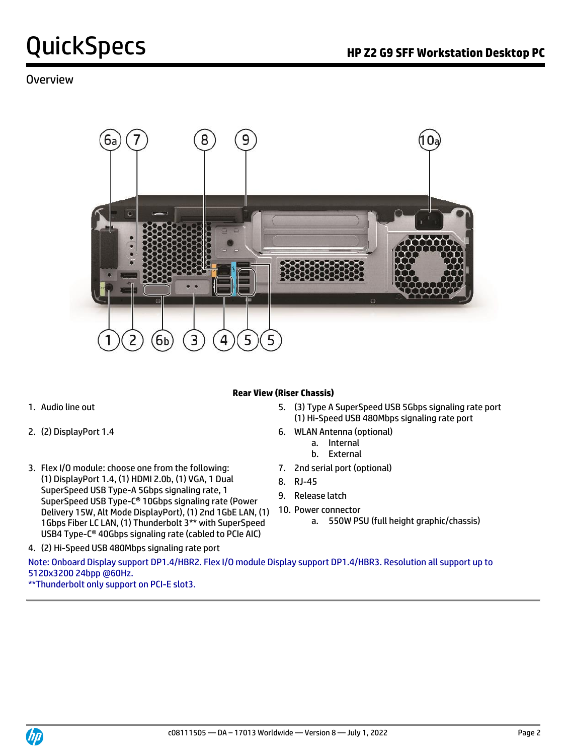#### Overview



#### **Rear View (Riser Chassis)**

- 
- 
- 3. Flex I/O module: choose one from the following: (1) DisplayPort 1.4, (1) HDMI 2.0b, (1) VGA, 1 Dual SuperSpeed USB Type-A 5Gbps signaling rate, 1 SuperSpeed USB Type-C® 10Gbps signaling rate (Power Delivery 15W, Alt Mode DisplayPort), (1) 2nd 1GbE LAN, (1) 1Gbps Fiber LC LAN, (1) Thunderbolt 3\*\* with SuperSpeed USB4 Type-C® 40Gbps signaling rate (cabled to PCIe AIC)
- 1. Audio line out 5. (3) Type A SuperSpeed USB 5Gbps signaling rate port (1) Hi-Speed USB 480Mbps signaling rate port
- 2. (2) DisplayPort 1.4 6. WLAN Antenna (optional)
	- a. Internal
	- b. External
	- 7. 2nd serial port (optional)
	- 8. RJ-45
	- 9. Release latch
	- 10. Power connector
		- a. 550W PSU (full height graphic/chassis)

4. (2) Hi-Speed USB 480Mbps signaling rate port

Note: Onboard Display support DP1.4/HBR2. Flex I/O module Display support DP1.4/HBR3. Resolution all support up to 5120x3200 24bpp @60Hz.

\*\*Thunderbolt only support on PCI-E slot3.

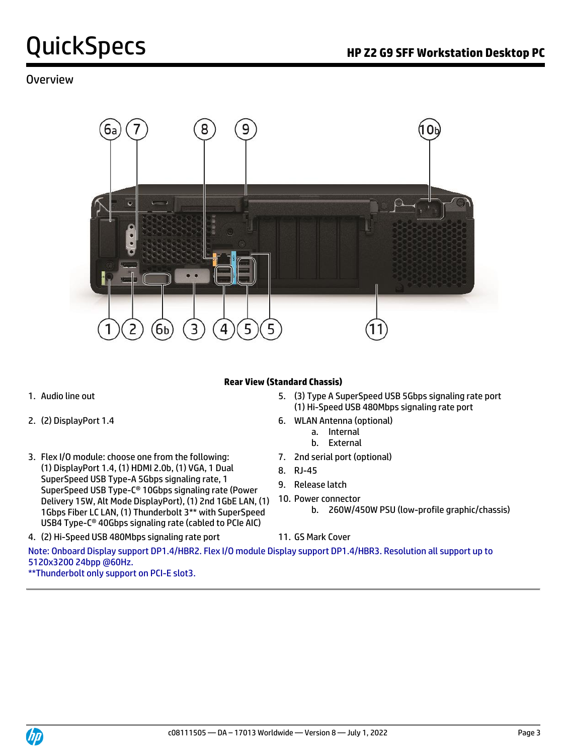#### Overview



#### **Rear View (Standard Chassis)**

- 
- 
- 3. Flex I/O module: choose one from the following: (1) DisplayPort 1.4, (1) HDMI 2.0b, (1) VGA, 1 Dual SuperSpeed USB Type-A 5Gbps signaling rate, 1 SuperSpeed USB Type-C® 10Gbps signaling rate (Power Delivery 15W, Alt Mode DisplayPort), (1) 2nd 1GbE LAN, (1) 1Gbps Fiber LC LAN, (1) Thunderbolt 3\*\* with SuperSpeed USB4 Type-C® 40Gbps signaling rate (cabled to PCIe AIC)
- 1. Audio line out 5. (3) Type A SuperSpeed USB 5Gbps signaling rate port (1) Hi-Speed USB 480Mbps signaling rate port
- 2. (2) DisplayPort 1.4 6. WLAN Antenna (optional)
	- a. Internal b. External
	-
	- 7. 2nd serial port (optional)
	- 8. RJ-45
	- 9. Release latch
	- 10. Power connector
		- b. 260W/450W PSU (low-profile graphic/chassis)
- 4. (2) Hi-Speed USB 480Mbps signaling rate port 11. GS Mark Cover

Note: Onboard Display support DP1.4/HBR2. Flex I/O module Display support DP1.4/HBR3. Resolution all support up to 5120x3200 24bpp @60Hz.

\*\*Thunderbolt only support on PCI-E slot3.

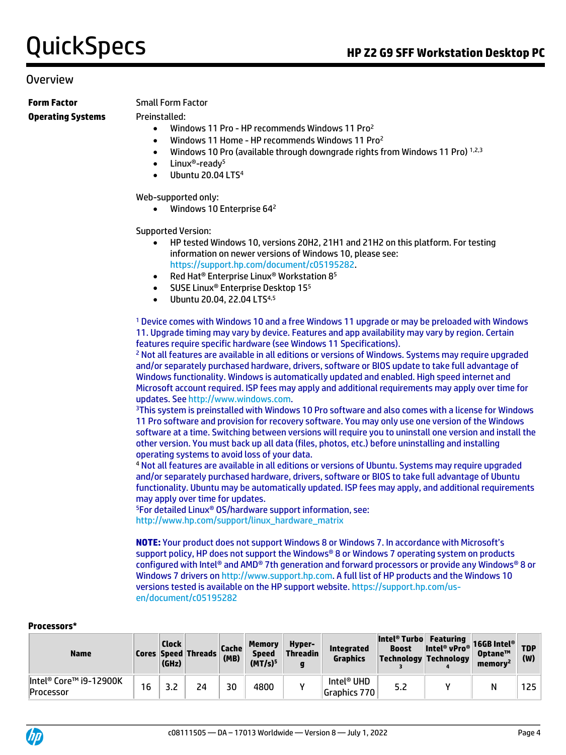#### Overview

#### **Form Factor** Small Form Factor **Operating Systems** Preinstalled:

- Windows 11 Pro HP recommends Windows 11 Pro<sup>2</sup>
- Windows 11 Home HP recommends Windows 11 Pro<sup>2</sup>
- Windows 10 Pro (available through downgrade rights from Windows 11 Pro)  $1,2,3$
- Linux®-ready<sup>5</sup>
- Ubuntu 20.04 LTS<sup>4</sup>

Web-supported only:

• Windows 10 Enterprise 64<sup>2</sup>

Supported Version:

- HP tested Windows 10, versions 20H2, 21H1 and 21H2 on this platform. For testing information on newer versions of Windows 10, please see: [https://support.hp.com/document/c05195282.](https://support.hp.com/document/c05195282)
- Red Hat® Enterprise Linux® Workstation 8<sup>5</sup>
- SUSE Linux<sup>®</sup> Enterprise Desktop 15<sup>5</sup>
- Ubuntu 20.04, 22.04 LTS<sup>4,5</sup>

<sup>1</sup> Device comes with Windows 10 and a free Windows 11 upgrade or may be preloaded with Windows 11. Upgrade timing may vary by device. Features and app availability may vary by region. Certain features require specific hardware (see Windows 11 Specifications).

<sup>2</sup> Not all features are available in all editions or versions of Windows. Systems may require upgraded and/or separately purchased hardware, drivers, software or BIOS update to take full advantage of Windows functionality. Windows is automatically updated and enabled. High speed internet and Microsoft account required. ISP fees may apply and additional requirements may apply over time for updates. See [http://www.windows.com.](http://www.windows.com/)

<sup>3</sup>This system is preinstalled with Windows 10 Pro software and also comes with a license for Windows 11 Pro software and provision for recovery software. You may only use one version of the Windows software at a time. Switching between versions will require you to uninstall one version and install the other version. You must back up all data (files, photos, etc.) before uninstalling and installing operating systems to avoid loss of your data.

<sup>4</sup> Not all features are available in all editions or versions of Ubuntu. Systems may require upgraded and/or separately purchased hardware, drivers, software or BIOS to take full advantage of Ubuntu functionality. Ubuntu may be automatically updated. ISP fees may apply, and additional requirements may apply over time for updates.

<sup>5</sup>For detailed Linux® OS/hardware support information, see: [http://www.hp.com/support/linux\\_hardware\\_matrix](http://www.hp.com/support/linux_hardware_matrix)

**NOTE:** Your product does not support Windows 8 or Windows 7. In accordance with Microsoft's support policy, HP does not support the Windows® 8 or Windows 7 operating system on products configured with Intel® and AMD® 7th generation and forward processors or provide any Windows® 8 or Windows 7 drivers o[n http://www.support.hp.com.](http://www.support.hp.com/) A full list of HP products and the Windows 10 versions tested is available on the HP support website[. https://support.hp.com/us](https://support.hp.com/us-en/document/c05195282)[en/document/c05195282](https://support.hp.com/us-en/document/c05195282)

#### **Processors\***

| <b>Name</b>                         |    | <b>Clock</b><br>(GHz) | <b>Cores Speed Threads</b> | Cache <br>(MB) | <b>Memory</b><br><b>Speed</b><br>(MT/s) <sup>5</sup> | Hyper-<br><b>Threadin</b> | <b>Integrated</b><br>Graphics          | Intel <sup>®</sup> Turbo Featuring<br>Boost Intel® vPro® 16GB Intel®<br>Technology Technology | Optane™<br>memory <sup>2</sup> | (W)              |
|-------------------------------------|----|-----------------------|----------------------------|----------------|------------------------------------------------------|---------------------------|----------------------------------------|-----------------------------------------------------------------------------------------------|--------------------------------|------------------|
| Intel® Core™ i9-12900K<br>Processor | 16 |                       | 24                         | 30             | 4800                                                 |                           | Intel <sup>®</sup> UHD<br>Graphics 770 | 5.2                                                                                           | Ν                              | 125 <sub>1</sub> |

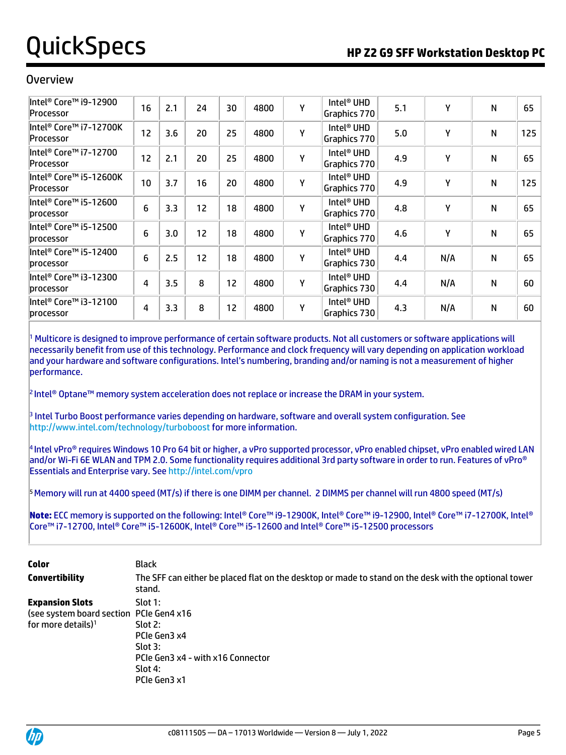#### Overview

| Intel® Core™ i9-12900<br>Processor  | 16 | 2.1 | 24 | 30 | 4800 | Υ | Intel <sup>®</sup> UHD<br>Graphics 770 | 5.1 | Υ   | N | 65  |
|-------------------------------------|----|-----|----|----|------|---|----------------------------------------|-----|-----|---|-----|
| Intel® Core™ i7-12700K<br>Processor | 12 | 3.6 | 20 | 25 | 4800 | Υ | Intel <sup>®</sup> UHD<br>Graphics 770 | 5.0 | Υ   | N | 125 |
| Intel® Core™ i7-12700<br>Processor  | 12 | 2.1 | 20 | 25 | 4800 | Υ | Intel <sup>®</sup> UHD<br>Graphics 770 | 4.9 | Υ   | N | 65  |
| ∥ntel® Core™ i5-12600K<br>Processor | 10 | 3.7 | 16 | 20 | 4800 | Υ | Intel <sup>®</sup> UHD<br>Graphics 770 | 4.9 | Υ   | N | 125 |
| ∥ntel® Core™ i5-12600<br>processor  | 6  | 3.3 | 12 | 18 | 4800 | Υ | Intel <sup>®</sup> UHD<br>Graphics 770 | 4.8 | Υ   | N | 65  |
| Intel® Core™ i5-12500<br>processor  | 6  | 3.0 | 12 | 18 | 4800 | Υ | Intel <sup>®</sup> UHD<br>Graphics 770 | 4.6 | Y   | N | 65  |
| Intel® Core™ i5-12400<br>processor  | 6  | 2.5 | 12 | 18 | 4800 | Υ | Intel <sup>®</sup> UHD<br>Graphics 730 | 4.4 | N/A | N | 65  |
| Intel® Core™ i3-12300<br>processor  | 4  | 3.5 | 8  | 12 | 4800 | Υ | Intel <sup>®</sup> UHD<br>Graphics 730 | 4.4 | N/A | N | 60  |
| ∥ntel® Core™ i3-12100<br>processor  | 4  | 3.3 | 8  | 12 | 4800 | Υ | Intel <sup>®</sup> UHD<br>Graphics 730 | 4.3 | N/A | N | 60  |

<sup>1</sup> Multicore is designed to improve performance of certain software products. Not all customers or software applications will necessarily benefit from use of this technology. Performance and clock frequency will vary depending on application workload and your hardware and software configurations. Intel's numbering, branding and/or naming is not a measurement of higher performance.

2 Intel® Optane™ memory system acceleration does not replace or increase the DRAM in your system.

3 Intel Turbo Boost performance varies depending on hardware, software and overall system configuration. See <http://www.intel.com/technology/turboboost> for more information.

4 Intel vPro® requires Windows 10 Pro 64 bit or higher, a vPro supported processor, vPro enabled chipset, vPro enabled wired LAN and/or Wi-Fi 6E WLAN and TPM 2.0. Some functionality requires additional 3rd party software in order to run. Features of vPro® Essentials and Enterprise vary. See<http://intel.com/vpro>

 $5$ Memory will run at 4400 speed (MT/s) if there is one DIMM per channel. 2 DIMMS per channel will run 4800 speed (MT/s)

**Note:** ECC memory is supported on the following: Intel® Core™ i9-12900K, Intel® Core™ i9-12900, Intel® Core™ i7-12700K, Intel® Core™ i7-12700, Intel® Core™ i5-12600K, Intel® Core™ i5-12600 and Intel® Core™ i5-12500 processors

| <b>Color</b><br>Convertibility                                                                       | Black<br>The SFF can either be placed flat on the desktop or made to stand on the desk with the optional tower<br>stand. |
|------------------------------------------------------------------------------------------------------|--------------------------------------------------------------------------------------------------------------------------|
| <b>Expansion Slots</b><br>(see system board section PCIe Gen4 x16)<br>for more details) <sup>1</sup> | Slot 1:<br>Slot2:<br>PCIe Gen3 x4<br>Slot 3:<br>PCIe Gen3 x4 - with x16 Connector<br>Slot 4:<br>PCIe Gen3 x1             |

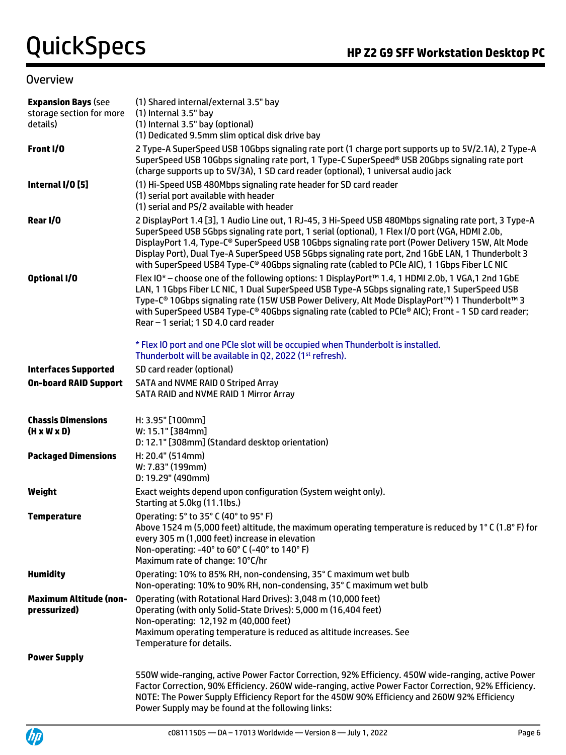#### Overview

| <b>Expansion Bays (see</b><br>storage section for more<br>details) | (1) Shared internal/external 3.5" bay<br>(1) Internal 3.5" bay<br>(1) Internal 3.5" bay (optional)<br>(1) Dedicated 9.5mm slim optical disk drive bay                                                                                                                                                                                                                                                                                                                                                               |
|--------------------------------------------------------------------|---------------------------------------------------------------------------------------------------------------------------------------------------------------------------------------------------------------------------------------------------------------------------------------------------------------------------------------------------------------------------------------------------------------------------------------------------------------------------------------------------------------------|
| Front I/O                                                          | 2 Type-A SuperSpeed USB 10Gbps signaling rate port (1 charge port supports up to 5V/2.1A), 2 Type-A<br>SuperSpeed USB 10Gbps signaling rate port, 1 Type-C SuperSpeed® USB 20Gbps signaling rate port<br>(charge supports up to 5V/3A), 1 SD card reader (optional), 1 universal audio jack                                                                                                                                                                                                                         |
| Internal I/O [5]                                                   | (1) Hi-Speed USB 480Mbps signaling rate header for SD card reader<br>(1) serial port available with header<br>(1) serial and PS/2 available with header                                                                                                                                                                                                                                                                                                                                                             |
| Rear I/O                                                           | 2 DisplayPort 1.4 [3], 1 Audio Line out, 1 RJ-45, 3 Hi-Speed USB 480Mbps signaling rate port, 3 Type-A<br>SuperSpeed USB 5Gbps signaling rate port, 1 serial (optional), 1 Flex I/O port (VGA, HDMI 2.0b,<br>DisplayPort 1.4, Type-C® SuperSpeed USB 10Gbps signaling rate port (Power Delivery 15W, Alt Mode<br>Display Port), Dual Tye-A SuperSpeed USB 5Gbps signaling rate port, 2nd 1GbE LAN, 1 Thunderbolt 3<br>with SuperSpeed USB4 Type-C® 40Gbps signaling rate (cabled to PCIe AIC), 1 1Gbps Fiber LC NIC |
| <b>Optional I/O</b>                                                | Flex IO* - choose one of the following options: 1 DisplayPort™ 1.4, 1 HDMI 2.0b, 1 VGA, 1 2nd 1GbE<br>LAN, 1 1Gbps Fiber LC NIC, 1 Dual SuperSpeed USB Type-A 5Gbps signaling rate, 1 SuperSpeed USB<br>Type-C® 10Gbps signaling rate (15W USB Power Delivery, Alt Mode DisplayPort™) 1 Thunderbolt™ 3<br>with SuperSpeed USB4 Type-C® 40Gbps signaling rate (cabled to PCIe® AIC); Front - 1 SD card reader;<br>Rear - 1 serial; 1 SD 4.0 card reader                                                              |
|                                                                    | * Flex IO port and one PCIe slot will be occupied when Thunderbolt is installed.<br>Thunderbolt will be available in Q2, 2022 (1 <sup>st</sup> refresh).                                                                                                                                                                                                                                                                                                                                                            |
| <b>Interfaces Supported</b>                                        | SD card reader (optional)                                                                                                                                                                                                                                                                                                                                                                                                                                                                                           |
| <b>On-board RAID Support</b>                                       | <b>SATA and NVME RAID 0 Striped Array</b><br>SATA RAID and NVME RAID 1 Mirror Array                                                                                                                                                                                                                                                                                                                                                                                                                                 |
| <b>Chassis Dimensions</b><br>$(H \times W \times D)$               | H: 3.95" [100mm]<br>W: 15.1" [384mm]<br>D: 12.1" [308mm] (Standard desktop orientation)                                                                                                                                                                                                                                                                                                                                                                                                                             |
| <b>Packaged Dimensions</b>                                         | H: 20.4" (514mm)<br>W: 7.83" (199mm)<br>D: 19.29" (490mm)                                                                                                                                                                                                                                                                                                                                                                                                                                                           |
| Weight                                                             | Exact weights depend upon configuration (System weight only).<br>Starting at 5.0kg (11.1lbs.)                                                                                                                                                                                                                                                                                                                                                                                                                       |
| <b>Temperature</b>                                                 | Operating: 5° to 35° C (40° to 95° F)<br>Above 1524 m (5,000 feet) altitude, the maximum operating temperature is reduced by 1°C (1.8°F) for<br>every 305 m (1,000 feet) increase in elevation<br>Non-operating: -40° to 60° C (-40° to 140° F)<br>Maximum rate of change: 10°C/hr                                                                                                                                                                                                                                  |
| <b>Humidity</b>                                                    | Operating: 10% to 85% RH, non-condensing, 35° C maximum wet bulb<br>Non-operating: 10% to 90% RH, non-condensing, 35° C maximum wet bulb                                                                                                                                                                                                                                                                                                                                                                            |
| <b>Maximum Altitude (non-</b><br>pressurized)                      | Operating (with Rotational Hard Drives): 3,048 m (10,000 feet)<br>Operating (with only Solid-State Drives): 5,000 m (16,404 feet)<br>Non-operating: 12,192 m (40,000 feet)<br>Maximum operating temperature is reduced as altitude increases. See<br>Temperature for details.                                                                                                                                                                                                                                       |
| <b>Power Supply</b>                                                |                                                                                                                                                                                                                                                                                                                                                                                                                                                                                                                     |
|                                                                    | 550W wide-ranging, active Power Factor Correction, 92% Efficiency. 450W wide-ranging, active Power<br>Factor Correction, 90% Efficiency. 260W wide-ranging, active Power Factor Correction, 92% Efficiency.<br>NOTE: The Power Supply Efficiency Report for the 450W 90% Efficiency and 260W 92% Efficiency<br>Power Supply may be found at the following links:                                                                                                                                                    |

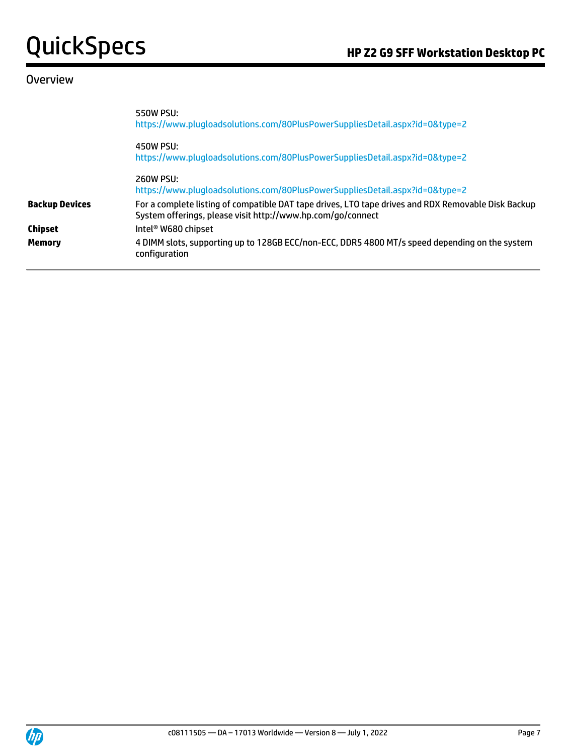#### **Overview**

|                       | 550W PSU:<br>https://www.plugloadsolutions.com/80PlusPowerSuppliesDetail.aspx?id=0&type=2                                                                          |
|-----------------------|--------------------------------------------------------------------------------------------------------------------------------------------------------------------|
|                       | 450W PSU:<br>https://www.plugloadsolutions.com/80PlusPowerSuppliesDetail.aspx?id=0&type=2                                                                          |
|                       | 260W PSU:<br>https://www.plugloadsolutions.com/80PlusPowerSuppliesDetail.aspx?id=0&type=2                                                                          |
| <b>Backup Devices</b> | For a complete listing of compatible DAT tape drives, LTO tape drives and RDX Removable Disk Backup<br>System offerings, please visit http://www.hp.com/go/connect |
| <b>Chipset</b>        | Intel® W680 chipset                                                                                                                                                |
| <b>Memory</b>         | 4 DIMM slots, supporting up to 128GB ECC/non-ECC, DDR5 4800 MT/s speed depending on the system<br>configuration                                                    |

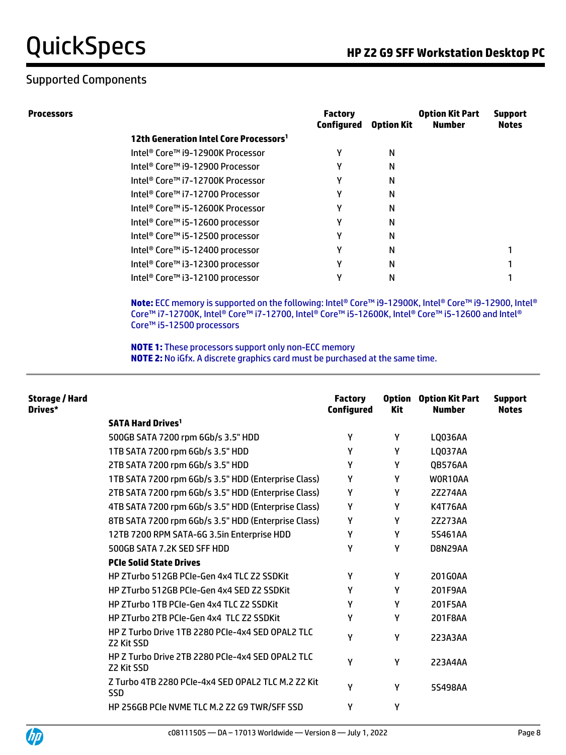### Supported Components

**Processors Factory** 

|                                                    | <b>Factory</b><br>Configured | <b>Option Kit</b> | <b>Option Kit Part</b><br><b>Number</b> | <b>Support</b><br><b>Notes</b> |
|----------------------------------------------------|------------------------------|-------------------|-----------------------------------------|--------------------------------|
| 12th Generation Intel Core Processors <sup>1</sup> |                              |                   |                                         |                                |
| Intel® Core™ i9-12900K Processor                   |                              | N                 |                                         |                                |
| Intel® Core™ i9-12900 Processor                    |                              | N                 |                                         |                                |
| Intel® Core™ i7-12700K Processor                   |                              | N                 |                                         |                                |
| Intel® Core™ i7-12700 Processor                    |                              | N                 |                                         |                                |
| Intel® Core™ i5-12600K Processor                   |                              | N                 |                                         |                                |
| Intel® Core™ i5-12600 processor                    |                              | N                 |                                         |                                |
| Intel® Core™ i5-12500 processor                    |                              | N                 |                                         |                                |
| Intel® Core™ i5-12400 processor                    |                              | N                 |                                         |                                |
| Intel® Core™ i3-12300 processor                    |                              | N                 |                                         |                                |
| Intel® Core™ i3-12100 processor                    |                              | Ν                 |                                         |                                |
|                                                    |                              |                   |                                         |                                |

**Note:** ECC memory is supported on the following: Intel® Core™ i9-12900K, Intel® Core™ i9-12900, Intel® Core™ i7-12700K, Intel® Core™ i7-12700, Intel® Core™ i5-12600K, Intel® Core™ i5-12600 and Intel® Core™ i5-12500 processors

**NOTE 1:** These processors support only non-ECC memory **NOTE 2:** No iGfx. A discrete graphics card must be purchased at the same time.

| Storage / Hard<br>Drives* |                                                                  | <b>Factory</b><br><b>Configured</b> | <b>Kit</b> | <b>Option</b> Option Kit Part<br><b>Number</b> | <b>Support</b><br><b>Notes</b> |
|---------------------------|------------------------------------------------------------------|-------------------------------------|------------|------------------------------------------------|--------------------------------|
|                           | <b>SATA Hard Drives<sup>1</sup></b>                              |                                     |            |                                                |                                |
|                           | 500GB SATA 7200 rpm 6Gb/s 3.5" HDD                               | Υ                                   | Υ          | LQ036AA                                        |                                |
|                           | 1TB SATA 7200 rpm 6Gb/s 3.5" HDD                                 | γ                                   | Y          | <b>LQ037AA</b>                                 |                                |
|                           | 2TB SATA 7200 rpm 6Gb/s 3.5" HDD                                 | γ                                   | Y          | QB576AA                                        |                                |
|                           | 1TB SATA 7200 rpm 6Gb/s 3.5" HDD (Enterprise Class)              | γ                                   | Y          | WOR10AA                                        |                                |
|                           | 2TB SATA 7200 rpm 6Gb/s 3.5" HDD (Enterprise Class)              | γ                                   | Y          | 2Z274AA                                        |                                |
|                           | 4TB SATA 7200 rpm 6Gb/s 3.5" HDD (Enterprise Class)              | γ                                   | Υ          | <b>K4T76AA</b>                                 |                                |
|                           | 8TB SATA 7200 rpm 6Gb/s 3.5" HDD (Enterprise Class)              | γ                                   | Y          | 2Z273AA                                        |                                |
|                           | 12TB 7200 RPM SATA-6G 3.5in Enterprise HDD                       | Υ                                   | Y          | 5S461AA                                        |                                |
|                           | 500GB SATA 7.2K SED SFF HDD                                      | γ                                   | Y          | D8N29AA                                        |                                |
|                           | <b>PCIe Solid State Drives</b>                                   |                                     |            |                                                |                                |
|                           | HP ZTurbo 512GB PCIe-Gen 4x4 TLC Z2 SSDKit                       | γ                                   | Y          | 201G0AA                                        |                                |
|                           | HP ZTurbo 512GB PCIe-Gen 4x4 SED Z2 SSDKit                       | Υ                                   | Y          | 201F9AA                                        |                                |
|                           | <b>HP ZTurbo 1TB PCIe-Gen 4x4 TLC Z2 SSDKit</b>                  | γ                                   | Y          | 201F5AA                                        |                                |
|                           | HP ZTurbo 2TB PCIe-Gen 4x4 TLC Z2 SSDKit                         | γ                                   | Y          | 201F8AA                                        |                                |
|                           | HP Z Turbo Drive 1TB 2280 PCIe-4x4 SED OPAL2 TLC<br>Z2 Kit SSD   | γ                                   | Υ          | 223A3AA                                        |                                |
|                           | HP Z Turbo Drive 2TB 2280 PCIe-4x4 SED OPAL2 TLC<br>Z2 Kit SSD   | γ                                   | Υ          | 223A4AA                                        |                                |
|                           | Z Turbo 4TB 2280 PCIe-4x4 SED OPAL2 TLC M.2 Z2 Kit<br><b>SSD</b> | Υ                                   | Y          | 5S498AA                                        |                                |
|                           | HP 256GB PCIe NVME TLC M.2 Z2 G9 TWR/SFF SSD                     | Υ                                   | Υ          |                                                |                                |
|                           |                                                                  |                                     |            |                                                |                                |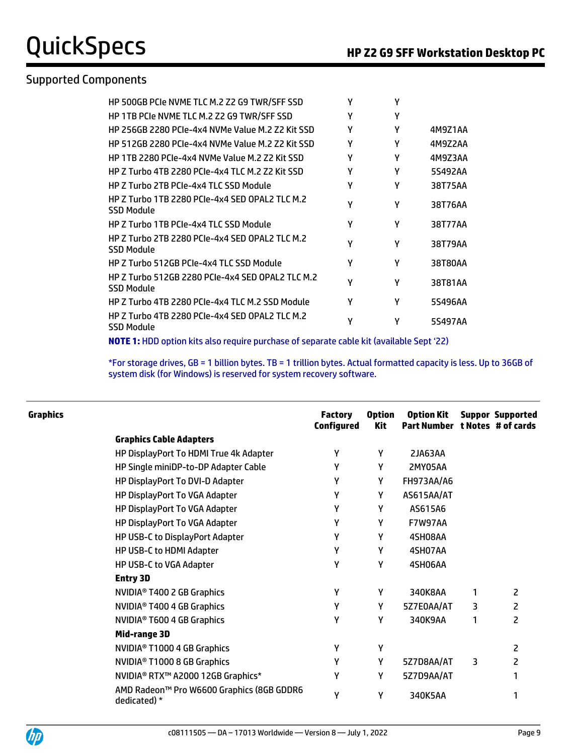#### Supported Components

| HP 500GB PCIe NVME TLC M.2 Z2 G9 TWR/SFF SSD                          | γ | γ |         |
|-----------------------------------------------------------------------|---|---|---------|
| HP 1TB PCIe NVME TLC M.2 Z2 G9 TWR/SFF SSD                            | γ | Υ |         |
| HP 256GB 2280 PCIe-4x4 NVMe Value M.2 Z2 Kit SSD                      | γ | γ | 4M9Z1AA |
| HP 512GB 2280 PCIe-4x4 NVMe Value M.2 Z2 Kit SSD                      | γ | Υ | 4M9Z2AA |
| HP 1TB 2280 PCIe-4x4 NVMe Value M.2 Z2 Kit SSD                        | γ | Υ | 4M9Z3AA |
| HP Z Turbo 4TB 2280 PCIe-4x4 TLC M.2 Z2 Kit SSD                       | γ | γ | 5S492AA |
| HP Z Turbo 2TB PCIe-4x4 TLC SSD Module                                | γ | γ | 38T75AA |
| HP Z Turbo 1TB 2280 PCIe-4x4 SED OPAL2 TLC M.2<br>SSD Module          | γ | Υ | 38T76AA |
| HP Z Turbo 1TB PCIe-4x4 TLC SSD Module                                | γ | γ | 38T77AA |
| HP Z Turbo 2TB 2280 PCIe-4x4 SED OPAL2 TLC M.2<br><b>SSD Module</b>   | γ | γ | 38T79AA |
| HP Z Turbo 512GB PCIe-4x4 TLC SSD Module                              | γ | Υ | 38T80AA |
| HP Z Turbo 512GB 2280 PCIe-4x4 SED OPAL2 TLC M.2<br><b>SSD Module</b> | γ | Υ | 38T81AA |
| HP Z Turbo 4TB 2280 PCIe-4x4 TLC M.2 SSD Module                       | γ | γ | 5S496AA |
| HP Z Turbo 4TB 2280 PCIe-4x4 SED OPAL2 TLC M.2<br><b>SSD Module</b>   | γ | γ | 5S497AA |

**NOTE 1:** HDD option kits also require purchase of separate cable kit (available Sept '22)

\*For storage drives, GB = 1 billion bytes. TB = 1 trillion bytes. Actual formatted capacity is less. Up to 36GB of system disk (for Windows) is reserved for system recovery software.

| Graphics |                                                           | <b>Factory</b><br><b>Configured</b> | <b>Option</b><br><b>Kit</b> | <b>Option Kit</b><br>Part Number t Notes # of cards |   | <b>Suppor Supported</b> |
|----------|-----------------------------------------------------------|-------------------------------------|-----------------------------|-----------------------------------------------------|---|-------------------------|
|          | <b>Graphics Cable Adapters</b>                            |                                     |                             |                                                     |   |                         |
|          | HP DisplayPort To HDMI True 4k Adapter                    | γ                                   | Y                           | 2JA63AA                                             |   |                         |
|          | HP Single miniDP-to-DP Adapter Cable                      | γ                                   | Υ                           | 2MY05AA                                             |   |                         |
|          | HP DisplayPort To DVI-D Adapter                           | γ                                   | Υ                           | FH973AA/A6                                          |   |                         |
|          | HP DisplayPort To VGA Adapter                             | Υ                                   | Υ                           | AS615AA/AT                                          |   |                         |
|          | HP DisplayPort To VGA Adapter                             | γ                                   | γ                           | AS615A6                                             |   |                         |
|          | HP DisplayPort To VGA Adapter                             | Υ                                   | Υ                           | F7W97AA                                             |   |                         |
|          | HP USB-C to DisplayPort Adapter                           | Υ                                   | γ                           | 4SH08AA                                             |   |                         |
|          | HP USB-C to HDMI Adapter                                  | γ                                   | γ                           | 4SH07AA                                             |   |                         |
|          | HP USB-C to VGA Adapter                                   | Υ                                   | Υ                           | 4SH06AA                                             |   |                         |
|          | <b>Entry 3D</b>                                           |                                     |                             |                                                     |   |                         |
|          | NVIDIA <sup>®</sup> T400 2 GB Graphics                    | Y                                   | Y                           | 340K8AA                                             | 1 | 2                       |
|          | NVIDIA <sup>®</sup> T400 4 GB Graphics                    | Υ                                   | Υ                           | 5Z7E0AA/AT                                          | 3 | 2                       |
|          | NVIDIA® T600 4 GB Graphics                                | γ                                   | γ                           | 340K9AA                                             | 1 | 2                       |
|          | Mid-range 3D                                              |                                     |                             |                                                     |   |                         |
|          | NVIDIA <sup>®</sup> T1000 4 GB Graphics                   | Υ                                   | Y                           |                                                     |   | 2                       |
|          | NVIDIA <sup>®</sup> T1000 8 GB Graphics                   | Υ                                   | Υ                           | 5Z7D8AA/AT                                          | 3 | 2                       |
|          | NVIDIA <sup>®</sup> RTX <sup>™</sup> A2000 12GB Graphics* | γ                                   | Υ                           | 5Z7D9AA/AT                                          |   |                         |
|          | AMD Radeon™ Pro W6600 Graphics (8GB GDDR6<br>dedicated) * | Υ                                   | Υ                           | 340K5AA                                             |   |                         |
|          |                                                           |                                     |                             |                                                     |   |                         |

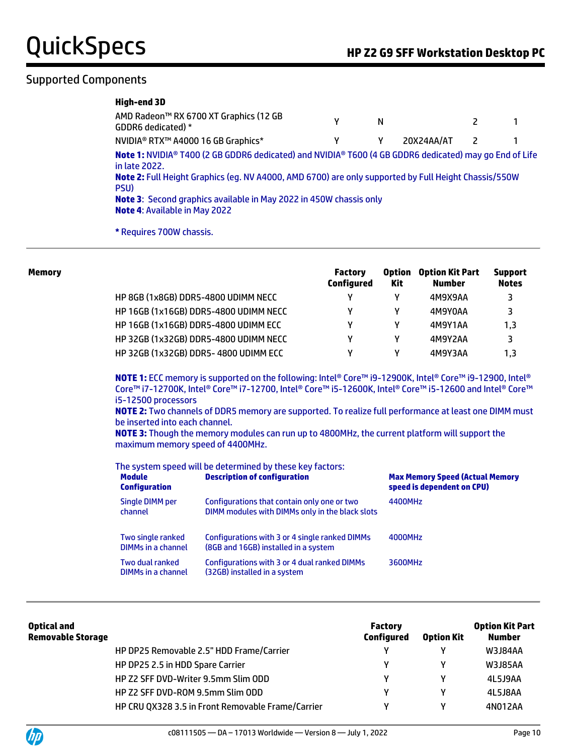#### Supported Components

| High-end 3D                                                                                                                                                                                                                                                                                                                                                  |   |   |            |   |  |
|--------------------------------------------------------------------------------------------------------------------------------------------------------------------------------------------------------------------------------------------------------------------------------------------------------------------------------------------------------------|---|---|------------|---|--|
| AMD Radeon™ RX 6700 XT Graphics (12 GB<br>GDDR6 dedicated) *                                                                                                                                                                                                                                                                                                 | γ | N |            | 2 |  |
| NVIDIA® RTX™ A4000 16 GB Graphics*                                                                                                                                                                                                                                                                                                                           | γ | γ | 20X24AA/AT | 2 |  |
| Note 1: NVIDIA® T400 (2 GB GDDR6 dedicated) and NVIDIA® T600 (4 GB GDDR6 dedicated) may go End of Life<br>in late 2022.<br>Note 2: Full Height Graphics (eg. NV A4000, AMD 6700) are only supported by Full Height Chassis/550W<br>PSU)<br><b>Note 3:</b> Second graphics available in May 2022 in 450W chassis only<br><b>Note 4: Available in May 2022</b> |   |   |            |   |  |
| * Requires 700W chassis.                                                                                                                                                                                                                                                                                                                                     |   |   |            |   |  |

| Memory |                                       | <b>Factory</b><br>Configured | <b>Option</b><br>Kit | <b>Option Kit Part</b><br><b>Number</b> | <b>Support</b><br><b>Notes</b> |
|--------|---------------------------------------|------------------------------|----------------------|-----------------------------------------|--------------------------------|
|        | HP 8GB (1x8GB) DDR5-4800 UDIMM NECC   | γ                            | γ                    | 4M9X9AA                                 | 3                              |
|        | HP 16GB (1x16GB) DDR5-4800 UDIMM NECC | γ                            | γ                    | 4M9Y0AA                                 | 3                              |
|        | HP 16GB (1x16GB) DDR5-4800 UDIMM ECC  | v                            | γ                    | 4M9Y1AA                                 | 1.3                            |
|        | HP 32GB (1x32GB) DDR5-4800 UDIMM NECC | ٧                            | γ                    | 4M9Y2AA                                 | 3                              |
|        | HP 32GB (1x32GB) DDR5-4800 UDIMM ECC  | v                            | v                    | 4M9Y3AA                                 | 1.3                            |

**NOTE 1:** ECC memory is supported on the following: Intel® Core™ i9-12900K, Intel® Core™ i9-12900, Intel® Core™ i7-12700K, Intel® Core™ i7-12700, Intel® Core™ i5-12600K, Intel® Core™ i5-12600 and Intel® Core™ i5-12500 processors

**NOTE 2:** Two channels of DDR5 memory are supported. To realize full performance at least one DIMM must be inserted into each channel.

**NOTE 3:** Though the memory modules can run up to 4800MHz, the current platform will support the maximum memory speed of 4400MHz.

| The system speed will be determined by these key factors: |
|-----------------------------------------------------------|
|-----------------------------------------------------------|

| <b>Module</b><br><b>Configuration</b>   | <b>Description of configuration</b>                                                            | <b>Max Memory Speed (Actual Memory</b><br>speed is dependent on CPU) |
|-----------------------------------------|------------------------------------------------------------------------------------------------|----------------------------------------------------------------------|
| <b>Single DIMM per</b><br>channel       | Configurations that contain only one or two<br>DIMM modules with DIMMs only in the black slots | 4400MHz                                                              |
| Two single ranked<br>DIMMs in a channel | Configurations with 3 or 4 single ranked DIMMs<br>(8GB and 16GB) installed in a system         | 4000MHz                                                              |
| Two dual ranked<br>DIMMs in a channel   | Configurations with 3 or 4 dual ranked DIMMs<br>(32GB) installed in a system                   | 3600MHz                                                              |

| Optical and<br><b>Removable Storage</b> |                                                   | <b>Factory</b><br><b>Configured</b> | <b>Option Kit</b> | <b>Option Kit Part</b><br><b>Number</b> |
|-----------------------------------------|---------------------------------------------------|-------------------------------------|-------------------|-----------------------------------------|
|                                         | HP DP25 Removable 2.5" HDD Frame/Carrier          |                                     |                   | W3J84AA                                 |
|                                         | HP DP25 2.5 in HDD Spare Carrier                  | v                                   | v                 | W3J85AA                                 |
|                                         | HP Z2 SFF DVD-Writer 9.5mm Slim ODD               | v                                   | v                 | 4L5J9AA                                 |
|                                         | HP Z2 SFF DVD-ROM 9.5mm Slim ODD                  | v                                   | v                 | 4L5J8AA                                 |
|                                         | HP CRU QX328 3.5 in Front Removable Frame/Carrier | v                                   | ν                 | 4N012AA                                 |

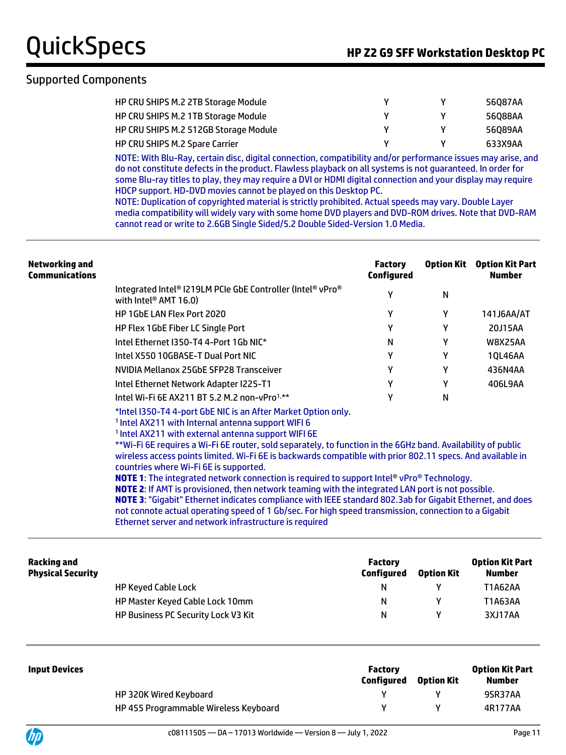#### Supported Components

| HP CRU SHIPS M.2 2TB Storage Module   |  | 56087AA |
|---------------------------------------|--|---------|
| HP CRU SHIPS M.2 1TB Storage Module   |  | 56088AA |
| HP CRU SHIPS M.2 512GB Storage Module |  | 56089AA |
| <b>HP CRU SHIPS M.2 Spare Carrier</b> |  | 633X9AA |

NOTE: With Blu-Ray, certain disc, digital connection, compatibility and/or performance issues may arise, and do not constitute defects in the product. Flawless playback on all systems is not guaranteed. In order for some Blu-ray titles to play, they may require a DVI or HDMI digital connection and your display may require HDCP support. HD-DVD movies cannot be played on this Desktop PC.

NOTE: Duplication of copyrighted material is strictly prohibited. Actual speeds may vary. Double Layer media compatibility will widely vary with some home DVD players and DVD-ROM drives. Note that DVD-RAM cannot read or write to 2.6GB Single Sided/5.2 Double Sided-Version 1.0 Media.

| Networking and<br>Communications |                                                                                                 | <b>Factory</b><br>Configured | <b>Option Kit</b> | <b>Option Kit Part</b><br><b>Number</b> |
|----------------------------------|-------------------------------------------------------------------------------------------------|------------------------------|-------------------|-----------------------------------------|
|                                  | Integrated Intel® I219LM PCIe GbE Controller (Intel® vPro®<br>with Intel <sup>®</sup> AMT 16.0) | γ                            | N                 |                                         |
|                                  | <b>HP 1GbE LAN Flex Port 2020</b>                                                               | γ                            | γ                 | 141J6AA/AT                              |
|                                  | <b>HP Flex 1GbE Fiber LC Single Port</b>                                                        | γ                            | γ                 | 20J15AA                                 |
|                                  | Intel Ethernet I350-T4 4-Port 1Gb NIC*                                                          | N                            | γ                 | <b>W8X25AA</b>                          |
|                                  | Intel X550 10GBASE-T Dual Port NIC                                                              | γ                            | γ                 | 10L46AA                                 |
|                                  | NVIDIA Mellanox 25GbE SFP28 Transceiver                                                         | γ                            | γ                 | 436N4AA                                 |
|                                  | Intel Ethernet Network Adapter I225-T1                                                          | γ                            | γ                 | 406L9AA                                 |
|                                  | Intel Wi-Fi 6E AX211 BT 5.2 M.2 non-vPro <sup>1,**</sup>                                        | γ                            | N                 |                                         |
|                                  | *Intel I350-T44-port GbE NIC is an After Market Option only.                                    |                              |                   |                                         |

1 Intel AX211 with Internal antenna support WIFI 6

1 Intel AX211 with external antenna support WIFI 6E

\*\*Wi-Fi 6E requires a Wi-Fi 6E router, sold separately, to function in the 6GHz band. Availability of public wireless access points limited. Wi-Fi 6E is backwards compatible with prior 802.11 specs. And available in countries where Wi-Fi 6E is supported.

**NOTE 1**: The integrated network connection is required to support Intel® vPro® Technology. **NOTE 2**: If AMT is provisioned, then network teaming with the integrated LAN port is not possible. **NOTE 3**: "Gigabit" Ethernet indicates compliance with IEEE standard 802.3ab for Gigabit Ethernet, and does not connote actual operating speed of 1 Gb/sec. For high speed transmission, connection to a Gigabit Ethernet server and network infrastructure is required

| Racking and<br><b>Physical Security</b> |                                     | <b>Factory</b><br>Configured | <b>Option Kit</b> | <b>Option Kit Part</b><br>Number |
|-----------------------------------------|-------------------------------------|------------------------------|-------------------|----------------------------------|
|                                         | <b>HP Keyed Cable Lock</b>          | N                            |                   | <b>T1A62AA</b>                   |
|                                         | HP Master Keyed Cable Lock 10mm     | N                            |                   | T1A63AA                          |
|                                         | HP Business PC Security Lock V3 Kit | N                            |                   | 3XJ17AA                          |

| <b>Input Devices</b> |                                       | <b>Factory</b><br>Configured | <b>Option Kit</b> | <b>Option Kit Part</b><br>Number |
|----------------------|---------------------------------------|------------------------------|-------------------|----------------------------------|
|                      | HP 320K Wired Keyboard                |                              |                   | 9SR37AA                          |
|                      | HP 455 Programmable Wireless Keyboard |                              |                   | 4R177AA                          |

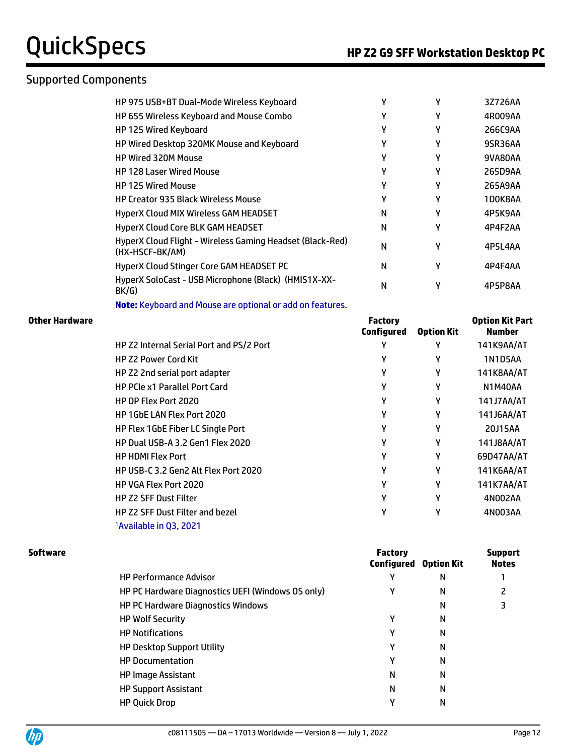#### Supported Components

| HP 975 USB+BT Dual-Mode Wireless Keyboard                                    |   |   | 3Z726AA |
|------------------------------------------------------------------------------|---|---|---------|
| HP 655 Wireless Keyboard and Mouse Combo                                     |   | γ | 4R009AA |
| HP 125 Wired Keyboard                                                        |   |   | 266C9AA |
| HP Wired Desktop 320MK Mouse and Keyboard                                    |   |   | 9SR36AA |
| <b>HP Wired 320M Mouse</b>                                                   |   | γ | 9VA80AA |
| <b>HP 128 Laser Wired Mouse</b>                                              | γ | γ | 265D9AA |
| <b>HP 125 Wired Mouse</b>                                                    | γ | γ | 265A9AA |
| <b>HP Creator 935 Black Wireless Mouse</b>                                   | γ | γ | 1D0K8AA |
| HyperX Cloud MIX Wireless GAM HEADSET                                        | N | γ | 4P5K9AA |
| HyperX Cloud Core BLK GAM HEADSET                                            | N | γ | 4P4F2AA |
| HyperX Cloud Flight - Wireless Gaming Headset (Black-Red)<br>(HX-HSCF-BK/AM) | N | γ | 4P5L4AA |
| HyperX Cloud Stinger Core GAM HEADSET PC                                     | N | γ | 4P4F4AA |
| HyperX SoloCast - USB Microphone (Black) (HMIS1X-XX-<br>BK/G                 | N | γ | 4P5P8AA |

**Note:** Keyboard and Mouse are optional or add on features.

| Other Hardware |                                          | <b>Factory</b><br>Configured | <b>Option Kit</b> | <b>Option Kit Part</b><br><b>Number</b> |
|----------------|------------------------------------------|------------------------------|-------------------|-----------------------------------------|
|                | HP Z2 Internal Serial Port and PS/2 Port | Υ                            | γ                 | 141K9AA/AT                              |
|                | <b>HP Z2 Power Cord Kit</b>              | Υ                            | γ                 | 1N1D5AA                                 |
|                | HP Z2 2nd serial port adapter            | Υ                            | Υ                 | 141K8AA/AT                              |
|                | <b>HP PCIe x1 Parallel Port Card</b>     | Υ                            | Υ                 | <b>N1M40AA</b>                          |
|                | HP DP Flex Port 2020                     | Υ                            | Υ                 | 141J7AA/AT                              |
|                | <b>HP 1GbE LAN Flex Port 2020</b>        | Υ                            | Υ                 | 141J6AA/AT                              |
|                | <b>HP Flex 1GbE Fiber LC Single Port</b> | Υ                            | Υ                 | 20J15AA                                 |
|                | HP Dual USB-A 3.2 Gen1 Flex 2020         | Υ                            | Υ                 | 141J8AA/AT                              |
|                | <b>HP HDMI Flex Port</b>                 | Υ                            | Υ                 | 69D47AA/AT                              |
|                | HP USB-C 3.2 Gen2 Alt Flex Port 2020     | Υ                            | Υ                 | 141K6AA/AT                              |
|                | <b>HP VGA Flex Port 2020</b>             | γ                            | Υ                 | 141K7AA/AT                              |
|                | <b>HP Z2 SFF Dust Filter</b>             | Υ                            | Υ                 | 4N002AA                                 |
|                | HP Z2 SFF Dust Filter and bezel          | Υ                            | Υ                 | 4N003AA                                 |
|                | <sup>1</sup> Available in Q3, 2021       |                              |                   |                                         |

| <b>Factory</b> |   | <b>Support</b><br><b>Notes</b> |
|----------------|---|--------------------------------|
|                | N |                                |
|                | N |                                |
|                | Ν |                                |
| ٧              | N |                                |
| v              | N |                                |
| γ              | N |                                |
| v              | N |                                |
| N              | Ν |                                |
| N              | N |                                |
| ν              | Ν |                                |
|                |   | <b>Configured Option Kit</b>   |

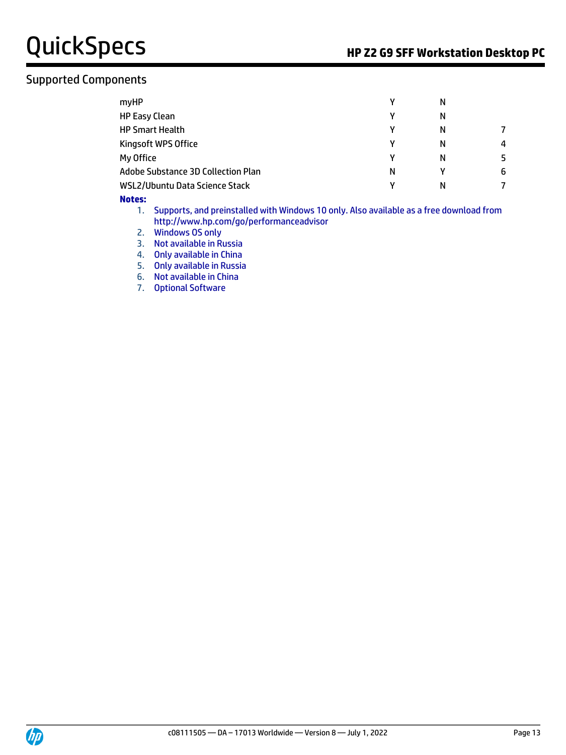#### Supported Components

| myHP                               | γ | N |   |
|------------------------------------|---|---|---|
| <b>HP Easy Clean</b>               | γ | N |   |
| <b>HP Smart Health</b>             | γ | N |   |
| Kingsoft WPS Office                | γ | N | 4 |
| My Office                          | γ | N |   |
| Adobe Substance 3D Collection Plan | N | v | 6 |
| WSL2/Ubuntu Data Science Stack     | ν | N |   |

#### **Notes:**

1. Supports, and preinstalled with Windows 10 only. Also available as a free download from http://www.hp.com/go/performanceadvisor

- 2. Windows OS only
- 3. Not available in Russia
- 4. Only available in China
- 5. Only available in Russia
- 6. Not available in China
- 7. Optional Software

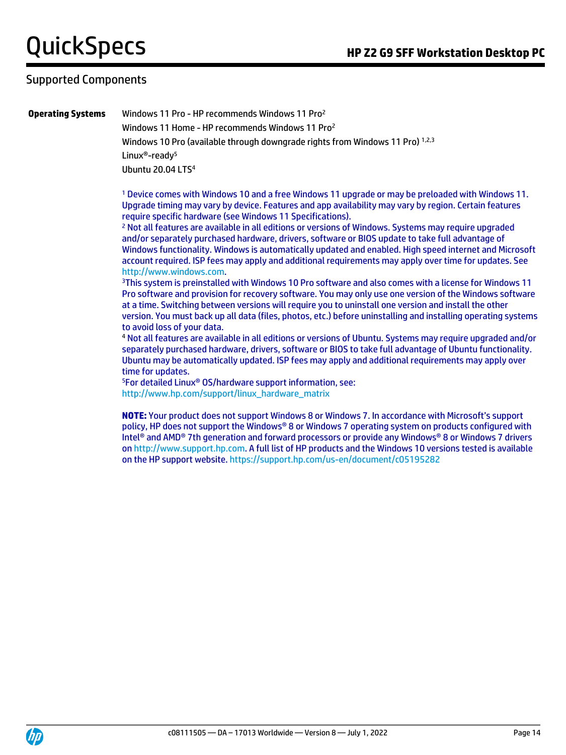#### Supported Components

**Operating Systems** Windows 11 Pro - HP recommends Windows 11 Pro<sup>2</sup>

Windows 11 Home - HP recommends Windows 11 Pro<sup>2</sup> Windows 10 Pro (available through downgrade rights from Windows 11 Pro) 1,2,3 Linux®-ready<sup>5</sup> Ubuntu 20.04 LTS<sup>4</sup>

<sup>1</sup> Device comes with Windows 10 and a free Windows 11 upgrade or may be preloaded with Windows 11. Upgrade timing may vary by device. Features and app availability may vary by region. Certain features require specific hardware (see Windows 11 Specifications).

<sup>2</sup> Not all features are available in all editions or versions of Windows. Systems may require upgraded and/or separately purchased hardware, drivers, software or BIOS update to take full advantage of Windows functionality. Windows is automatically updated and enabled. High speed internet and Microsoft account required. ISP fees may apply and additional requirements may apply over time for updates. See [http://www.windows.com.](http://www.windows.com/)

<sup>3</sup>This system is preinstalled with Windows 10 Pro software and also comes with a license for Windows 11 Pro software and provision for recovery software. You may only use one version of the Windows software at a time. Switching between versions will require you to uninstall one version and install the other version. You must back up all data (files, photos, etc.) before uninstalling and installing operating systems to avoid loss of your data.

<sup>4</sup> Not all features are available in all editions or versions of Ubuntu. Systems may require upgraded and/or separately purchased hardware, drivers, software or BIOS to take full advantage of Ubuntu functionality. Ubuntu may be automatically updated. ISP fees may apply and additional requirements may apply over time for updates.

<sup>5</sup>For detailed Linux® OS/hardware support information, see: [http://www.hp.com/support/linux\\_hardware\\_matrix](http://www.hp.com/support/linux_hardware_matrix)

**NOTE:** Your product does not support Windows 8 or Windows 7. In accordance with Microsoft's support policy, HP does not support the Windows® 8 or Windows 7 operating system on products configured with Intel® and AMD® 7th generation and forward processors or provide any Windows® 8 or Windows 7 drivers o[n http://www.support.hp.com.](http://www.support.hp.com/) A full list of HP products and the Windows 10 versions tested is available on the HP support website[. https://support.hp.com/us-en/document/c05195282](https://support.hp.com/us-en/document/c05195282)

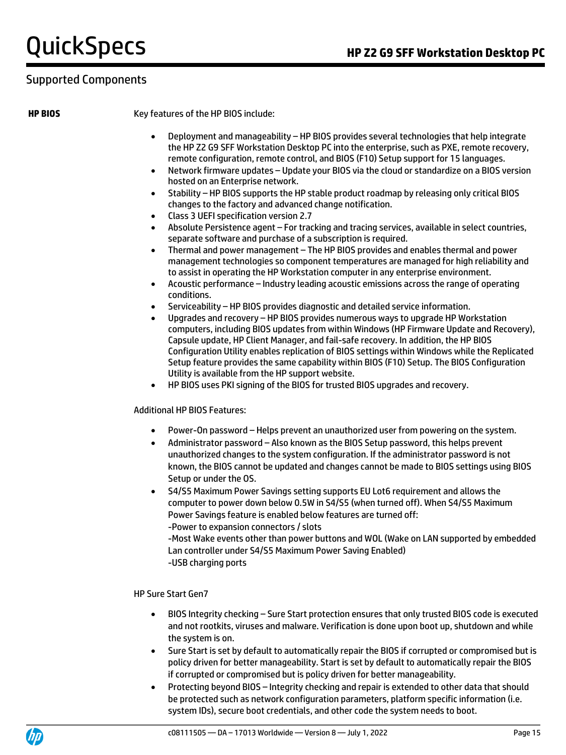#### Supported Components

**HP BIOS** Key features of the HP BIOS include:

- Deployment and manageability HP BIOS provides several technologies that help integrate the HP Z2 G9 SFF Workstation Desktop PC into the enterprise, such as PXE, remote recovery, remote configuration, remote control, and BIOS (F10) Setup support for 15 languages.
- Network firmware updates Update your BIOS via the cloud or standardize on a BIOS version hosted on an Enterprise network.
- Stability HP BIOS supports the HP stable product roadmap by releasing only critical BIOS changes to the factory and advanced change notification.
- Class 3 UEFI specification version 2.7
- Absolute Persistence agent For tracking and tracing services, available in select countries, separate software and purchase of a subscription is required.
- Thermal and power management The HP BIOS provides and enables thermal and power management technologies so component temperatures are managed for high reliability and to assist in operating the HP Workstation computer in any enterprise environment.
- Acoustic performance Industry leading acoustic emissions across the range of operating conditions.
- Serviceability HP BIOS provides diagnostic and detailed service information.
- Upgrades and recovery HP BIOS provides numerous ways to upgrade HP Workstation computers, including BIOS updates from within Windows (HP Firmware Update and Recovery), Capsule update, HP Client Manager, and fail-safe recovery. In addition, the HP BIOS Configuration Utility enables replication of BIOS settings within Windows while the Replicated Setup feature provides the same capability within BIOS (F10) Setup. The BIOS Configuration Utility is available from the HP support website.
- HP BIOS uses PKI signing of the BIOS for trusted BIOS upgrades and recovery.

Additional HP BIOS Features:

- Power-On password Helps prevent an unauthorized user from powering on the system.
- Administrator password Also known as the BIOS Setup password, this helps prevent unauthorized changes to the system configuration. If the administrator password is not known, the BIOS cannot be updated and changes cannot be made to BIOS settings using BIOS Setup or under the OS.
- S4/S5 Maximum Power Savings setting supports EU Lot6 requirement and allows the computer to power down below 0.5W in S4/S5 (when turned off). When S4/S5 Maximum Power Savings feature is enabled below features are turned off: -Power to expansion connectors / slots

-Most Wake events other than power buttons and WOL (Wake on LAN supported by embedded Lan controller under S4/S5 Maximum Power Saving Enabled) -USB charging ports

HP Sure Start Gen7

- BIOS Integrity checking Sure Start protection ensures that only trusted BIOS code is executed and not rootkits, viruses and malware. Verification is done upon boot up, shutdown and while the system is on.
- Sure Start is set by default to automatically repair the BIOS if corrupted or compromised but is policy driven for better manageability. Start is set by default to automatically repair the BIOS if corrupted or compromised but is policy driven for better manageability.
- Protecting beyond BIOS Integrity checking and repair is extended to other data that should be protected such as network configuration parameters, platform specific information (i.e. system IDs), secure boot credentials, and other code the system needs to boot.

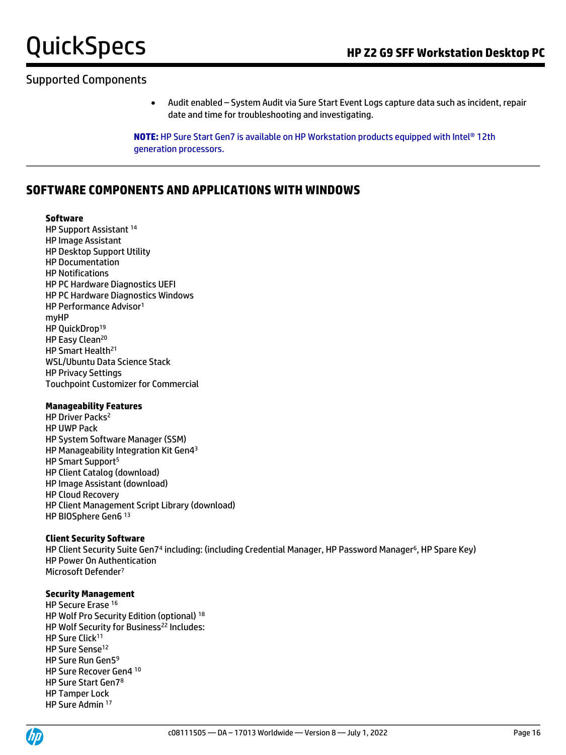#### Supported Components

• Audit enabled – System Audit via Sure Start Event Logs capture data such as incident, repair date and time for troubleshooting and investigating.

**NOTE:** HP Sure Start Gen7 is available on HP Workstation products equipped with Intel® 12th generation processors.

#### **SOFTWARE COMPONENTS AND APPLICATIONS WITH WINDOWS**

#### **Software**

HP Support Assistant <sup>14</sup> HP Image Assistant HP Desktop Support Utility HP Documentation HP Notifications HP PC Hardware Diagnostics UEFI HP PC Hardware Diagnostics Windows HP Performance Advisor<sup>1</sup> myHP HP QuickDrop<sup>19</sup> HP Easy Clean<sup>20</sup> HP Smart Health<sup>21</sup> WSL/Ubuntu Data Science Stack HP Privacy Settings Touchpoint Customizer for Commercial

#### **Manageability Features**

HP Driver Packs<sup>2</sup> HP UWP Pack HP System Software Manager (SSM) HP Manageability Integration Kit Gen4<sup>3</sup> HP Smart Support<sup>5</sup> HP Client Catalog (download) HP Image Assistant (download) HP Cloud Recovery HP Client Management Script Library (download) HP BIOSphere Gen6 <sup>13</sup>

#### **Client Security Software**

HP Client Security Suite Gen74 including: (including Credential Manager, HP Password Manager<sup>6</sup>, HP Spare Key) HP Power On Authentication Microsoft Defender<sup>7</sup>

#### **Security Management**

HP Secure Erase <sup>16</sup> HP Wolf Pro Security Edition (optional) <sup>18</sup> HP Wolf Security for Business<sup>22</sup> Includes: HP Sure Click<sup>11</sup> HP Sure Sense<sup>12</sup> HP Sure Run Gen5<sup>9</sup> HP Sure Recover Gen4 <sup>10</sup> HP Sure Start Gen7<sup>8</sup> HP Tamper Lock HP Sure Admin <sup>17</sup>

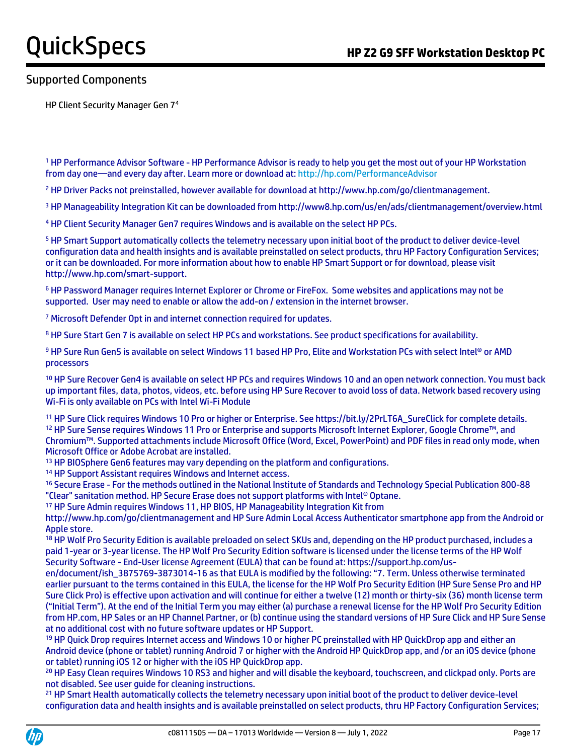#### Supported Components

HP Client Security Manager Gen 7<sup>4</sup>

<sup>1</sup> HP Performance Advisor Software - HP Performance Advisor is ready to help you get the most out of your HP Workstation from day one—and every day after. Learn more or download at:<http://hp.com/PerformanceAdvisor>

<sup>2</sup> HP Driver Packs not preinstalled, however available for download at http://www.hp.com/go/clientmanagement.

<sup>3</sup> HP Manageability Integration Kit can be downloaded from http://www8.hp.com/us/en/ads/clientmanagement/overview.html

<sup>4</sup> HP Client Security Manager Gen7 requires Windows and is available on the select HP PCs.

<sup>5</sup> HP Smart Support automatically collects the telemetry necessary upon initial boot of the product to deliver device-level configuration data and health insights and is available preinstalled on select products, thru HP Factory Configuration Services; or it can be downloaded. For more information about how to enable HP Smart Support or for download, please visit http://www.hp.com/smart-support.

<sup>6</sup> HP Password Manager requires Internet Explorer or Chrome or FireFox. Some websites and applications may not be supported. User may need to enable or allow the add-on / extension in the internet browser.

<sup>7</sup> Microsoft Defender Opt in and internet connection required for updates.

8 HP Sure Start Gen 7 is available on select HP PCs and workstations. See product specifications for availability.

9 HP Sure Run Gen5 is available on select Windows 11 based HP Pro, Elite and Workstation PCs with select Intel® or AMD processors

<sup>10</sup> HP Sure Recover Gen4 is available on select HP PCs and requires Windows 10 and an open network connection. You must back up important files, data, photos, videos, etc. before using HP Sure Recover to avoid loss of data. Network based recovery using Wi-Fi is only available on PCs with Intel Wi-Fi Module

<sup>11</sup> HP Sure Click requires Windows 10 Pro or higher or Enterprise. See https://bit.ly/2PrLT6A\_SureClick for complete details. <sup>12</sup> HP Sure Sense requires Windows 11 Pro or Enterprise and supports Microsoft Internet Explorer, Google Chrome™, and Chromium™. Supported attachments include Microsoft Office (Word, Excel, PowerPoint) and PDF files in read only mode, when Microsoft Office or Adobe Acrobat are installed.

<sup>13</sup> HP BIOSphere Gen6 features may vary depending on the platform and configurations.

<sup>14</sup> HP Support Assistant requires Windows and Internet access.

<sup>16</sup> Secure Erase - For the methods outlined in the National Institute of Standards and Technology Special Publication 800-88 "Clear" sanitation method. HP Secure Erase does not support platforms with Intel® Optane.

<sup>17</sup> HP Sure Admin requires Windows 11, HP BIOS, HP Manageability Integration Kit from

http://www.hp.com/go/clientmanagement and HP Sure Admin Local Access Authenticator smartphone app from the Android or Apple store.

18 HP Wolf Pro Security Edition is available preloaded on select SKUs and, depending on the HP product purchased, includes a paid 1-year or 3-year license. The HP Wolf Pro Security Edition software is licensed under the license terms of the HP Wolf Security Software - End-User license Agreement (EULA) that can be found at: https://support.hp.com/us-

en/document/ish\_3875769-3873014-16 as that EULA is modified by the following: "7. Term. Unless otherwise terminated earlier pursuant to the terms contained in this EULA, the license for the HP Wolf Pro Security Edition (HP Sure Sense Pro and HP Sure Click Pro) is effective upon activation and will continue for either a twelve (12) month or thirty-six (36) month license term ("Initial Term"). At the end of the Initial Term you may either (a) purchase a renewal license for the HP Wolf Pro Security Edition from HP.com, HP Sales or an HP Channel Partner, or (b) continue using the standard versions of HP Sure Click and HP Sure Sense at no additional cost with no future software updates or HP Support.

19 HP Quick Drop requires Internet access and Windows 10 or higher PC preinstalled with HP QuickDrop app and either an Android device (phone or tablet) running Android 7 or higher with the Android HP QuickDrop app, and /or an iOS device (phone or tablet) running iOS 12 or higher with the iOS HP QuickDrop app.

<sup>20</sup> HP Easy Clean requires Windows 10 RS3 and higher and will disable the keyboard, touchscreen, and clickpad only. Ports are not disabled. See user guide for cleaning instructions.

<sup>21</sup> HP Smart Health automatically collects the telemetry necessary upon initial boot of the product to deliver device-level configuration data and health insights and is available preinstalled on select products, thru HP Factory Configuration Services;

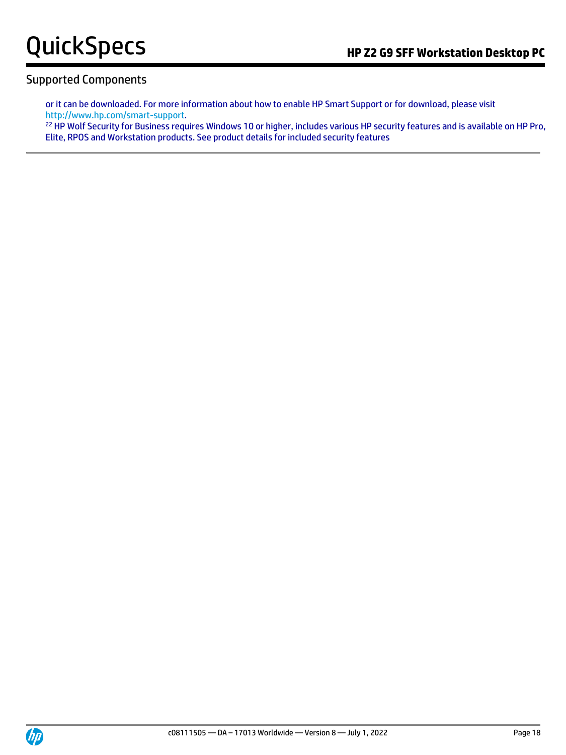#### Supported Components

or it can be downloaded. For more information about how to enable HP Smart Support or for download, please visit [http://www.hp.com/smart-support.](http://www.hp.com/smart-support)

<sup>22</sup> HP Wolf Security for Business requires Windows 10 or higher, includes various HP security features and is available on HP Pro, Elite, RPOS and Workstation products. See product details for included security features

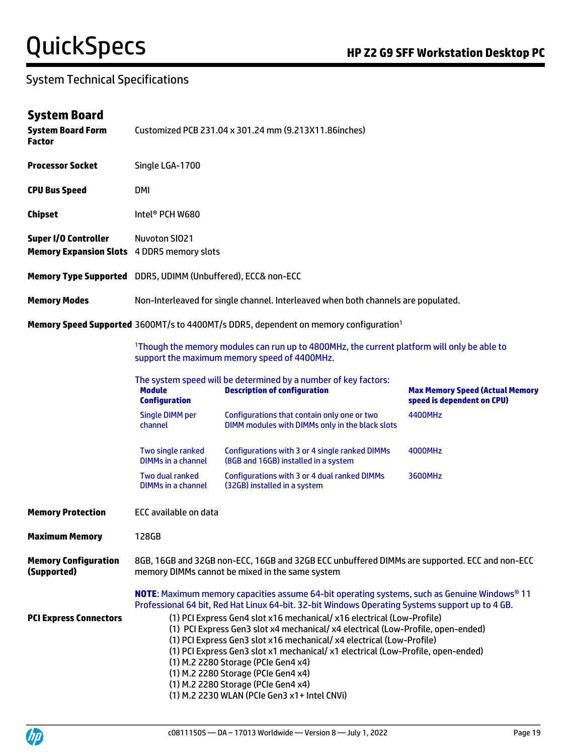### System Technical Specifications

### **System Board**

| <b>System Board Form</b><br><b>Factor</b>                    | Customized PCB 231.04 x 301.24 mm (9.213X11.86inches) |                                                                                                                                                                                                                                                                                                                                                                                                                                                                                              |                                                                      |  |  |
|--------------------------------------------------------------|-------------------------------------------------------|----------------------------------------------------------------------------------------------------------------------------------------------------------------------------------------------------------------------------------------------------------------------------------------------------------------------------------------------------------------------------------------------------------------------------------------------------------------------------------------------|----------------------------------------------------------------------|--|--|
| <b>Processor Socket</b>                                      | Single LGA-1700                                       |                                                                                                                                                                                                                                                                                                                                                                                                                                                                                              |                                                                      |  |  |
| <b>CPU Bus Speed</b>                                         | DMI                                                   |                                                                                                                                                                                                                                                                                                                                                                                                                                                                                              |                                                                      |  |  |
| <b>Chipset</b>                                               | Intel <sup>®</sup> PCH W680                           |                                                                                                                                                                                                                                                                                                                                                                                                                                                                                              |                                                                      |  |  |
| <b>Super I/O Controller</b><br><b>Memory Expansion Slots</b> | <b>Nuvoton SIO21</b><br>4 DDR5 memory slots           |                                                                                                                                                                                                                                                                                                                                                                                                                                                                                              |                                                                      |  |  |
| Memory Type Supported DDR5, UDIMM (Unbuffered), ECC& non-ECC |                                                       |                                                                                                                                                                                                                                                                                                                                                                                                                                                                                              |                                                                      |  |  |
| <b>Memory Modes</b>                                          |                                                       | Non-Interleaved for single channel. Interleaved when both channels are populated.                                                                                                                                                                                                                                                                                                                                                                                                            |                                                                      |  |  |
|                                                              |                                                       | Memory Speed Supported 3600MT/s to 4400MT/s DDR5, dependent on memory configuration <sup>1</sup>                                                                                                                                                                                                                                                                                                                                                                                             |                                                                      |  |  |
|                                                              |                                                       | <sup>1</sup> Though the memory modules can run up to 4800MHz, the current platform will only be able to<br>support the maximum memory speed of 4400MHz.                                                                                                                                                                                                                                                                                                                                      |                                                                      |  |  |
|                                                              | <b>Module</b><br><b>Configuration</b>                 | The system speed will be determined by a number of key factors:<br><b>Description of configuration</b>                                                                                                                                                                                                                                                                                                                                                                                       | <b>Max Memory Speed (Actual Memory</b><br>speed is dependent on CPU) |  |  |
|                                                              | <b>Single DIMM per</b><br>channel                     | Configurations that contain only one or two<br>DIMM modules with DIMMs only in the black slots                                                                                                                                                                                                                                                                                                                                                                                               | 4400MHz                                                              |  |  |
|                                                              | Two single ranked<br><b>DIMMs in a channel</b>        | Configurations with 3 or 4 single ranked DIMMs<br>(8GB and 16GB) installed in a system                                                                                                                                                                                                                                                                                                                                                                                                       | 4000MHz                                                              |  |  |
|                                                              | Two dual ranked<br><b>DIMMs in a channel</b>          | Configurations with 3 or 4 dual ranked DIMMs<br>(32GB) installed in a system                                                                                                                                                                                                                                                                                                                                                                                                                 | 3600MHz                                                              |  |  |
| <b>Memory Protection</b>                                     | <b>ECC available on data</b>                          |                                                                                                                                                                                                                                                                                                                                                                                                                                                                                              |                                                                      |  |  |
| <b>Maximum Memory</b>                                        | 128GB                                                 |                                                                                                                                                                                                                                                                                                                                                                                                                                                                                              |                                                                      |  |  |
| <b>Memory Configuration</b><br>(Supported)                   |                                                       | 8GB, 16GB and 32GB non-ECC, 16GB and 32GB ECC unbuffered DIMMs are supported. ECC and non-ECC<br>memory DIMMs cannot be mixed in the same system                                                                                                                                                                                                                                                                                                                                             |                                                                      |  |  |
|                                                              |                                                       | <b>NOTE:</b> Maximum memory capacities assume 64-bit operating systems, such as Genuine Windows® 11<br>Professional 64 bit, Red Hat Linux 64-bit. 32-bit Windows Operating Systems support up to 4 GB.                                                                                                                                                                                                                                                                                       |                                                                      |  |  |
| <b>PCI Express Connectors</b>                                |                                                       | (1) PCI Express Gen4 slot x16 mechanical/ x16 electrical (Low-Profile)<br>(1) PCI Express Gen3 slot x4 mechanical/ x4 electrical (Low-Profile, open-ended)<br>(1) PCI Express Gen3 slot x16 mechanical/ x4 electrical (Low-Profile)<br>(1) PCI Express Gen3 slot x1 mechanical/ x1 electrical (Low-Profile, open-ended)<br>(1) M.2 2280 Storage (PCIe Gen4 x4)<br>(1) M.2 2280 Storage (PCIe Gen4 x4)<br>(1) M.2 2280 Storage (PCIe Gen4 x4)<br>(1) M.2 2230 WLAN (PCIe Gen3 x1+ Intel CNVi) |                                                                      |  |  |

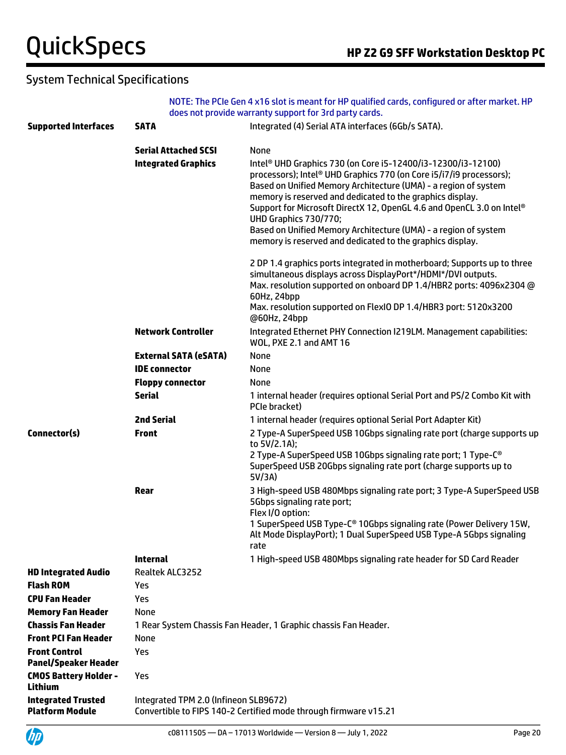### System Technical Specifications

|                                                     |                                       | NOTE: The PCIe Gen 4 x16 slot is meant for HP qualified cards, configured or after market. HP<br>does not provide warranty support for 3rd party cards.                                                                                                                                                                                                                                                                                              |
|-----------------------------------------------------|---------------------------------------|------------------------------------------------------------------------------------------------------------------------------------------------------------------------------------------------------------------------------------------------------------------------------------------------------------------------------------------------------------------------------------------------------------------------------------------------------|
| <b>Supported Interfaces</b>                         | <b>SATA</b>                           | Integrated (4) Serial ATA interfaces (6Gb/s SATA).                                                                                                                                                                                                                                                                                                                                                                                                   |
|                                                     |                                       |                                                                                                                                                                                                                                                                                                                                                                                                                                                      |
|                                                     | <b>Serial Attached SCSI</b>           | None                                                                                                                                                                                                                                                                                                                                                                                                                                                 |
|                                                     | <b>Integrated Graphics</b>            | Intel <sup>®</sup> UHD Graphics 730 (on Core i5-12400/i3-12300/i3-12100)<br>processors); Intel® UHD Graphics 770 (on Core i5/i7/i9 processors);<br>Based on Unified Memory Architecture (UMA) - a region of system<br>memory is reserved and dedicated to the graphics display.<br>Support for Microsoft DirectX 12, OpenGL 4.6 and OpenCL 3.0 on Intel®<br>UHD Graphics 730/770;<br>Based on Unified Memory Architecture (UMA) - a region of system |
|                                                     |                                       | memory is reserved and dedicated to the graphics display.                                                                                                                                                                                                                                                                                                                                                                                            |
|                                                     |                                       | 2 DP 1.4 graphics ports integrated in motherboard; Supports up to three<br>simultaneous displays across DisplayPort*/HDMI*/DVI outputs.<br>Max. resolution supported on onboard DP 1.4/HBR2 ports: 4096x2304 @<br>60Hz, 24bpp<br>Max. resolution supported on FlexIO DP 1.4/HBR3 port: 5120x3200<br>@60Hz, 24bpp                                                                                                                                     |
|                                                     | <b>Network Controller</b>             | Integrated Ethernet PHY Connection I219LM. Management capabilities:<br>WOL, PXE 2.1 and AMT 16                                                                                                                                                                                                                                                                                                                                                       |
|                                                     | <b>External SATA (eSATA)</b>          | None                                                                                                                                                                                                                                                                                                                                                                                                                                                 |
|                                                     | <b>IDE</b> connector                  | None                                                                                                                                                                                                                                                                                                                                                                                                                                                 |
|                                                     | <b>Floppy connector</b>               | None                                                                                                                                                                                                                                                                                                                                                                                                                                                 |
|                                                     | <b>Serial</b>                         | 1 internal header (requires optional Serial Port and PS/2 Combo Kit with<br>PCIe bracket)                                                                                                                                                                                                                                                                                                                                                            |
|                                                     | <b>2nd Serial</b>                     | 1 internal header (requires optional Serial Port Adapter Kit)                                                                                                                                                                                                                                                                                                                                                                                        |
| Connector(s)                                        | <b>Front</b>                          | 2 Type-A SuperSpeed USB 10Gbps signaling rate port (charge supports up<br>to 5V/2.1A);                                                                                                                                                                                                                                                                                                                                                               |
|                                                     |                                       | 2 Type-A SuperSpeed USB 10Gbps signaling rate port; 1 Type-C <sup>®</sup><br>SuperSpeed USB 20Gbps signaling rate port (charge supports up to<br>5V/3A)                                                                                                                                                                                                                                                                                              |
|                                                     | Rear                                  | 3 High-speed USB 480Mbps signaling rate port; 3 Type-A SuperSpeed USB<br>5Gbps signaling rate port;<br>Flex I/O option:                                                                                                                                                                                                                                                                                                                              |
|                                                     |                                       | 1 SuperSpeed USB Type-C® 10Gbps signaling rate (Power Delivery 15W,<br>Alt Mode DisplayPort); 1 Dual SuperSpeed USB Type-A 5Gbps signaling<br>rate                                                                                                                                                                                                                                                                                                   |
|                                                     | <b>Internal</b>                       | 1 High-speed USB 480Mbps signaling rate header for SD Card Reader                                                                                                                                                                                                                                                                                                                                                                                    |
| <b>HD Integrated Audio</b>                          | Realtek ALC3252                       |                                                                                                                                                                                                                                                                                                                                                                                                                                                      |
| <b>Flash ROM</b>                                    | Yes                                   |                                                                                                                                                                                                                                                                                                                                                                                                                                                      |
| <b>CPU Fan Header</b>                               | Yes                                   |                                                                                                                                                                                                                                                                                                                                                                                                                                                      |
| <b>Memory Fan Header</b>                            | None                                  |                                                                                                                                                                                                                                                                                                                                                                                                                                                      |
| <b>Chassis Fan Header</b>                           |                                       | 1 Rear System Chassis Fan Header, 1 Graphic chassis Fan Header.                                                                                                                                                                                                                                                                                                                                                                                      |
| <b>Front PCI Fan Header</b>                         | None                                  |                                                                                                                                                                                                                                                                                                                                                                                                                                                      |
| <b>Front Control</b><br><b>Panel/Speaker Header</b> | Yes                                   |                                                                                                                                                                                                                                                                                                                                                                                                                                                      |
| <b>CMOS Battery Holder -</b><br>Lithium             | Yes                                   |                                                                                                                                                                                                                                                                                                                                                                                                                                                      |
| <b>Integrated Trusted</b><br><b>Platform Module</b> | Integrated TPM 2.0 (Infineon SLB9672) | Convertible to FIPS 140-2 Certified mode through firmware v15.21                                                                                                                                                                                                                                                                                                                                                                                     |

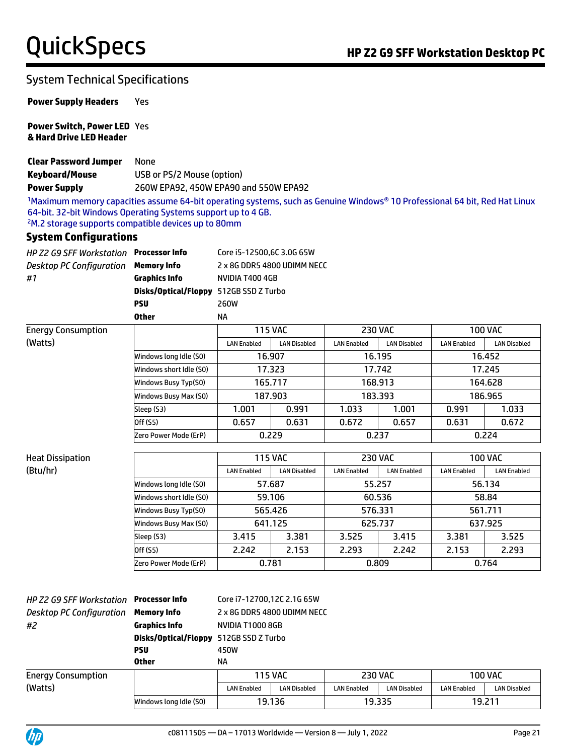### System Technical Specifications

**Power Supply Headers** Yes

**Power Switch, Power LED**  Yes **& Hard Drive LED Header**

**Clear Password Jumper** None **Keyboard/Mouse** USB or PS/2 Mouse (option) **Power Supply** 260W EPA92, 450W EPA90 and 550W EPA92

1Maximum memory capacities assume 64-bit operating systems, such as Genuine Windows® 10 Professional 64 bit, Red Hat Linux 64-bit. 32-bit Windows Operating Systems support up to 4 GB. <sup>2</sup>M.2 storage supports compatible devices up to 80mm

#### **System Configurations**

| HP Z2 G9 SFF Workstation Processor Info |                                               | Core i5-12500,6C 3.0G 65W   |
|-----------------------------------------|-----------------------------------------------|-----------------------------|
| Desktop PC Configuration                | <b>Memory Info</b>                            | 2 x 8G DDR5 4800 UDIMM NECC |
| #1                                      | Graphics Info                                 | NVIDIA T400 4GB             |
|                                         | <b>Disks/Optical/Floppy</b> 512GB SSD Z Turbo |                             |
|                                         | PSU                                           | <b>260W</b>                 |
|                                         | <b>Other</b>                                  | ΝA                          |

| <b>Energy Consumption</b> |                         | <b>115 VAC</b>     |                     | <b>230 VAC</b>     |                     | <b>100 VAC</b>     |                     |
|---------------------------|-------------------------|--------------------|---------------------|--------------------|---------------------|--------------------|---------------------|
| (Watts)                   |                         | <b>LAN Enabled</b> | <b>LAN Disabled</b> | <b>LAN Enabled</b> | <b>LAN Disabled</b> | <b>LAN Enabled</b> | <b>LAN Disabled</b> |
|                           | Windows long Idle (S0)  | 16.907             |                     | 16.195             |                     | 16.452             |                     |
|                           | Windows short Idle (SO) | 17.323             |                     | 17.742             |                     | 17.245             |                     |
|                           | Windows Busy Typ(S0)    | 165.717            |                     | 168.913            |                     | 164.628            |                     |
|                           | Windows Busy Max (S0)   | 187.903            |                     | 183.393            |                     | 186.965            |                     |
|                           | Sleep (S3)              | .001               | 0.991               | 1.033              | 1.001               | 0.991              | 1.033               |
|                           | Off (S5)                | 0.657              | 0.631               | 0.672              | 0.657               | 0.631              | 0.672               |
|                           | Zero Power Mode (ErP)   | 0.229              |                     | 0.237              |                     | 0.224              |                     |

| <b>Heat Dissipation</b> |                         | <b>115 VAC</b>     |                     | <b>230 VAC</b>     |                    | <b>100 VAC</b>     |                    |
|-------------------------|-------------------------|--------------------|---------------------|--------------------|--------------------|--------------------|--------------------|
| (Btu/hr)                |                         | <b>LAN Enabled</b> | <b>LAN Disabled</b> | <b>LAN Enabled</b> | <b>LAN Enabled</b> | <b>LAN Enabled</b> | <b>LAN Enabled</b> |
|                         | Windows long Idle (SO)  | 57.687             |                     | 55.257             |                    | 56.134             |                    |
|                         | Windows short Idle (S0) | 59.106             |                     | 60.536             |                    | 58.84              |                    |
|                         | Windows Busy Typ(S0)    | 565.426            |                     | 576.331            |                    | 561.711            |                    |
|                         | Windows Busy Max (S0)   | 641.125            |                     | 625.737            |                    | 637.925            |                    |
|                         | Sleep (S3)              | 3.415              | 3.381               | 3.525              | 3.415              | 3.381              | 3.525              |
|                         | Off (S5)                | 2.242              | 2.153               | 2.293              | 2.242              | 2.153              | 2.293              |
|                         | Zero Power Mode (ErP)   | 0.781              |                     | 0.809              |                    | 0.764              |                    |

| HP Z2 G9 SFF Workstation  | Processor Info         | Core i7-12700,12C 2.1G 65W  |                     |                    |                     |                    |                     |
|---------------------------|------------------------|-----------------------------|---------------------|--------------------|---------------------|--------------------|---------------------|
| Desktop PC Configuration  | Memory Info            | 2 x 8G DDR5 4800 UDIMM NECC |                     |                    |                     |                    |                     |
| #2                        | <b>Graphics Info</b>   | NVIDIA T1000 8GB            |                     |                    |                     |                    |                     |
|                           | Disks/Optical/Floppy   | 512GB SSD Z Turbo           |                     |                    |                     |                    |                     |
|                           | PSU                    | 450W                        |                     |                    |                     |                    |                     |
|                           | <b>Other</b>           | ΝA                          |                     |                    |                     |                    |                     |
| <b>Energy Consumption</b> |                        |                             | <b>115 VAC</b>      |                    | <b>230 VAC</b>      |                    | <b>100 VAC</b>      |
| (Watts)                   |                        | <b>LAN Enabled</b>          | <b>LAN Disabled</b> | <b>LAN Enabled</b> | <b>LAN Disabled</b> | <b>LAN Enabled</b> | <b>LAN Disabled</b> |
|                           | Windows long Idle (SO) |                             | 19.136              | 19.335             |                     | 19.211             |                     |

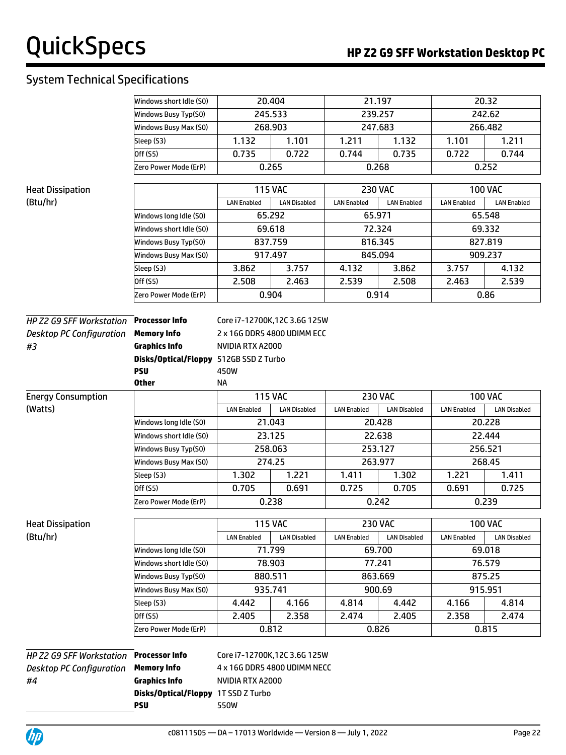### System Technical Specifications

|                                 | Windows short Idle (S0)                   | 20.404                        |                     | 21.197             |                     | 20.32              |                     |
|---------------------------------|-------------------------------------------|-------------------------------|---------------------|--------------------|---------------------|--------------------|---------------------|
|                                 | Windows Busy Typ(S0)                      | 245.533                       |                     | 239.257            |                     |                    | 242.62              |
|                                 | Windows Busy Max (S0)                     | 268.903                       |                     | 247.683            |                     |                    | 266.482             |
|                                 | Sleep (S3)                                | 1.132                         | 1.101               | 1.211              | 1.132               | 1.101              | 1.211               |
|                                 | Off (S5)                                  | 0.735                         | 0.722               | 0.744              | 0.735               | 0.722              | 0.744               |
|                                 | Zero Power Mode (ErP)                     | 0.265                         |                     | 0.268              |                     |                    | 0.252               |
| <b>Heat Dissipation</b>         |                                           |                               | <b>115 VAC</b>      | <b>230 VAC</b>     |                     |                    | <b>100 VAC</b>      |
| (Btu/hr)                        |                                           | <b>LAN Enabled</b>            | <b>LAN Disabled</b> | <b>LAN Enabled</b> | <b>LAN Enabled</b>  | <b>LAN Enabled</b> | <b>LAN Enabled</b>  |
|                                 | Windows long Idle (S0)                    | 65.292                        |                     | 65.971             |                     |                    | 65.548              |
|                                 | Windows short Idle (S0)                   | 69.618                        |                     | 72.324             |                     |                    | 69.332              |
|                                 | Windows Busy Typ(S0)                      | 837.759                       |                     | 816.345            |                     |                    | 827.819             |
|                                 | Windows Busy Max (S0)                     | 845.094<br>917.497            |                     |                    |                     |                    | 909.237             |
|                                 | Sleep (S3)                                | 3.862                         | 3.757               | 4.132              | 3.862               | 3.757              | 4.132               |
|                                 | Off (S5)                                  | 2.508                         | 2.463               | 2.539              | 2.508               | 2.463              | 2.539               |
|                                 | Zero Power Mode (ErP)                     | 0.904                         |                     | 0.914              |                     |                    | 0.86                |
|                                 |                                           |                               |                     |                    |                     |                    |                     |
| HP Z2 G9 SFF Workstation        | <b>Processor Info</b>                     | Core i7-12700K, 12C 3.6G 125W |                     |                    |                     |                    |                     |
| <b>Desktop PC Configuration</b> | <b>Memory Info</b>                        | 2 x 16G DDR5 4800 UDIMM ECC   |                     |                    |                     |                    |                     |
| #3                              | <b>Graphics Info</b>                      | NVIDIA RTX A2000              |                     |                    |                     |                    |                     |
|                                 | <b>Disks/Optical/Floppy</b><br><b>PSU</b> | 512GB SSD Z Turbo<br>450W     |                     |                    |                     |                    |                     |
|                                 | <b>Other</b>                              | <b>NA</b>                     |                     |                    |                     |                    |                     |
| <b>Energy Consumption</b>       |                                           |                               | <b>115 VAC</b>      |                    | <b>230 VAC</b>      |                    | <b>100 VAC</b>      |
| (Watts)                         |                                           | <b>LAN Enabled</b>            | <b>LAN Disabled</b> | <b>LAN Enabled</b> | <b>LAN Disabled</b> | <b>LAN Enabled</b> | <b>LAN Disabled</b> |
|                                 | Windows long Idle (S0)                    | 21.043                        |                     | 20.428             |                     |                    | 20.228              |
|                                 | Windows short Idle (SO)                   | 23.125                        |                     |                    | 22.638              | 22.444             |                     |
|                                 | Windows Busy Typ(S0)                      | 258.063                       |                     |                    | 253.127             |                    | 256.521             |
|                                 | Windows Busy Max (S0)                     | 274.25                        |                     | 263.977            |                     |                    | 268.45              |
|                                 | Sleep (S3)                                | 1.302                         | 1.221               | 1.411              | 1.302               | 1.221              | 1.411               |
|                                 | Off (S5)                                  | 0.705                         | 0.691               | 0.725              | 0.705               | 0.691              | 0.725               |
|                                 | Zero Power Mode (ErP)                     | 0.238                         |                     |                    | 0.242               |                    | 0.239               |
| <b>Heat Dissipation</b>         |                                           |                               | <b>115 VAC</b>      |                    | <b>230 VAC</b>      |                    | <b>100 VAC</b>      |
| (Btu/hr)                        |                                           | <b>LAN Enabled</b>            | <b>LAN Disabled</b> | <b>LAN Enabled</b> | <b>LAN Disabled</b> | <b>LAN Enabled</b> | <b>LAN Disabled</b> |
|                                 | Windows long Idle (S0)                    | 71.799                        |                     |                    | 69.700              |                    | 69.018              |
|                                 | Windows short Idle (S0)                   | 78.903                        |                     |                    | 77.241              |                    | 76.579              |
|                                 | Windows Busy Typ(S0)                      | 880.511                       |                     |                    | 863.669             |                    | 875.25              |
|                                 | Windows Busy Max (S0)                     | 935.741                       |                     |                    | 900.69              |                    | 915.951             |
|                                 | Sleep (S3)                                | 4.442                         | 4.166               | 4.814              | 4.442               | 4.166              | 4.814               |
|                                 | Off (S5)                                  | 2.405                         | 2.358               | 2.474              | 2.405               | 2.358              | 2.474               |
|                                 | Zero Power Mode (ErP)                     | 0.812                         |                     |                    | 0.826               |                    | 0.815               |
|                                 |                                           |                               |                     |                    |                     |                    |                     |
| HP Z2 G9 SFF Workstation        | <b>Processor Info</b>                     | Core i7-12700K, 12C 3.6G 125W |                     |                    |                     |                    |                     |
| <b>Desktop PC Configuration</b> | <b>Memory Info</b>                        | 4 x 16G DDR5 4800 UDIMM NECC  |                     |                    |                     |                    |                     |
| #4                              | <b>Graphics Info</b>                      | NVIDIA RTX A2000              |                     |                    |                     |                    |                     |
|                                 | Disks/Optical/Floppy 1T SSD Z Turbo       |                               |                     |                    |                     |                    |                     |
|                                 | <b>PSU</b>                                | 550W                          |                     |                    |                     |                    |                     |

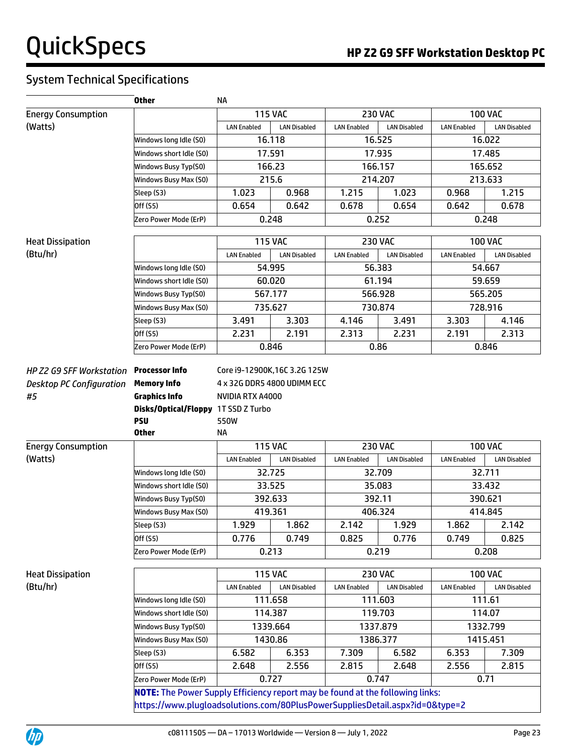### System Technical Specifications

|                                 | <b>Other</b>                                                                         | <b>NA</b>                     |                     |                    |                     |                    |                     |
|---------------------------------|--------------------------------------------------------------------------------------|-------------------------------|---------------------|--------------------|---------------------|--------------------|---------------------|
| <b>Energy Consumption</b>       |                                                                                      |                               | <b>115 VAC</b>      |                    | <b>230 VAC</b>      |                    | <b>100 VAC</b>      |
| (Watts)                         |                                                                                      | <b>LAN Enabled</b>            | <b>LAN Disabled</b> | <b>LAN Enabled</b> | <b>LAN Disabled</b> | <b>LAN Enabled</b> | <b>LAN Disabled</b> |
|                                 | Windows long Idle (S0)                                                               |                               | 16.118              |                    | 16.525              |                    | 16.022              |
|                                 | Windows short Idle (S0)                                                              |                               | 17.591              |                    | 17.935              |                    | 17.485              |
|                                 | Windows Busy Typ(S0)                                                                 |                               | 166.23              |                    | 166.157             |                    | 165.652             |
|                                 | Windows Busy Max (S0)                                                                |                               | 215.6               |                    | 214.207             |                    | 213.633             |
|                                 | Sleep (S3)                                                                           | 1.023                         | 0.968               | 1.215              | 1.023               | 0.968              | 1.215               |
|                                 | Off (S5)                                                                             | 0.654                         | 0.642               | 0.678              | 0.654               | 0.642              | 0.678               |
|                                 | Zero Power Mode (ErP)                                                                |                               | 0.248               |                    | 0.252               |                    | 0.248               |
| <b>Heat Dissipation</b>         |                                                                                      |                               | <b>115 VAC</b>      |                    | <b>230 VAC</b>      |                    | <b>100 VAC</b>      |
| (Btu/hr)                        |                                                                                      | <b>LAN Enabled</b>            | <b>LAN Disabled</b> | <b>LAN Enabled</b> | <b>LAN Disabled</b> | <b>LAN Enabled</b> | <b>LAN Disabled</b> |
|                                 | Windows long Idle (S0)                                                               |                               | 54.995              |                    | 56.383              |                    | 54.667              |
|                                 | Windows short Idle (S0)                                                              |                               | 60.020              |                    | 61.194              |                    | 59.659              |
|                                 | Windows Busy Typ(S0)                                                                 |                               | 567.177             |                    | 566.928             |                    | 565.205             |
|                                 | Windows Busy Max (S0)                                                                |                               | 735.627             |                    | 730.874             |                    | 728.916             |
|                                 | Sleep (S3)                                                                           | 3.491                         | 3.303               | 4.146              | 3.491               | 3.303              | 4.146               |
|                                 | Off (S5)                                                                             | 2.231                         | 2.191               | 2.313              | 2.231               | 2.191              | 2.313               |
|                                 | Zero Power Mode (ErP)                                                                |                               | 0.846               |                    | 0.86                |                    | 0.846               |
| <b>HP Z2 G9 SFF Workstation</b> | <b>Processor Info</b>                                                                | Core i9-12900K, 16C 3.2G 125W |                     |                    |                     |                    |                     |
| <b>Desktop PC Configuration</b> | <b>Memory Info</b>                                                                   | 4 x 32G DDR5 4800 UDIMM ECC   |                     |                    |                     |                    |                     |
| #5                              | <b>Graphics Info</b>                                                                 | NVIDIA RTX A4000              |                     |                    |                     |                    |                     |
|                                 | <b>Disks/Optical/Floppy</b>                                                          | 1T SSD Z Turbo                |                     |                    |                     |                    |                     |
|                                 | <b>PSU</b>                                                                           | 550W                          |                     |                    |                     |                    |                     |
|                                 | <b>Other</b>                                                                         | <b>NA</b>                     |                     |                    |                     |                    |                     |
| <b>Energy Consumption</b>       |                                                                                      |                               | <b>115 VAC</b>      |                    | <b>230 VAC</b>      |                    | <b>100 VAC</b>      |
| (Watts)                         |                                                                                      | <b>LAN Enabled</b>            | <b>LAN Disabled</b> | <b>LAN Enabled</b> | <b>LAN Disabled</b> | <b>LAN Enabled</b> | <b>LAN Disabled</b> |
|                                 | Windows long Idle (SO)                                                               |                               | 32.725              |                    | 32.709              |                    | 32.711              |
|                                 | Windows short Idle (SO)                                                              |                               | 33.525              |                    | 35.083              |                    | 33.432              |
|                                 | Windows Busy Typ(S0)                                                                 |                               | 392.633             | 392.11             |                     | 390.621            |                     |
|                                 | Windows Busy Max (S0)                                                                |                               | 419.361             | 406.324            |                     | 414.845            |                     |
|                                 | Sleep (S3)                                                                           | 1.929                         | 1.862               | 2.142              | 1.929               | 1.862              | 2.142               |
|                                 | Off (S5)                                                                             | 0.776                         | 0.749               | 0.825              | 0.776               | 0.749              | 0.825               |
|                                 | Zero Power Mode (ErP)                                                                |                               | 0.213               |                    | 0.219               | 0.208              |                     |
| <b>Heat Dissipation</b>         |                                                                                      |                               | <b>115 VAC</b>      |                    | <b>230 VAC</b>      |                    | <b>100 VAC</b>      |
| (Btu/hr)                        |                                                                                      | <b>LAN Enabled</b>            | <b>LAN Disabled</b> | <b>LAN Enabled</b> | <b>LAN Disabled</b> | <b>LAN Enabled</b> | <b>LAN Disabled</b> |
|                                 | Windows long Idle (S0)                                                               |                               | 111.658             |                    | 111.603             |                    | 111.61              |
|                                 | Windows short Idle (S0)                                                              |                               | 114.387             | 119.703            |                     |                    | 114.07              |
|                                 | Windows Busy Typ(S0)                                                                 |                               | 1339.664            | 1337.879           |                     |                    | 1332.799            |
|                                 | Windows Busy Max (S0)                                                                |                               | 1430.86             |                    | 1386.377            |                    | 1415.451            |
|                                 | Sleep (S3)                                                                           | 6.582                         | 6.353               | 7.309              | 6.582               | 6.353              | 7.309               |
|                                 | Off (S5)                                                                             | 2.648                         | 2.556               | 2.815              | 2.648               | 2.556              | 2.815               |
|                                 | Zero Power Mode (ErP)                                                                |                               | 0.727               |                    | 0.747               |                    | 0.71                |
|                                 | <b>NOTE:</b> The Power Supply Efficiency report may be found at the following links: |                               |                     |                    |                     |                    |                     |
|                                 | https://www.plugloadsolutions.com/80PlusPowerSuppliesDetail.aspx?id=0&type=2         |                               |                     |                    |                     |                    |                     |

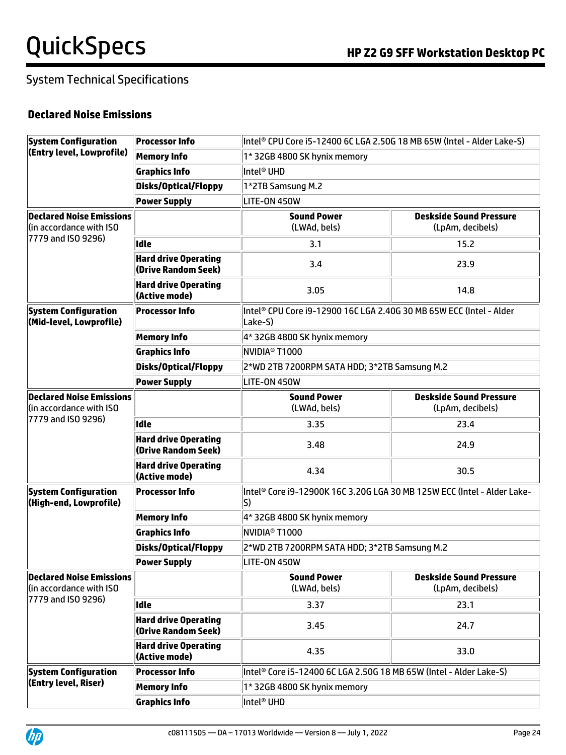### System Technical Specifications

#### **Declared Noise Emissions**

| <b>System Configuration</b>                                                      | <b>Processor Info</b>                              | Intel <sup>®</sup> CPU Core i5-12400 6C LGA 2.50G 18 MB 65W (Intel - Alder Lake-S) |                                                    |  |  |  |
|----------------------------------------------------------------------------------|----------------------------------------------------|------------------------------------------------------------------------------------|----------------------------------------------------|--|--|--|
| (Entry level, Lowprofile)                                                        | <b>Memory Info</b>                                 | 1* 32GB 4800 SK hynix memory                                                       |                                                    |  |  |  |
|                                                                                  | <b>Graphics Info</b>                               | Intel® UHD                                                                         |                                                    |  |  |  |
|                                                                                  | <b>Disks/Optical/Floppy</b>                        | 1*2TB Samsung M.2                                                                  |                                                    |  |  |  |
|                                                                                  | <b>Power Supply</b>                                | LITE-ON 450W                                                                       |                                                    |  |  |  |
| <b>Declared Noise Emissions</b><br>(in accordance with ISO                       |                                                    | <b>Sound Power</b><br>(LWAd, bels)                                                 | <b>Deskside Sound Pressure</b><br>(LpAm, decibels) |  |  |  |
| 7779 and ISO 9296)                                                               | <b>Idle</b>                                        | 3.1                                                                                | 15.2                                               |  |  |  |
|                                                                                  | <b>Hard drive Operating</b><br>(Drive Random Seek) | 3.4                                                                                | 23.9                                               |  |  |  |
|                                                                                  | <b>Hard drive Operating</b><br>(Active mode)       | 3.05                                                                               | 14.8                                               |  |  |  |
| <b>System Configuration</b><br>(Mid-level, Lowprofile)                           | <b>Processor Info</b>                              | Intel® CPU Core i9-12900 16C LGA 2.40G 30 MB 65W ECC (Intel - Alder<br>Lake-S)     |                                                    |  |  |  |
|                                                                                  | <b>Memory Info</b>                                 | 4* 32GB 4800 SK hynix memory                                                       |                                                    |  |  |  |
|                                                                                  | <b>Graphics Info</b>                               | <b>NVIDIA® T1000</b>                                                               |                                                    |  |  |  |
|                                                                                  | <b>Disks/Optical/Floppy</b>                        | 2*WD 2TB 7200RPM SATA HDD; 3*2TB Samsung M.2                                       |                                                    |  |  |  |
|                                                                                  | <b>Power Supply</b>                                | LITE-ON 450W                                                                       |                                                    |  |  |  |
| <b>Declared Noise Emissions</b><br>(in accordance with ISO<br>7779 and ISO 9296) |                                                    | <b>Sound Power</b><br>(LWAd, bels)                                                 | <b>Deskside Sound Pressure</b><br>(LpAm, decibels) |  |  |  |
|                                                                                  | <b>Idle</b>                                        | 3.35                                                                               | 23.4                                               |  |  |  |
|                                                                                  | <b>Hard drive Operating</b><br>(Drive Random Seek) | 3.48                                                                               | 24.9                                               |  |  |  |
|                                                                                  | <b>Hard drive Operating</b><br>(Active mode)       | 4.34                                                                               | 30.5                                               |  |  |  |
| <b>System Configuration</b><br>(High-end, Lowprofile)                            | <b>Processor Info</b>                              | Intel® Core i9-12900K 16C 3.20G LGA 30 MB 125W ECC (Intel - Alder Lake-<br>S)      |                                                    |  |  |  |
|                                                                                  | <b>Memory Info</b>                                 | 4* 32GB 4800 SK hynix memory                                                       |                                                    |  |  |  |
|                                                                                  | <b>Graphics Info</b>                               | <b>NVIDIA® T1000</b>                                                               |                                                    |  |  |  |
|                                                                                  | <b>Disks/Optical/Floppy</b>                        | 2*WD 2TB 7200RPM SATA HDD; 3*2TB Samsung M.2                                       |                                                    |  |  |  |
|                                                                                  | <b>Power Supply</b>                                | LITE-ON 450W                                                                       |                                                    |  |  |  |
| <b>Declared Noise Emissions</b><br>(in accordance with ISO                       |                                                    | <b>Sound Power</b><br>(LWAd, bels)                                                 | <b>Deskside Sound Pressure</b><br>(LpAm, decibels) |  |  |  |
| 7779 and ISO 9296)                                                               | <b>Idle</b>                                        | 3.37                                                                               | 23.1                                               |  |  |  |
|                                                                                  | <b>Hard drive Operating</b><br>(Drive Random Seek) | 3.45                                                                               | 24.7                                               |  |  |  |
|                                                                                  | <b>Hard drive Operating</b><br>(Active mode)       | 4.35                                                                               | 33.0                                               |  |  |  |
| <b>System Configuration</b>                                                      | <b>Processor Info</b>                              | Intel® Core i5-12400 6C LGA 2.50G 18 MB 65W (Intel - Alder Lake-S)                 |                                                    |  |  |  |
| (Entry level, Riser)                                                             | <b>Memory Info</b>                                 | 1* 32GB 4800 SK hynix memory                                                       |                                                    |  |  |  |
|                                                                                  | <b>Graphics Info</b>                               | Intel <sup>®</sup> UHD                                                             |                                                    |  |  |  |

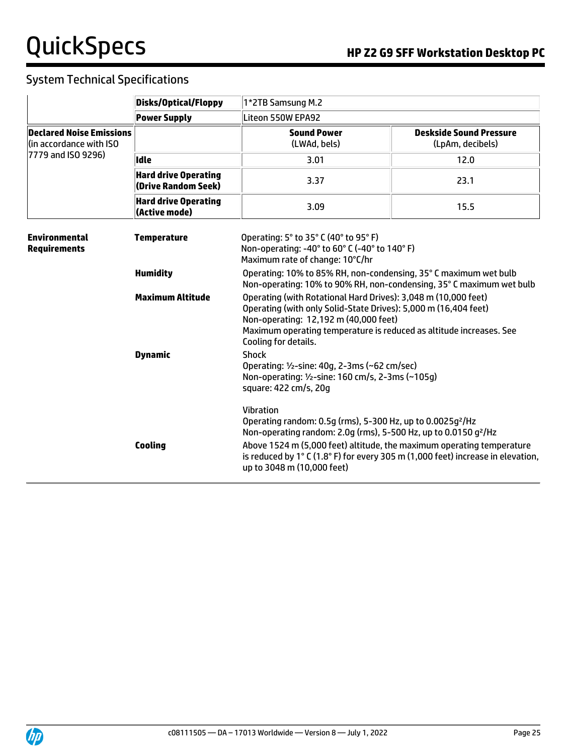### System Technical Specifications

|                                                            | <b>Disks/Optical/Floppy</b>                        | 1*2TB Samsung M.2                                                                                                                                                                                                                                                                                                                                                   |                                                                                                                                          |  |  |  |  |  |
|------------------------------------------------------------|----------------------------------------------------|---------------------------------------------------------------------------------------------------------------------------------------------------------------------------------------------------------------------------------------------------------------------------------------------------------------------------------------------------------------------|------------------------------------------------------------------------------------------------------------------------------------------|--|--|--|--|--|
|                                                            | <b>Power Supply</b>                                | Liteon 550W EPA92                                                                                                                                                                                                                                                                                                                                                   |                                                                                                                                          |  |  |  |  |  |
| <b>Declared Noise Emissions</b><br>(in accordance with ISO |                                                    | <b>Sound Power</b><br>(LWAd, bels)                                                                                                                                                                                                                                                                                                                                  | <b>Deskside Sound Pressure</b><br>(LpAm, decibels)                                                                                       |  |  |  |  |  |
| 7779 and ISO 9296)                                         | Idle                                               | 3.01                                                                                                                                                                                                                                                                                                                                                                | 12.0                                                                                                                                     |  |  |  |  |  |
|                                                            | <b>Hard drive Operating</b><br>(Drive Random Seek) | 3.37                                                                                                                                                                                                                                                                                                                                                                | 23.1                                                                                                                                     |  |  |  |  |  |
|                                                            | <b>Hard drive Operating</b><br>(Active mode)       | 3.09                                                                                                                                                                                                                                                                                                                                                                | 15.5                                                                                                                                     |  |  |  |  |  |
| <b>Environmental</b><br><b>Requirements</b>                | <b>Temperature</b>                                 | Operating: 5° to 35° C (40° to 95° F)<br>Maximum rate of change: 10°C/hr                                                                                                                                                                                                                                                                                            | Non-operating: -40° to 60° C (-40° to 140° F)                                                                                            |  |  |  |  |  |
|                                                            | <b>Humidity</b>                                    |                                                                                                                                                                                                                                                                                                                                                                     | Operating: 10% to 85% RH, non-condensing, 35° C maximum wet bulb<br>Non-operating: 10% to 90% RH, non-condensing, 35° C maximum wet bulb |  |  |  |  |  |
|                                                            | <b>Maximum Altitude</b>                            | Operating (with Rotational Hard Drives): 3,048 m (10,000 feet)<br>Operating (with only Solid-State Drives): 5,000 m (16,404 feet)<br>Non-operating: 12,192 m (40,000 feet)<br>Maximum operating temperature is reduced as altitude increases. See<br>Cooling for details.                                                                                           |                                                                                                                                          |  |  |  |  |  |
|                                                            | <b>Dynamic</b>                                     | <b>Shock</b><br>Operating: 1/2-sine: 40g, 2-3ms (~62 cm/sec)<br>Non-operating: 1/2-sine: 160 cm/s, 2-3ms (~105g)<br>square: 422 cm/s, 20g                                                                                                                                                                                                                           |                                                                                                                                          |  |  |  |  |  |
|                                                            | <b>Cooling</b>                                     | <b>Vibration</b><br>Operating random: 0.5g (rms), 5-300 Hz, up to 0.0025g <sup>2</sup> /Hz<br>Non-operating random: 2.0g (rms), 5-500 Hz, up to 0.0150 g <sup>2</sup> /Hz<br>Above 1524 m (5,000 feet) altitude, the maximum operating temperature<br>is reduced by 1° C (1.8° F) for every 305 m (1,000 feet) increase in elevation,<br>up to 3048 m (10,000 feet) |                                                                                                                                          |  |  |  |  |  |

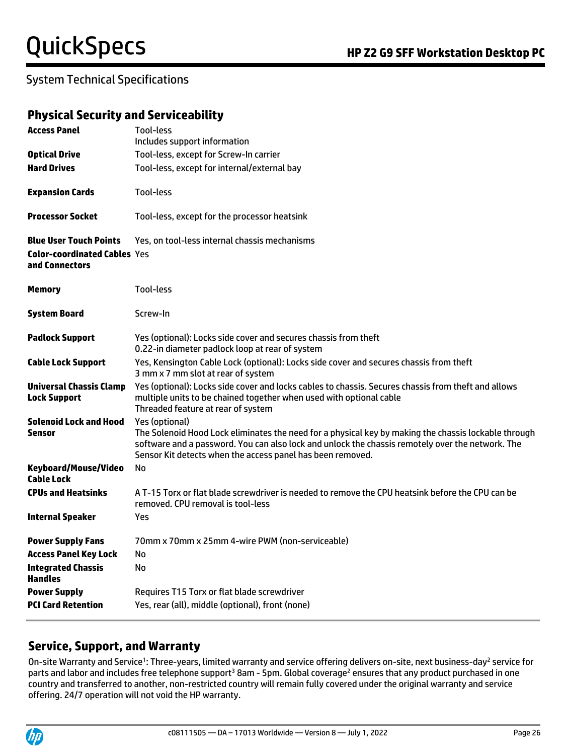#### System Technical Specifications

#### **Physical Security and Serviceability**

| <b>Access Panel</b>                                                                    | Tool-less<br>Includes support information                                                                                                                                                                                                                                                |
|----------------------------------------------------------------------------------------|------------------------------------------------------------------------------------------------------------------------------------------------------------------------------------------------------------------------------------------------------------------------------------------|
| <b>Optical Drive</b>                                                                   | Tool-less, except for Screw-In carrier                                                                                                                                                                                                                                                   |
| <b>Hard Drives</b>                                                                     | Tool-less, except for internal/external bay                                                                                                                                                                                                                                              |
|                                                                                        |                                                                                                                                                                                                                                                                                          |
| <b>Expansion Cards</b>                                                                 | Tool-less                                                                                                                                                                                                                                                                                |
| <b>Processor Socket</b>                                                                | Tool-less, except for the processor heatsink                                                                                                                                                                                                                                             |
| <b>Blue User Touch Points</b><br><b>Color-coordinated Cables Yes</b><br>and Connectors | Yes, on tool-less internal chassis mechanisms                                                                                                                                                                                                                                            |
| <b>Memory</b>                                                                          | Tool-less                                                                                                                                                                                                                                                                                |
| <b>System Board</b>                                                                    | Screw-In                                                                                                                                                                                                                                                                                 |
| <b>Padlock Support</b>                                                                 | Yes (optional): Locks side cover and secures chassis from theft<br>0.22-in diameter padlock loop at rear of system                                                                                                                                                                       |
| <b>Cable Lock Support</b>                                                              | Yes, Kensington Cable Lock (optional): Locks side cover and secures chassis from theft<br>3 mm x 7 mm slot at rear of system                                                                                                                                                             |
| <b>Universal Chassis Clamp</b><br><b>Lock Support</b>                                  | Yes (optional): Locks side cover and locks cables to chassis. Secures chassis from theft and allows<br>multiple units to be chained together when used with optional cable<br>Threaded feature at rear of system                                                                         |
| <b>Solenoid Lock and Hood</b><br><b>Sensor</b>                                         | Yes (optional)<br>The Solenoid Hood Lock eliminates the need for a physical key by making the chassis lockable through<br>software and a password. You can also lock and unlock the chassis remotely over the network. The<br>Sensor Kit detects when the access panel has been removed. |
| Keyboard/Mouse/Video<br>Cable Lock                                                     | No                                                                                                                                                                                                                                                                                       |
| <b>CPUs and Heatsinks</b>                                                              | A T-15 Torx or flat blade screwdriver is needed to remove the CPU heatsink before the CPU can be<br>removed. CPU removal is tool-less                                                                                                                                                    |
| <b>Internal Speaker</b>                                                                | Yes                                                                                                                                                                                                                                                                                      |
| <b>Power Supply Fans</b>                                                               | 70mm x 70mm x 25mm 4-wire PWM (non-serviceable)                                                                                                                                                                                                                                          |
| <b>Access Panel Key Lock</b>                                                           | No                                                                                                                                                                                                                                                                                       |
| <b>Integrated Chassis</b><br><b>Handles</b>                                            | No                                                                                                                                                                                                                                                                                       |
| <b>Power Supply</b><br><b>PCI Card Retention</b>                                       | Requires T15 Torx or flat blade screwdriver<br>Yes, rear (all), middle (optional), front (none)                                                                                                                                                                                          |
|                                                                                        |                                                                                                                                                                                                                                                                                          |

#### **Service, Support, and Warranty**

On-site Warranty and Service<sup>1</sup>: Three-years, limited warranty and service offering delivers on-site, next business-day<sup>2</sup> service for parts and labor and includes free telephone support<sup>3</sup> 8am - 5pm. Global coverage<sup>2</sup> ensures that any product purchased in one country and transferred to another, non-restricted country will remain fully covered under the original warranty and service offering. 24/7 operation will not void the HP warranty.

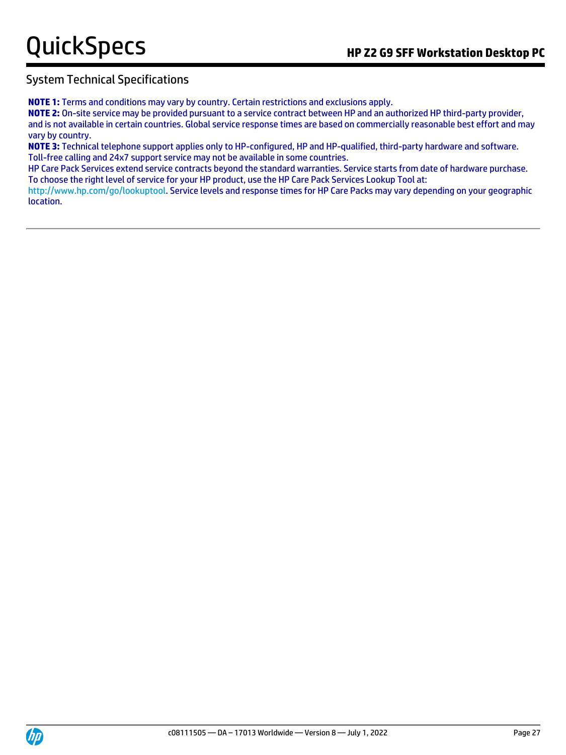#### System Technical Specifications

**NOTE 1:** Terms and conditions may vary by country. Certain restrictions and exclusions apply.

**NOTE 2:** On-site service may be provided pursuant to a service contract between HP and an authorized HP third-party provider, and is not available in certain countries. Global service response times are based on commercially reasonable best effort and may vary by country.

**NOTE 3:** Technical telephone support applies only to HP-configured, HP and HP-qualified, third-party hardware and software. Toll-free calling and 24x7 support service may not be available in some countries.

HP Care Pack Services extend service contracts beyond the standard warranties. Service starts from date of hardware purchase. To choose the right level of service for your HP product, use the HP Care Pack Services Lookup Tool at:

[http://www.hp.com/go/lookuptool.](http://www.hp.com/go/lookuptool) Service levels and response times for HP Care Packs may vary depending on your geographic location.

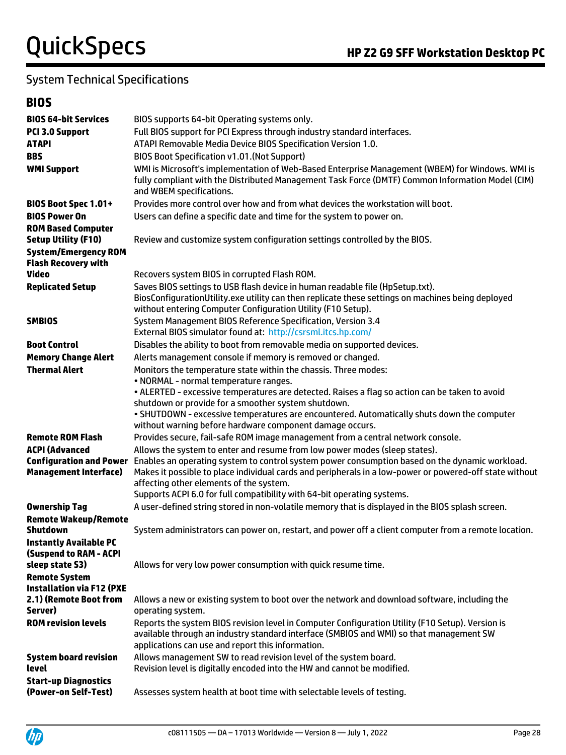### System Technical Specifications

### **BIOS**

| <b>BIOS 64-bit Services</b><br><b>PCI 3.0 Support</b>                             | BIOS supports 64-bit Operating systems only.<br>Full BIOS support for PCI Express through industry standard interfaces.                                                                                                                                                                                                         |
|-----------------------------------------------------------------------------------|---------------------------------------------------------------------------------------------------------------------------------------------------------------------------------------------------------------------------------------------------------------------------------------------------------------------------------|
| <b>ATAPI</b><br><b>BBS</b>                                                        | ATAPI Removable Media Device BIOS Specification Version 1.0.                                                                                                                                                                                                                                                                    |
| <b>WMI Support</b>                                                                | BIOS Boot Specification v1.01. (Not Support)<br>WMI is Microsoft's implementation of Web-Based Enterprise Management (WBEM) for Windows. WMI is<br>fully compliant with the Distributed Management Task Force (DMTF) Common Information Model (CIM)<br>and WBEM specifications.                                                 |
| BIOS Boot Spec 1.01+                                                              | Provides more control over how and from what devices the workstation will boot.                                                                                                                                                                                                                                                 |
| <b>BIOS Power On</b>                                                              | Users can define a specific date and time for the system to power on.                                                                                                                                                                                                                                                           |
| <b>ROM Based Computer</b>                                                         |                                                                                                                                                                                                                                                                                                                                 |
| <b>Setup Utility (F10)</b>                                                        | Review and customize system configuration settings controlled by the BIOS.                                                                                                                                                                                                                                                      |
| <b>System/Emergency ROM</b><br><b>Flash Recovery with</b>                         |                                                                                                                                                                                                                                                                                                                                 |
| <b>Video</b>                                                                      | Recovers system BIOS in corrupted Flash ROM.                                                                                                                                                                                                                                                                                    |
| <b>Replicated Setup</b>                                                           | Saves BIOS settings to USB flash device in human readable file (HpSetup.txt).<br>BiosConfigurationUtility.exe utility can then replicate these settings on machines being deployed<br>without entering Computer Configuration Utility (F10 Setup).                                                                              |
| <b>SMBIOS</b>                                                                     | System Management BIOS Reference Specification, Version 3.4                                                                                                                                                                                                                                                                     |
|                                                                                   | External BIOS simulator found at: http://csrsml.itcs.hp.com/                                                                                                                                                                                                                                                                    |
| <b>Boot Control</b>                                                               | Disables the ability to boot from removable media on supported devices.                                                                                                                                                                                                                                                         |
| <b>Memory Change Alert</b>                                                        | Alerts management console if memory is removed or changed.                                                                                                                                                                                                                                                                      |
| <b>Thermal Alert</b>                                                              | Monitors the temperature state within the chassis. Three modes:                                                                                                                                                                                                                                                                 |
|                                                                                   | • NORMAL - normal temperature ranges.                                                                                                                                                                                                                                                                                           |
|                                                                                   | . ALERTED - excessive temperatures are detected. Raises a flag so action can be taken to avoid<br>shutdown or provide for a smoother system shutdown.                                                                                                                                                                           |
|                                                                                   | . SHUTDOWN - excessive temperatures are encountered. Automatically shuts down the computer                                                                                                                                                                                                                                      |
|                                                                                   | without warning before hardware component damage occurs.                                                                                                                                                                                                                                                                        |
| <b>Remote ROM Flash</b>                                                           | Provides secure, fail-safe ROM image management from a central network console.                                                                                                                                                                                                                                                 |
| <b>ACPI (Advanced</b>                                                             | Allows the system to enter and resume from low power modes (sleep states).                                                                                                                                                                                                                                                      |
| <b>Configuration and Power</b><br><b>Management Interface)</b>                    | Enables an operating system to control system power consumption based on the dynamic workload.<br>Makes it possible to place individual cards and peripherals in a low-power or powered-off state without<br>affecting other elements of the system.<br>Supports ACPI 6.0 for full compatibility with 64-bit operating systems. |
| <b>Ownership Tag</b>                                                              | A user-defined string stored in non-volatile memory that is displayed in the BIOS splash screen.                                                                                                                                                                                                                                |
| <b>Remote Wakeup/Remote</b><br><b>Shutdown</b>                                    | System administrators can power on, restart, and power off a client computer from a remote location.                                                                                                                                                                                                                            |
| <b>Instantly Available PC</b><br><b>(Suspend to RAM - ACPI</b><br>sleep state S3) | Allows for very low power consumption with quick resume time.                                                                                                                                                                                                                                                                   |
| <b>Remote System</b>                                                              |                                                                                                                                                                                                                                                                                                                                 |
| <b>Installation via F12 (PXE</b>                                                  |                                                                                                                                                                                                                                                                                                                                 |
| 2.1) (Remote Boot from<br>Server)                                                 | Allows a new or existing system to boot over the network and download software, including the<br>operating system.                                                                                                                                                                                                              |
| <b>ROM revision levels</b>                                                        | Reports the system BIOS revision level in Computer Configuration Utility (F10 Setup). Version is<br>available through an industry standard interface (SMBIOS and WMI) so that management SW<br>applications can use and report this information.                                                                                |
| <b>System board revision</b><br>level                                             | Allows management SW to read revision level of the system board.<br>Revision level is digitally encoded into the HW and cannot be modified.                                                                                                                                                                                     |
| <b>Start-up Diagnostics</b><br>(Power-on Self-Test)                               | Assesses system health at boot time with selectable levels of testing.                                                                                                                                                                                                                                                          |

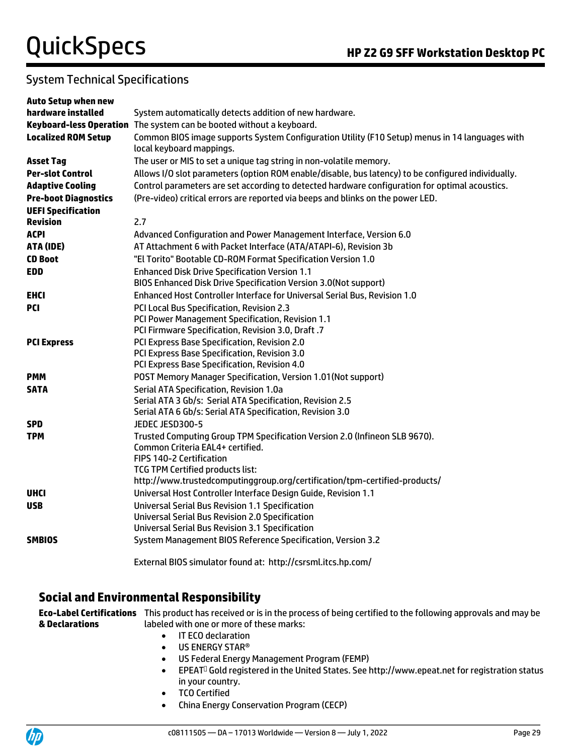#### System Technical Specifications

| <b>Auto Setup when new</b>  |                                                                                                                            |
|-----------------------------|----------------------------------------------------------------------------------------------------------------------------|
| hardware installed          | System automatically detects addition of new hardware.                                                                     |
|                             | Keyboard-less Operation The system can be booted without a keyboard.                                                       |
| <b>Localized ROM Setup</b>  | Common BIOS image supports System Configuration Utility (F10 Setup) menus in 14 languages with<br>local keyboard mappings. |
| <b>Asset Tag</b>            | The user or MIS to set a unique tag string in non-volatile memory.                                                         |
| <b>Per-slot Control</b>     | Allows I/O slot parameters (option ROM enable/disable, bus latency) to be configured individually.                         |
| <b>Adaptive Cooling</b>     | Control parameters are set according to detected hardware configuration for optimal acoustics.                             |
| <b>Pre-boot Diagnostics</b> | (Pre-video) critical errors are reported via beeps and blinks on the power LED.                                            |
| <b>UEFI Specification</b>   |                                                                                                                            |
| <b>Revision</b>             | 2.7                                                                                                                        |
| <b>ACPI</b>                 | Advanced Configuration and Power Management Interface, Version 6.0                                                         |
| ATA (IDE)                   | AT Attachment 6 with Packet Interface (ATA/ATAPI-6), Revision 3b                                                           |
| <b>CD Boot</b>              | "El Torito" Bootable CD-ROM Format Specification Version 1.0                                                               |
| <b>EDD</b>                  | <b>Enhanced Disk Drive Specification Version 1.1</b><br>BIOS Enhanced Disk Drive Specification Version 3.0(Not support)    |
| <b>EHCI</b>                 | Enhanced Host Controller Interface for Universal Serial Bus, Revision 1.0                                                  |
| <b>PCI</b>                  | PCI Local Bus Specification, Revision 2.3                                                                                  |
|                             | PCI Power Management Specification, Revision 1.1                                                                           |
|                             | PCI Firmware Specification, Revision 3.0, Draft .7                                                                         |
| <b>PCI Express</b>          | PCI Express Base Specification, Revision 2.0                                                                               |
|                             | PCI Express Base Specification, Revision 3.0                                                                               |
|                             | PCI Express Base Specification, Revision 4.0                                                                               |
| <b>PMM</b>                  | POST Memory Manager Specification, Version 1.01 (Not support)                                                              |
| <b>SATA</b>                 | Serial ATA Specification, Revision 1.0a                                                                                    |
|                             | Serial ATA 3 Gb/s: Serial ATA Specification, Revision 2.5                                                                  |
|                             | Serial ATA 6 Gb/s: Serial ATA Specification, Revision 3.0                                                                  |
| <b>SPD</b>                  | JEDEC JESD300-5                                                                                                            |
| <b>TPM</b>                  | Trusted Computing Group TPM Specification Version 2.0 (Infineon SLB 9670).                                                 |
|                             | Common Criteria EAL4+ certified.<br>FIPS 140-2 Certification                                                               |
|                             | TCG TPM Certified products list:                                                                                           |
|                             | http://www.trustedcomputinggroup.org/certification/tpm-certified-products/                                                 |
| <b>UHCI</b>                 | Universal Host Controller Interface Design Guide, Revision 1.1                                                             |
| <b>USB</b>                  | <b>Universal Serial Bus Revision 1.1 Specification</b>                                                                     |
|                             | <b>Universal Serial Bus Revision 2.0 Specification</b>                                                                     |
|                             | <b>Universal Serial Bus Revision 3.1 Specification</b>                                                                     |
| <b>SMBIOS</b>               | System Management BIOS Reference Specification, Version 3.2                                                                |
|                             | External BIOS simulator found at: http://csrsml.itcs.hp.com/                                                               |

#### **Social and Environmental Responsibility**

**Eco-Label Certifications**  This product has received or is in the process of being certified to the following approvals and may be **& Declarations** labeled with one or more of these marks:

- IT ECO declaration
- US ENERGY STAR<sup>®</sup>
- US Federal Energy Management Program (FEMP)
- EPEAT<sup>D</sup> Gold registered in the United States. See http://www.epeat.net for registration status in your country.
- TCO Certified
- China Energy Conservation Program (CECP)

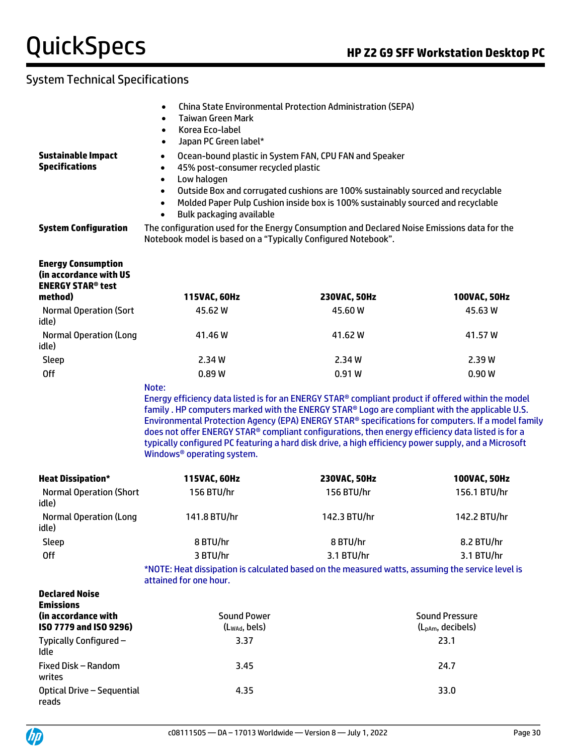### System Technical Specifications

| <b>Sustainable Impact</b><br><b>Specifications</b>                                                                          | <b>China State Environmental Protection Administration (SEPA)</b><br>$\bullet$<br><b>Taiwan Green Mark</b><br>$\bullet$<br>Korea Eco-label<br>$\bullet$<br>Japan PC Green label*<br>$\bullet$<br>Ocean-bound plastic in System FAN, CPU FAN and Speaker<br>$\bullet$<br>45% post-consumer recycled plastic<br>$\bullet$<br>Low halogen<br>$\bullet$<br>Outside Box and corrugated cushions are 100% sustainably sourced and recyclable<br>$\bullet$<br>Molded Paper Pulp Cushion inside box is 100% sustainably sourced and recyclable<br>$\bullet$<br>Bulk packaging available<br>$\bullet$ |                                                                                                                                                              |                               |  |  |  |
|-----------------------------------------------------------------------------------------------------------------------------|----------------------------------------------------------------------------------------------------------------------------------------------------------------------------------------------------------------------------------------------------------------------------------------------------------------------------------------------------------------------------------------------------------------------------------------------------------------------------------------------------------------------------------------------------------------------------------------------|--------------------------------------------------------------------------------------------------------------------------------------------------------------|-------------------------------|--|--|--|
| <b>System Configuration</b>                                                                                                 |                                                                                                                                                                                                                                                                                                                                                                                                                                                                                                                                                                                              | The configuration used for the Energy Consumption and Declared Noise Emissions data for the<br>Notebook model is based on a "Typically Configured Notebook". |                               |  |  |  |
| <b>Energy Consumption</b><br>(in accordance with US<br><b>ENERGY STAR® test</b><br>method)<br><b>Normal Operation (Sort</b> | 115VAC, 60Hz<br>45.62 W                                                                                                                                                                                                                                                                                                                                                                                                                                                                                                                                                                      | 230VAC, 50Hz<br>45.60 W                                                                                                                                      | 100VAC, 50Hz<br>45.63 W       |  |  |  |
| idle)                                                                                                                       |                                                                                                                                                                                                                                                                                                                                                                                                                                                                                                                                                                                              |                                                                                                                                                              |                               |  |  |  |
| <b>Normal Operation (Long</b><br>idle)                                                                                      | 41.46 W                                                                                                                                                                                                                                                                                                                                                                                                                                                                                                                                                                                      | 41.62 W                                                                                                                                                      | 41.57 W                       |  |  |  |
| Sleep                                                                                                                       | 2.34 W                                                                                                                                                                                                                                                                                                                                                                                                                                                                                                                                                                                       | 2.34 W                                                                                                                                                       | 2.39W                         |  |  |  |
| <b>Off</b>                                                                                                                  | 0.89W                                                                                                                                                                                                                                                                                                                                                                                                                                                                                                                                                                                        | 0.91W                                                                                                                                                        | 0.90W                         |  |  |  |
|                                                                                                                             | Energy efficiency data listed is for an ENERGY STAR® compliant product if offered within the model<br>family . HP computers marked with the ENERGY STAR® Logo are compliant with the applicable U.S.<br>Environmental Protection Agency (EPA) ENERGY STAR® specifications for computers. If a model family<br>does not offer ENERGY STAR® compliant configurations, then energy efficiency data listed is for a<br>typically configured PC featuring a hard disk drive, a high efficiency power supply, and a Microsoft<br>Windows <sup>®</sup> operating system.                            |                                                                                                                                                              |                               |  |  |  |
| <b>Heat Dissipation*</b>                                                                                                    | 115VAC, 60Hz                                                                                                                                                                                                                                                                                                                                                                                                                                                                                                                                                                                 | 230VAC, 50Hz                                                                                                                                                 | 100VAC, 50Hz                  |  |  |  |
| <b>Normal Operation (Short</b><br>idle)                                                                                     | 156 BTU/hr                                                                                                                                                                                                                                                                                                                                                                                                                                                                                                                                                                                   | 156 BTU/hr                                                                                                                                                   | 156.1 BTU/hr                  |  |  |  |
| <b>Normal Operation (Long</b><br>idle)                                                                                      | 141.8 BTU/hr                                                                                                                                                                                                                                                                                                                                                                                                                                                                                                                                                                                 | 142.3 BTU/hr                                                                                                                                                 | 142.2 BTU/hr                  |  |  |  |
| Sleep                                                                                                                       | 8 BTU/hr                                                                                                                                                                                                                                                                                                                                                                                                                                                                                                                                                                                     | 8 BTU/hr                                                                                                                                                     | 8.2 BTU/hr                    |  |  |  |
| <b>Off</b>                                                                                                                  | 3 BTU/hr                                                                                                                                                                                                                                                                                                                                                                                                                                                                                                                                                                                     | 3.1 BTU/hr                                                                                                                                                   | 3.1 BTU/hr                    |  |  |  |
|                                                                                                                             | *NOTE: Heat dissipation is calculated based on the measured watts, assuming the service level is<br>attained for one hour.                                                                                                                                                                                                                                                                                                                                                                                                                                                                   |                                                                                                                                                              |                               |  |  |  |
| <b>Declared Noise</b><br><b>Emissions</b>                                                                                   |                                                                                                                                                                                                                                                                                                                                                                                                                                                                                                                                                                                              |                                                                                                                                                              |                               |  |  |  |
| (in accordance with                                                                                                         | <b>Sound Power</b>                                                                                                                                                                                                                                                                                                                                                                                                                                                                                                                                                                           |                                                                                                                                                              | <b>Sound Pressure</b>         |  |  |  |
| ISO 7779 and ISO 9296)                                                                                                      | (Lwad, bels)                                                                                                                                                                                                                                                                                                                                                                                                                                                                                                                                                                                 |                                                                                                                                                              | (L <sub>pAm</sub> , decibels) |  |  |  |
| Typically Configured -<br>Idle                                                                                              | 3.37                                                                                                                                                                                                                                                                                                                                                                                                                                                                                                                                                                                         |                                                                                                                                                              | 23.1                          |  |  |  |
| Fixed Disk - Random<br>writes                                                                                               | 3.45                                                                                                                                                                                                                                                                                                                                                                                                                                                                                                                                                                                         |                                                                                                                                                              | 24.7                          |  |  |  |
| Optical Drive - Sequential<br>reads                                                                                         | 4.35                                                                                                                                                                                                                                                                                                                                                                                                                                                                                                                                                                                         |                                                                                                                                                              | 33.0                          |  |  |  |

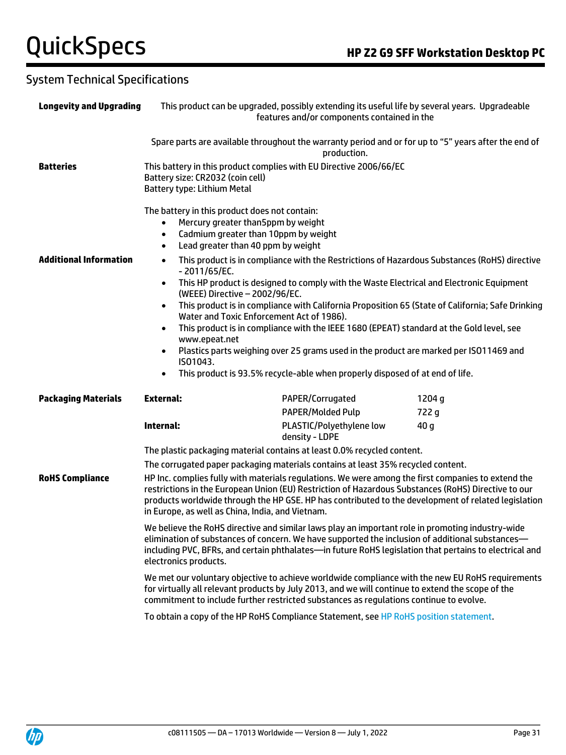### System Technical Specifications

| <b>Longevity and Upgrading</b> |                                                                                                                                                                                                                                                                                                                                                                                                         | This product can be upgraded, possibly extending its useful life by several years. Upgradeable<br>features and/or components contained in the                                                                                                                                                                                                                                                                                                                                     |                 |
|--------------------------------|---------------------------------------------------------------------------------------------------------------------------------------------------------------------------------------------------------------------------------------------------------------------------------------------------------------------------------------------------------------------------------------------------------|-----------------------------------------------------------------------------------------------------------------------------------------------------------------------------------------------------------------------------------------------------------------------------------------------------------------------------------------------------------------------------------------------------------------------------------------------------------------------------------|-----------------|
|                                |                                                                                                                                                                                                                                                                                                                                                                                                         | Spare parts are available throughout the warranty period and or for up to "5" years after the end of<br>production.                                                                                                                                                                                                                                                                                                                                                               |                 |
| <b>Batteries</b>               | Battery size: CR2032 (coin cell)<br>Battery type: Lithium Metal                                                                                                                                                                                                                                                                                                                                         | This battery in this product complies with EU Directive 2006/66/EC                                                                                                                                                                                                                                                                                                                                                                                                                |                 |
| <b>Additional Information</b>  | The battery in this product does not contain:<br>Mercury greater than5ppm by weight<br>$\bullet$<br>Cadmium greater than 10ppm by weight<br>$\bullet$<br>Lead greater than 40 ppm by weight<br>$\bullet$<br>$\bullet$<br>$-2011/65/EC.$<br>$\bullet$<br>(WEEE) Directive - 2002/96/EC.<br>$\bullet$<br>Water and Toxic Enforcement Act of 1986).<br>$\bullet$<br>www.epeat.net<br>$\bullet$<br>IS01043. | This product is in compliance with the Restrictions of Hazardous Substances (RoHS) directive<br>This HP product is designed to comply with the Waste Electrical and Electronic Equipment<br>This product is in compliance with California Proposition 65 (State of California; Safe Drinking<br>This product is in compliance with the IEEE 1680 (EPEAT) standard at the Gold level, see<br>Plastics parts weighing over 25 grams used in the product are marked per ISO11469 and |                 |
|                                | $\bullet$                                                                                                                                                                                                                                                                                                                                                                                               | This product is 93.5% recycle-able when properly disposed of at end of life.                                                                                                                                                                                                                                                                                                                                                                                                      |                 |
| <b>Packaging Materials</b>     | <b>External:</b>                                                                                                                                                                                                                                                                                                                                                                                        | PAPER/Corrugated<br><b>PAPER/Molded Pulp</b>                                                                                                                                                                                                                                                                                                                                                                                                                                      | 1204 g<br>722 g |
|                                | Internal:                                                                                                                                                                                                                                                                                                                                                                                               | PLASTIC/Polyethylene low<br>density - LDPE                                                                                                                                                                                                                                                                                                                                                                                                                                        | 40 <sub>g</sub> |
|                                |                                                                                                                                                                                                                                                                                                                                                                                                         | The plastic packaging material contains at least 0.0% recycled content.                                                                                                                                                                                                                                                                                                                                                                                                           |                 |
|                                |                                                                                                                                                                                                                                                                                                                                                                                                         | The corrugated paper packaging materials contains at least 35% recycled content.                                                                                                                                                                                                                                                                                                                                                                                                  |                 |
| <b>RoHS Compliance</b>         | in Europe, as well as China, India, and Vietnam.                                                                                                                                                                                                                                                                                                                                                        | HP Inc. complies fully with materials regulations. We were among the first companies to extend the<br>restrictions in the European Union (EU) Restriction of Hazardous Substances (RoHS) Directive to our<br>products worldwide through the HP GSE. HP has contributed to the development of related legislation                                                                                                                                                                  |                 |
|                                | electronics products.                                                                                                                                                                                                                                                                                                                                                                                   | We believe the RoHS directive and similar laws play an important role in promoting industry-wide<br>elimination of substances of concern. We have supported the inclusion of additional substances—<br>including PVC, BFRs, and certain phthalates-in future RoHS legislation that pertains to electrical and                                                                                                                                                                     |                 |
|                                |                                                                                                                                                                                                                                                                                                                                                                                                         | We met our voluntary objective to achieve worldwide compliance with the new EU RoHS requirements<br>for virtually all relevant products by July 2013, and we will continue to extend the scope of the<br>commitment to include further restricted substances as regulations continue to evolve.                                                                                                                                                                                   |                 |
|                                |                                                                                                                                                                                                                                                                                                                                                                                                         | To obtain a copy of the HP RoHS Compliance Statement, see HP RoHS position statement.                                                                                                                                                                                                                                                                                                                                                                                             |                 |
|                                |                                                                                                                                                                                                                                                                                                                                                                                                         |                                                                                                                                                                                                                                                                                                                                                                                                                                                                                   |                 |

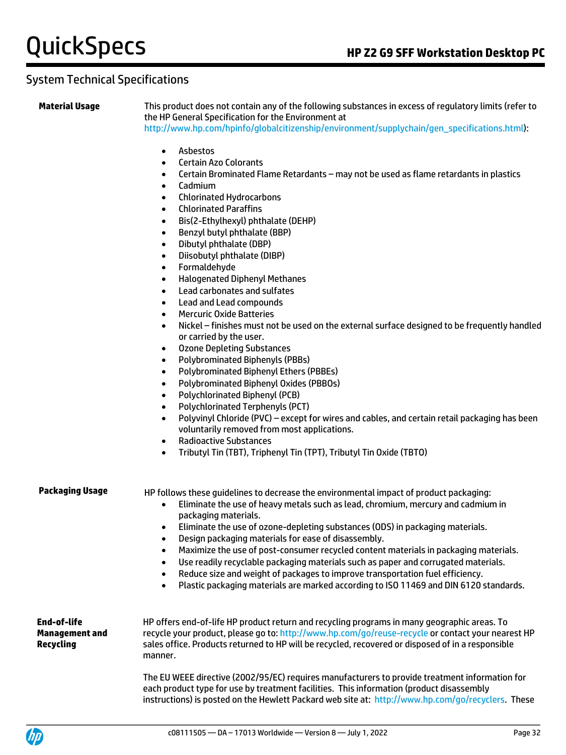#### System Technical Specifications

**Material Usage** This product does not contain any of the following substances in excess of regulatory limits (refer to the HP General Specification for the Environment at [http://www.hp.com/hpinfo/globalcitizenship/environment/supplychain/gen\\_specifications.html\)](http://www.hp.com/hpinfo/globalcitizenship/environment/supplychain/gen_specifications.html):

- Asbestos
- Certain Azo Colorants
- Certain Brominated Flame Retardants may not be used as flame retardants in plastics
- Cadmium
- Chlorinated Hydrocarbons
- Chlorinated Paraffins
- Bis(2-Ethylhexyl) phthalate (DEHP)
- Benzyl butyl phthalate (BBP)
- Dibutyl phthalate (DBP)
- Diisobutyl phthalate (DIBP)
- Formaldehyde
- Halogenated Diphenyl Methanes
- Lead carbonates and sulfates
- Lead and Lead compounds
- Mercuric Oxide Batteries
- Nickel finishes must not be used on the external surface designed to be frequently handled or carried by the user.
- Ozone Depleting Substances
- Polybrominated Biphenyls (PBBs)
- Polybrominated Biphenyl Ethers (PBBEs)
- Polybrominated Biphenyl Oxides (PBBOs)
- Polychlorinated Biphenyl (PCB)
- Polychlorinated Terphenyls (PCT)
- Polyvinyl Chloride (PVC) except for wires and cables, and certain retail packaging has been voluntarily removed from most applications.
- Radioactive Substances
- Tributyl Tin (TBT), Triphenyl Tin (TPT), Tributyl Tin Oxide (TBTO)

**Packaging Usage** HP follows these guidelines to decrease the environmental impact of product packaging:

- Eliminate the use of heavy metals such as lead, chromium, mercury and cadmium in packaging materials.
- Eliminate the use of ozone-depleting substances (ODS) in packaging materials.
- Design packaging materials for ease of disassembly.
- Maximize the use of post-consumer recycled content materials in packaging materials.
- Use readily recyclable packaging materials such as paper and corrugated materials.
- Reduce size and weight of packages to improve transportation fuel efficiency.
- Plastic packaging materials are marked according to ISO 11469 and DIN 6120 standards.

**End-of-life Management and Recycling**

HP offers end-of-life HP product return and recycling programs in many geographic areas. To recycle your product, please go to:<http://www.hp.com/go/reuse-recycle> or contact your nearest HP sales office. Products returned to HP will be recycled, recovered or disposed of in a responsible manner.

The EU WEEE directive (2002/95/EC) requires manufacturers to provide treatment information for each product type for use by treatment facilities. This information (product disassembly instructions) is posted on the Hewlett Packard web site at: [http://www.hp.com/go/recyclers.](http://www.hp.com/go/recyclers) These

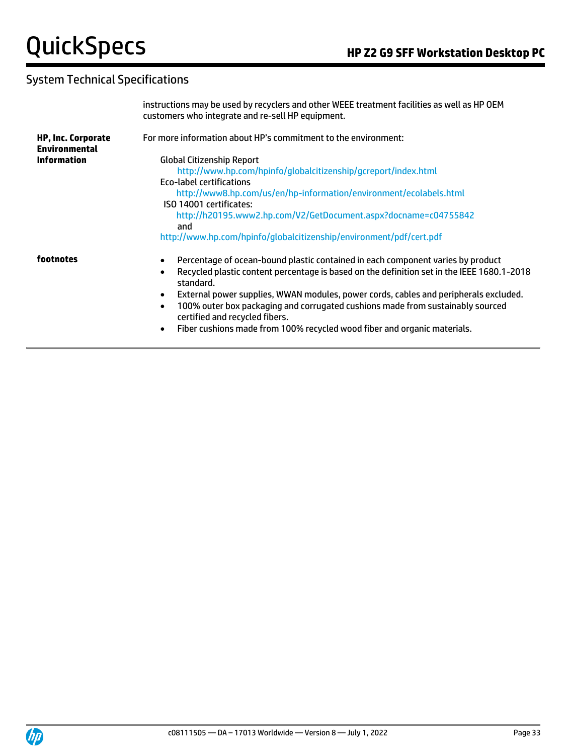### System Technical Specifications

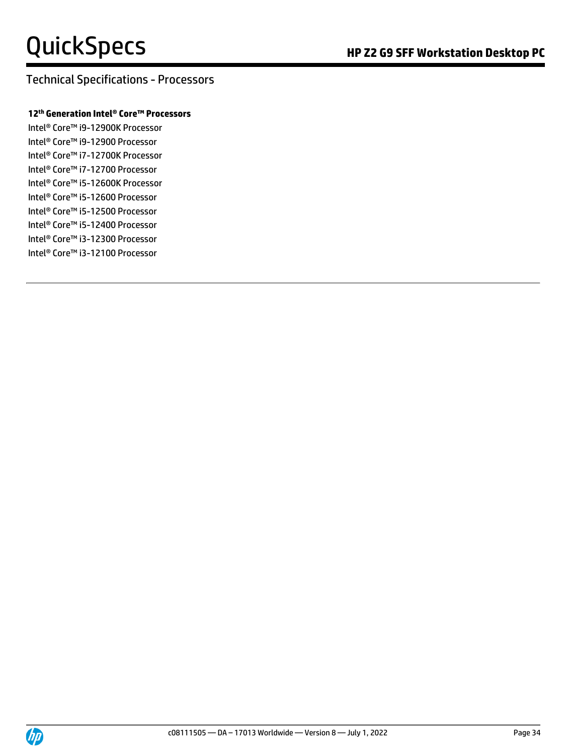#### Technical Specifications - Processors

#### **12 th Generation Intel® Core™ Processors**

Intel® Core™ i9-12900K Processor Intel® Core™ i9-12900 Processor Intel® Core™ i7-12700K Processor Intel® Core™ i7-12700 Processor Intel® Core™ i5-12600K Processor Intel® Core™ i5-12600 Processor Intel® Core™ i5-12500 Processor Intel® Core™ i5-12400 Processor Intel® Core™ i3-12300 Processor Intel® Core™ i3-12100 Processor

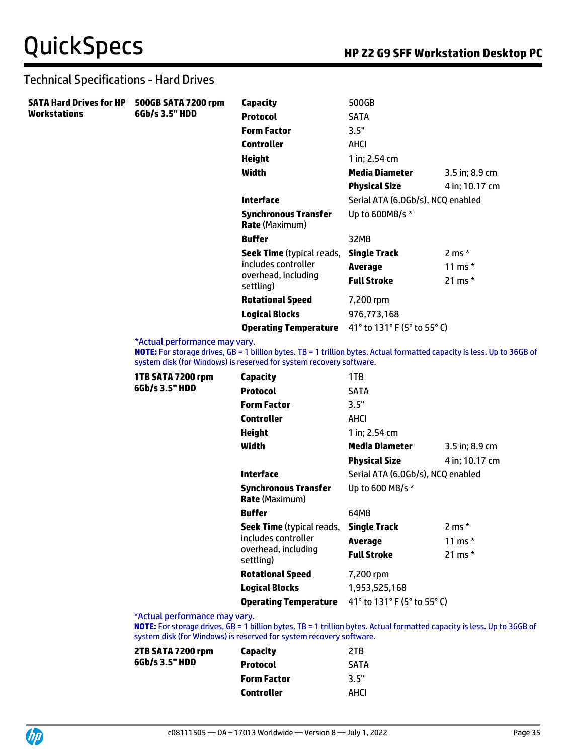#### Technical Specifications - Hard Drives

| <b>SATA Hard Drives for HP</b> | 500GB SATA 7200 rpm<br>6Gb/s 3.5" HDD | Capacity                                             | 500GB                             |                |
|--------------------------------|---------------------------------------|------------------------------------------------------|-----------------------------------|----------------|
| <b>Workstations</b>            |                                       | <b>Protocol</b>                                      | <b>SATA</b>                       |                |
|                                |                                       | <b>Form Factor</b>                                   | 3.5"                              |                |
|                                |                                       | <b>Controller</b>                                    | AHCI                              |                |
|                                |                                       | <b>Height</b>                                        | 1 in; 2.54 cm                     |                |
|                                |                                       | Width                                                | <b>Media Diameter</b>             | 3.5 in; 8.9 cm |
|                                |                                       |                                                      | <b>Physical Size</b>              | 4 in; 10.17 cm |
|                                |                                       | <b>Interface</b>                                     | Serial ATA (6.0Gb/s), NCQ enabled |                |
|                                |                                       | <b>Synchronous Transfer</b><br><b>Rate</b> (Maximum) | Up to 600MB/s $*$                 |                |
|                                |                                       | <b>Buffer</b>                                        | 32MB                              |                |
|                                |                                       | <b>Seek Time</b> (typical reads,                     | <b>Single Track</b>               | $2 ms*$        |
|                                |                                       | includes controller                                  | Average                           | 11 ms $*$      |
|                                |                                       | overhead, including<br>settling)                     | <b>Full Stroke</b>                | 21 ms $*$      |
|                                |                                       | <b>Rotational Speed</b>                              | 7,200 rpm                         |                |
|                                |                                       | <b>Logical Blocks</b>                                | 976,773,168                       |                |
|                                |                                       | <b>Operating Temperature</b>                         | 41° to 131° F (5° to 55° C)       |                |

\*Actual performance may vary.

**NOTE:** For storage drives, GB = 1 billion bytes. TB = 1 trillion bytes. Actual formatted capacity is less. Up to 36GB of system disk (for Windows) is reserved for system recovery software.

| 1TB SATA 7200 rpm | <b>Capacity</b>                                      | 1TB                               |                  |
|-------------------|------------------------------------------------------|-----------------------------------|------------------|
| 6Gb/s 3.5" HDD    | <b>Protocol</b>                                      | <b>SATA</b>                       |                  |
|                   | <b>Form Factor</b>                                   | 3.5"                              |                  |
|                   | <b>Controller</b>                                    | AHCI                              |                  |
|                   | Height                                               | 1 in: 2.54 cm                     |                  |
|                   | Width                                                | <b>Media Diameter</b>             | 3.5 in; 8.9 cm   |
|                   |                                                      | <b>Physical Size</b>              | 4 in; 10.17 cm   |
|                   | <b>Interface</b>                                     | Serial ATA (6.0Gb/s), NCQ enabled |                  |
|                   | <b>Synchronous Transfer</b><br><b>Rate</b> (Maximum) | Up to 600 MB/s *                  |                  |
|                   | <b>Buffer</b>                                        | 64MB                              |                  |
|                   | <b>Seek Time</b> (typical reads,                     | <b>Single Track</b>               | $2 \text{ ms}$ * |
|                   | includes controller                                  | Average                           | 11 ms $*$        |
|                   | overhead, including<br>settling)                     | <b>Full Stroke</b>                | 21 ms $*$        |
|                   | <b>Rotational Speed</b>                              | 7,200 rpm                         |                  |
|                   | <b>Logical Blocks</b>                                | 1,953,525,168                     |                  |
|                   | <b>Operating Temperature</b>                         | 41° to 131° F (5° to 55° C)       |                  |
|                   |                                                      |                                   |                  |

\*Actual performance may vary.

**NOTE:** For storage drives, GB = 1 billion bytes. TB = 1 trillion bytes. Actual formatted capacity is less. Up to 36GB of system disk (for Windows) is reserved for system recovery software.

| Capacity           | 2TR         |
|--------------------|-------------|
| <b>Protocol</b>    | <b>SATA</b> |
| <b>Form Factor</b> | 3.5"        |
| <b>Controller</b>  | AHCI        |
|                    |             |

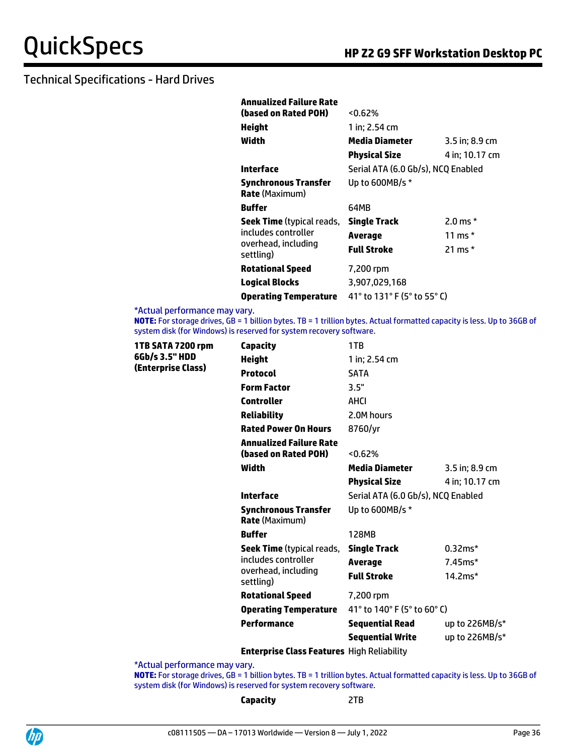| Annualized Failure Rate                       |                                    |                |
|-----------------------------------------------|------------------------------------|----------------|
| (based on Rated POH)                          | $< 0.62\%$                         |                |
| Height                                        | 1 in; 2.54 cm                      |                |
| Width                                         | Media Diameter                     | 3.5 in; 8.9 cm |
|                                               | <b>Physical Size</b>               | 4 in; 10.17 cm |
| Interface                                     | Serial ATA (6.0 Gb/s), NCQ Enabled |                |
| Synchronous Transfer<br><b>Rate</b> (Maximum) | Up to 600MB/s *                    |                |
| <b>Buffer</b>                                 | 64MB                               |                |
| <b>Seek Time</b> (typical reads,              | <b>Single Track</b>                | 2.0 ms $*$     |
| includes controller                           | Average                            | 11 ms $*$      |
| overhead, including<br>settling)              | Full Stroke                        | 21 ms $*$      |
| <b>Rotational Speed</b>                       | 7,200 rpm                          |                |
| <b>Logical Blocks</b>                         | 3,907,029,168                      |                |
| <b>Operating Temperature</b>                  | 41° to 131° F (5° to 55° C)        |                |

\*Actual performance may vary.

**NOTE:** For storage drives, GB = 1 billion bytes. TB = 1 trillion bytes. Actual formatted capacity is less. Up to 36GB of system disk (for Windows) is reserved for system recovery software.

| 1TB SATA 7200 rpm<br>6Gb/s 3.5" HDD | <b>Capacity</b>                                        | 1TB                                |                  |
|-------------------------------------|--------------------------------------------------------|------------------------------------|------------------|
|                                     | <b>Height</b>                                          | 1 in: 2.54 cm                      |                  |
| (Enterprise Class)                  | <b>Protocol</b>                                        | <b>SATA</b>                        |                  |
|                                     | <b>Form Factor</b>                                     | 3.5"                               |                  |
|                                     | <b>Controller</b>                                      | <b>AHCI</b>                        |                  |
|                                     | <b>Reliability</b>                                     | 2.0M hours                         |                  |
|                                     | <b>Rated Power On Hours</b>                            | 8760/yr                            |                  |
|                                     | <b>Annualized Failure Rate</b><br>(based on Rated POH) | $< 0.62\%$                         |                  |
|                                     | Width                                                  | <b>Media Diameter</b>              | 3.5 in; 8.9 cm   |
|                                     |                                                        | <b>Physical Size</b>               | 4 in; 10.17 cm   |
|                                     | Interface                                              | Serial ATA (6.0 Gb/s), NCQ Enabled |                  |
|                                     | <b>Synchronous Transfer</b><br><b>Rate</b> (Maximum)   | Up to 600MB/s *                    |                  |
|                                     | <b>Buffer</b>                                          | 128MB                              |                  |
|                                     | <b>Seek Time</b> (typical reads,                       | <b>Single Track</b>                | $0.32ms*$        |
|                                     | includes controller                                    | <b>Average</b>                     | $7.45ms*$        |
|                                     | overhead, including<br>settling)                       | <b>Full Stroke</b>                 | $14.2ms*$        |
|                                     | <b>Rotational Speed</b>                                | 7,200 rpm                          |                  |
|                                     | <b>Operating Temperature</b>                           | 41° to 140° F (5° to 60° C)        |                  |
|                                     | <b>Performance</b>                                     | <b>Sequential Read</b>             | up to $226MB/s*$ |
|                                     |                                                        | <b>Sequential Write</b>            | up to 226MB/s*   |

**Enterprise Class Features** High Reliability

\*Actual performance may vary.

**NOTE:** For storage drives, GB = 1 billion bytes. TB = 1 trillion bytes. Actual formatted capacity is less. Up to 36GB of system disk (for Windows) is reserved for system recovery software.

**Capacity** 2TB

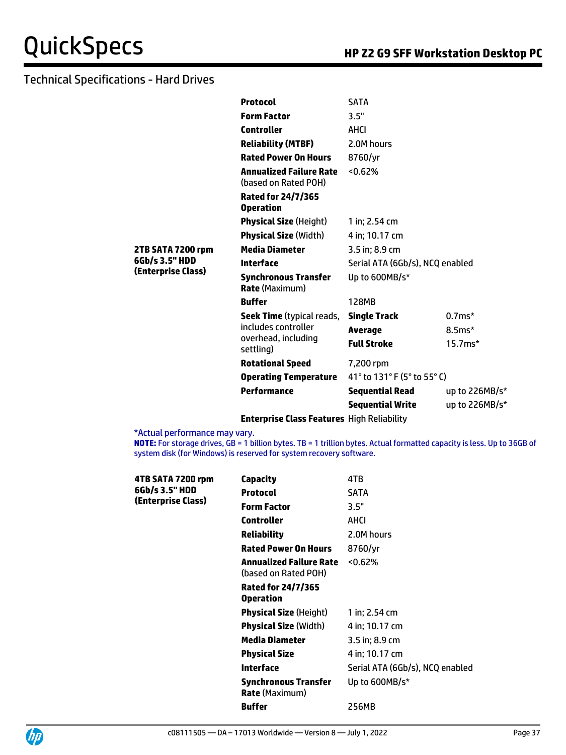|                    | <b>Protocol</b>                                        | <b>SATA</b>                     |                  |
|--------------------|--------------------------------------------------------|---------------------------------|------------------|
|                    | <b>Form Factor</b>                                     | 3.5"                            |                  |
|                    | <b>Controller</b>                                      | AHCI                            |                  |
|                    | <b>Reliability (MTBF)</b>                              | 2.0M hours                      |                  |
|                    | <b>Rated Power On Hours</b>                            | 8760/yr                         |                  |
|                    | <b>Annualized Failure Rate</b><br>(based on Rated POH) | 50.62%                          |                  |
|                    | <b>Rated for 24/7/365</b><br><b>Operation</b>          |                                 |                  |
|                    | <b>Physical Size (Height)</b>                          | 1 in; $2.54$ cm                 |                  |
|                    | <b>Physical Size (Width)</b>                           | 4 in; 10.17 cm                  |                  |
| 2TB SATA 7200 rpm  | <b>Media Diameter</b>                                  | 3.5 in; 8.9 cm                  |                  |
| 6Gb/s 3.5" HDD     | <b>Interface</b>                                       | Serial ATA (6Gb/s), NCQ enabled |                  |
| (Enterprise Class) | <b>Synchronous Transfer</b><br><b>Rate (Maximum)</b>   | Up to 600MB/s*                  |                  |
|                    | <b>Buffer</b>                                          | 128MB                           |                  |
|                    | <b>Seek Time</b> (typical reads,                       | <b>Single Track</b>             | $0.7ms*$         |
|                    | includes controller                                    | <b>Average</b>                  | $8.5ms*$         |
|                    | overhead, including<br>settling)                       | <b>Full Stroke</b>              | $15.7ms*$        |
|                    | <b>Rotational Speed</b>                                | 7,200 rpm                       |                  |
|                    | <b>Operating Temperature</b>                           | 41° to $131$ ° F (5° to 55° C)  |                  |
|                    | Performance                                            | <b>Sequential Read</b>          | up to $226MB/s*$ |
|                    |                                                        | <b>Sequential Write</b>         | up to 226MB/s*   |
|                    | <b>Enterprise Class Features High Reliability</b>      |                                 |                  |

\*Actual performance may vary.

**NOTE:** For storage drives, GB = 1 billion bytes. TB = 1 trillion bytes. Actual formatted capacity is less. Up to 36GB of system disk (for Windows) is reserved for system recovery software.

| 4TB SATA 7200 rpm  | Capacity                                             | 4TB                             |
|--------------------|------------------------------------------------------|---------------------------------|
| 6Gb/s 3.5" HDD     | <b>Protocol</b>                                      | <b>SATA</b>                     |
|                    | <b>Form Factor</b>                                   | 3.5"                            |
| (Enterprise Class) | Controller                                           | AHCI                            |
|                    | Reliability                                          | 2.0M hours                      |
|                    | <b>Rated Power On Hours</b>                          | 8760/yr                         |
|                    | Annualized Failure Rate<br>(based on Rated POH)      | $< 0.62\%$                      |
|                    | <b>Rated for 24/7/365</b><br><b>Operation</b>        |                                 |
|                    | <b>Physical Size</b> (Height)                        | 1 in: 2.54 cm                   |
|                    | <b>Physical Size (Width)</b>                         | 4 in; 10.17 cm                  |
|                    | Media Diameter                                       | 3.5 in; 8.9 cm                  |
|                    | <b>Physical Size</b>                                 | 4 in: 10.17 cm                  |
|                    | Interface                                            | Serial ATA (6Gb/s), NCQ enabled |
|                    | <b>Synchronous Transfer</b><br><b>Rate</b> (Maximum) | Up to 600MB/s*                  |
|                    | <b>Buffer</b>                                        | 256MB                           |

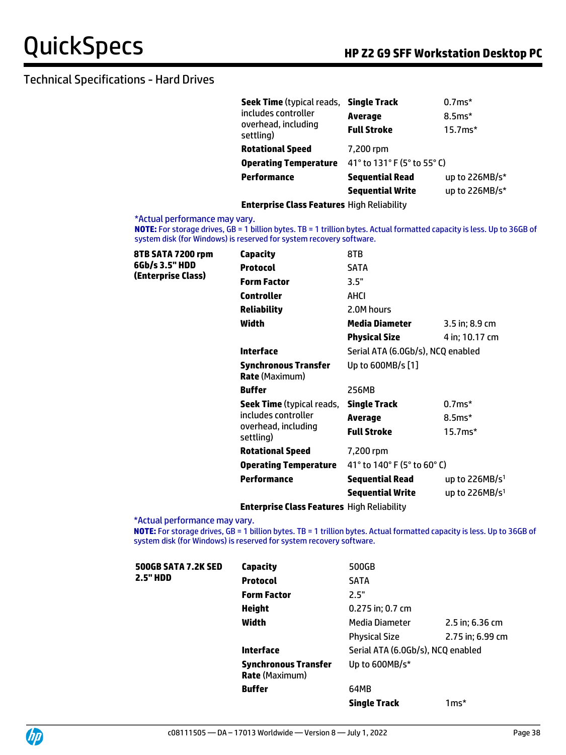| Seek Time (typical reads, Single Track |                             | $0.7ms*$       |  |  |
|----------------------------------------|-----------------------------|----------------|--|--|
| includes controller                    | <b>Average</b>              | $8.5ms*$       |  |  |
| overhead, including<br>settling)       | <b>Full Stroke</b>          | $15.7ms*$      |  |  |
| <b>Rotational Speed</b>                | 7,200 rpm                   |                |  |  |
| <b>Operating Temperature</b>           | 41° to 131° F (5° to 55° C) |                |  |  |
| <b>Performance</b>                     | <b>Sequential Read</b>      | up to 226MB/s* |  |  |
|                                        | <b>Sequential Write</b>     | up to 226MB/s* |  |  |
|                                        |                             |                |  |  |

#### **Enterprise Class Features** High Reliability

#### \*Actual performance may vary.

**NOTE:** For storage drives, GB = 1 billion bytes. TB = 1 trillion bytes. Actual formatted capacity is less. Up to 36GB of system disk (for Windows) is reserved for system recovery software.

| 8TB SATA 7200 rpm  | Capacity                                             | 8TB                               |                  |
|--------------------|------------------------------------------------------|-----------------------------------|------------------|
| 6Gb/s 3.5" HDD     | <b>Protocol</b>                                      | <b>SATA</b>                       |                  |
| (Enterprise Class) | <b>Form Factor</b>                                   | 3.5"                              |                  |
|                    | <b>Controller</b>                                    | AHCI                              |                  |
|                    | <b>Reliability</b>                                   | 2.0M hours                        |                  |
|                    | Width                                                | <b>Media Diameter</b>             | $3.5$ in; 8.9 cm |
|                    |                                                      | <b>Physical Size</b>              | 4 in; 10.17 cm   |
|                    | <b>Interface</b>                                     | Serial ATA (6.0Gb/s), NCQ enabled |                  |
|                    | <b>Synchronous Transfer</b><br><b>Rate</b> (Maximum) | Up to 600MB/s [1]                 |                  |
|                    | <b>Buffer</b>                                        | 256MB                             |                  |
|                    | <b>Seek Time</b> (typical reads,                     | <b>Single Track</b>               | $0.7ms*$         |
|                    | includes controller                                  | Average                           | $8.5ms*$         |
|                    | overhead, including<br>settling)                     | <b>Full Stroke</b>                | $15.7ms*$        |
|                    | <b>Rotational Speed</b>                              | 7,200 rpm                         |                  |
|                    | <b>Operating Temperature</b>                         | 41° to 140° F (5° to 60° C)       |                  |
|                    | <b>Performance</b>                                   | <b>Sequential Read</b>            | up to $226MB/s1$ |
|                    |                                                      | <b>Sequential Write</b>           | up to $226MB/s1$ |
|                    |                                                      |                                   |                  |

#### **Enterprise Class Features** High Reliability

\*Actual performance may vary.

**NOTE:** For storage drives, GB = 1 billion bytes. TB = 1 trillion bytes. Actual formatted capacity is less. Up to 36GB of system disk (for Windows) is reserved for system recovery software.

| 500GB SATA 7.2K SED | Capacity                                             | 500GB                             |                  |
|---------------------|------------------------------------------------------|-----------------------------------|------------------|
| 2.5" HDD            | <b>Protocol</b>                                      | <b>SATA</b>                       |                  |
|                     | <b>Form Factor</b>                                   | 2.5"                              |                  |
|                     | Height                                               | 0.275 in; 0.7 cm                  |                  |
|                     | Width                                                | Media Diameter                    | 2.5 in; 6.36 cm  |
|                     |                                                      | <b>Physical Size</b>              | 2.75 in; 6.99 cm |
|                     | Interface                                            | Serial ATA (6.0Gb/s), NCQ enabled |                  |
|                     | <b>Synchronous Transfer</b><br><b>Rate (Maximum)</b> | Up to 600MB/s*                    |                  |
|                     | <b>Buffer</b>                                        | 64MB                              |                  |
|                     |                                                      | <b>Single Track</b>               | $1ms*$           |

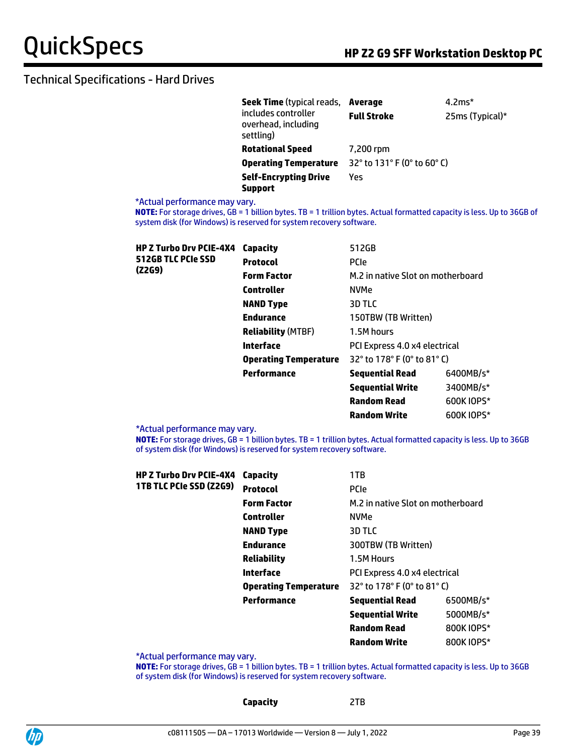| <b>Seek Time</b> (typical reads,                        | Average                     | $4.2*$          |
|---------------------------------------------------------|-----------------------------|-----------------|
| includes controller<br>overhead, including<br>settling) | <b>Full Stroke</b>          | 25ms (Typical)* |
| <b>Rotational Speed</b>                                 | 7,200 rpm                   |                 |
| <b>Operating Temperature</b>                            | 32° to 131° F (0° to 60° C) |                 |
| <b>Self-Encrypting Drive</b><br><b>Support</b>          | Yes                         |                 |

#### \*Actual performance may vary.

**NOTE:** For storage drives, GB = 1 billion bytes. TB = 1 trillion bytes. Actual formatted capacity is less. Up to 36GB of system disk (for Windows) is reserved for system recovery software.

| <b>HP Z Turbo Drv PCIE-4X4</b> | Capacity                     | 512GB                                                              |            |
|--------------------------------|------------------------------|--------------------------------------------------------------------|------------|
| 512GB TLC PCIe SSD             | <b>Protocol</b>              | <b>PCIe</b>                                                        |            |
| (Z2G9)                         | <b>Form Factor</b>           | M.2 in native Slot on motherboard                                  |            |
|                                | <b>Controller</b>            | <b>NVMe</b>                                                        |            |
|                                | <b>NAND Type</b>             | 3D TLC                                                             |            |
|                                | <b>Endurance</b>             | 150TBW (TB Written)                                                |            |
|                                | <b>Reliability (MTBF)</b>    | 1.5M hours                                                         |            |
|                                | Interface                    | PCI Express 4.0 x4 electrical                                      |            |
|                                | <b>Operating Temperature</b> | $32^{\circ}$ to 178 $^{\circ}$ F (0 $^{\circ}$ to 81 $^{\circ}$ C) |            |
|                                | Performance                  | <b>Sequential Read</b>                                             | 6400MB/s*  |
|                                |                              | <b>Sequential Write</b>                                            | 3400MB/s*  |
|                                |                              | <b>Random Read</b>                                                 | 600K IOPS* |
|                                |                              | <b>Random Write</b>                                                | 600K IOPS* |

\*Actual performance may vary.

**NOTE:** For storage drives, GB = 1 billion bytes. TB = 1 trillion bytes. Actual formatted capacity is less. Up to 36GB of system disk (for Windows) is reserved for system recovery software.

| HP Z Turbo Drv PCIE-4X4 | Capacity                     | 1TB                               |            |
|-------------------------|------------------------------|-----------------------------------|------------|
| 1TB TLC PCIe SSD (Z2G9) | <b>Protocol</b>              | <b>PCIe</b>                       |            |
|                         | <b>Form Factor</b>           | M.2 in native Slot on motherboard |            |
|                         | <b>Controller</b>            | <b>NVMe</b>                       |            |
|                         | <b>NAND Type</b>             | 3D TLC                            |            |
|                         | <b>Endurance</b>             | 300TBW (TB Written)               |            |
|                         | <b>Reliability</b>           | 1.5M Hours                        |            |
|                         | Interface                    | PCI Express 4.0 x4 electrical     |            |
|                         | <b>Operating Temperature</b> | 32° to 178° F (0° to 81° C)       |            |
|                         | Performance                  | <b>Sequential Read</b>            | 6500MB/s*  |
|                         |                              | <b>Sequential Write</b>           | 5000MB/s*  |
|                         |                              | <b>Random Read</b>                | 800K IOPS* |
|                         |                              | <b>Random Write</b>               | 800K IOPS* |

\*Actual performance may vary.

**NOTE:** For storage drives, GB = 1 billion bytes. TB = 1 trillion bytes. Actual formatted capacity is less. Up to 36GB of system disk (for Windows) is reserved for system recovery software.

**Capacity** 2TB

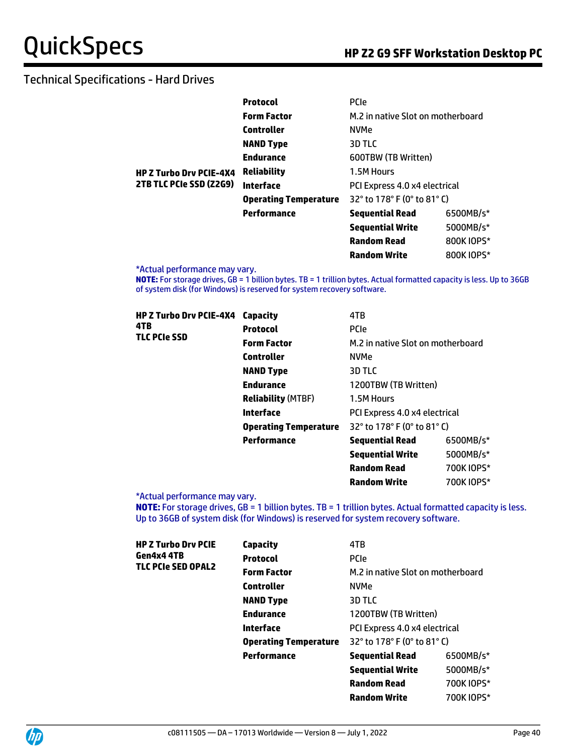|                                                           | <b>Protocol</b>              | <b>PCIe</b>                       |            |
|-----------------------------------------------------------|------------------------------|-----------------------------------|------------|
|                                                           | <b>Form Factor</b>           | M.2 in native Slot on motherboard |            |
|                                                           | Controller                   | <b>NVMe</b>                       |            |
|                                                           | <b>NAND Type</b>             | 3D TLC                            |            |
| <b>HP Z Turbo Drv PCIE-4X4</b><br>2TB TLC PCIe SSD (Z2G9) | <b>Endurance</b>             | 600TBW (TB Written)               |            |
|                                                           | <b>Reliability</b>           | 1.5M Hours                        |            |
|                                                           | Interface                    | PCI Express 4.0 x4 electrical     |            |
|                                                           | <b>Operating Temperature</b> | 32° to 178° F (0° to 81° C)       |            |
|                                                           | Performance                  | <b>Sequential Read</b>            | 6500MB/s*  |
|                                                           |                              | <b>Sequential Write</b>           | 5000MB/s*  |
|                                                           |                              | <b>Random Read</b>                | 800K IOPS* |
|                                                           |                              | <b>Random Write</b>               | 800K IOPS* |

\*Actual performance may vary.

**NOTE:** For storage drives, GB = 1 billion bytes. TB = 1 trillion bytes. Actual formatted capacity is less. Up to 36GB of system disk (for Windows) is reserved for system recovery software.

| HP Z Turbo Drv PCIE-4X4<br>4TB<br>TLC PCIe SSD | Capacity                     | 4TB                               |            |
|------------------------------------------------|------------------------------|-----------------------------------|------------|
|                                                | <b>Protocol</b>              | <b>PCIe</b>                       |            |
|                                                | <b>Form Factor</b>           | M.2 in native Slot on motherboard |            |
|                                                | <b>Controller</b>            | <b>NVMe</b>                       |            |
|                                                | <b>NAND Type</b>             | 3D TLC                            |            |
|                                                | <b>Endurance</b>             | 1200TBW (TB Written)              |            |
|                                                | <b>Reliability (MTBF)</b>    | 1.5M Hours                        |            |
|                                                | Interface                    | PCI Express 4.0 x4 electrical     |            |
|                                                | <b>Operating Temperature</b> | 32° to 178° F (0° to 81° C)       |            |
|                                                | Performance                  | <b>Sequential Read</b>            | 6500MB/s*  |
|                                                |                              | <b>Sequential Write</b>           | 5000MB/s*  |
|                                                |                              | <b>Random Read</b>                | 700K IOPS* |

\*Actual performance may vary.

**NOTE:** For storage drives, GB = 1 billion bytes. TB = 1 trillion bytes. Actual formatted capacity is less. Up to 36GB of system disk (for Windows) is reserved for system recovery software.

**Random Write 700K IOPS**\*

| HP Z Turbo Drv PCIE | Capacity                     | 4TB                               |            |
|---------------------|------------------------------|-----------------------------------|------------|
| Gen4x4 4TB          | <b>Protocol</b>              | <b>PCIe</b>                       |            |
| TLC PCIe SED OPAL2  | <b>Form Factor</b>           | M.2 in native Slot on motherboard |            |
|                     | <b>Controller</b>            | <b>NVMe</b>                       |            |
|                     | <b>NAND Type</b>             | 3D TLC                            |            |
|                     | <b>Endurance</b>             | 1200TBW (TB Written)              |            |
|                     | Interface                    | PCI Express 4.0 x4 electrical     |            |
|                     | <b>Operating Temperature</b> | 32° to 178° F (0° to 81° C)       |            |
|                     | <b>Performance</b>           | <b>Sequential Read</b>            | 6500MB/s*  |
|                     |                              | <b>Sequential Write</b>           | 5000MB/s*  |
|                     |                              | <b>Random Read</b>                | 700K IOPS* |
|                     |                              | <b>Random Write</b>               | 700K IOPS* |
|                     |                              |                                   |            |

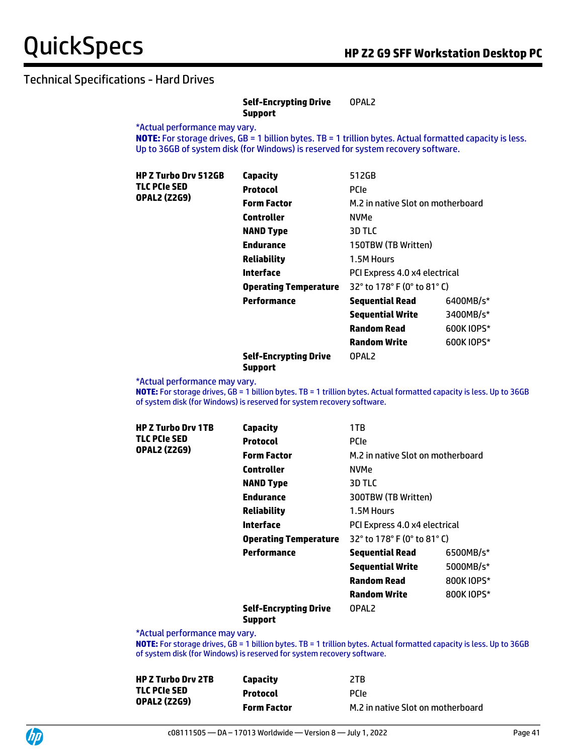#### **Self-Encrypting Drive Support** OPAL2

\*Actual performance may vary.

**NOTE:** For storage drives, GB = 1 billion bytes. TB = 1 trillion bytes. Actual formatted capacity is less. Up to 36GB of system disk (for Windows) is reserved for system recovery software.

| <b>HP Z Turbo Drv 512GB</b><br>TLC PCIe SED | Capacity                     | 512GB                             |            |
|---------------------------------------------|------------------------------|-----------------------------------|------------|
|                                             | <b>Protocol</b>              | <b>PCIe</b>                       |            |
| <b>OPAL2 (Z2G9)</b>                         | <b>Form Factor</b>           | M.2 in native Slot on motherboard |            |
|                                             | <b>Controller</b>            | <b>NVMe</b>                       |            |
|                                             | <b>NAND Type</b>             | 3D TLC                            |            |
|                                             | <b>Endurance</b>             | 150TBW (TB Written)               |            |
|                                             | <b>Reliability</b>           | 1.5M Hours                        |            |
|                                             | Interface                    | PCI Express 4.0 x4 electrical     |            |
|                                             | <b>Operating Temperature</b> | 32° to 178° F (0° to 81° C)       |            |
|                                             | Performance                  | <b>Sequential Read</b>            | 6400MB/s*  |
|                                             |                              | <b>Sequential Write</b>           | 3400MB/s*  |
|                                             |                              | <b>Random Read</b>                | 600K IOPS* |
|                                             |                              | <b>Random Write</b>               | 600K IOPS* |
|                                             |                              |                                   |            |

#### **Self-Encrypting Drive Support**

\*Actual performance may vary.

**NOTE:** For storage drives, GB = 1 billion bytes. TB = 1 trillion bytes. Actual formatted capacity is less. Up to 36GB of system disk (for Windows) is reserved for system recovery software.

OPAL2

| <b>HP Z Turbo Drv 1TB</b> | <b>Capacity</b>                                | 1TB                               |            |
|---------------------------|------------------------------------------------|-----------------------------------|------------|
| <b>TLC PCIe SED</b>       | <b>Protocol</b>                                | <b>PCIe</b>                       |            |
| <b>OPAL2 (Z2G9)</b>       | <b>Form Factor</b>                             | M.2 in native Slot on motherboard |            |
|                           | Controller                                     | NVMe                              |            |
|                           | <b>NAND Type</b>                               | 3D TLC                            |            |
|                           | <b>Endurance</b>                               | 300TBW (TB Written)               |            |
|                           | <b>Reliability</b>                             | 1.5M Hours                        |            |
|                           | Interface                                      | PCI Express 4.0 x4 electrical     |            |
|                           | <b>Operating Temperature</b>                   | 32° to 178° F (0° to 81° C)       |            |
|                           | Performance                                    | <b>Sequential Read</b>            | 6500MB/s*  |
|                           |                                                | <b>Sequential Write</b>           | 5000MB/s*  |
|                           |                                                | <b>Random Read</b>                | 800K IOPS* |
|                           |                                                | <b>Random Write</b>               | 800K IOPS* |
|                           | <b>Self-Encrypting Drive</b><br><b>Support</b> | OPAL <sub>2</sub>                 |            |

\*Actual performance may vary.

**NOTE:** For storage drives, GB = 1 billion bytes. TB = 1 trillion bytes. Actual formatted capacity is less. Up to 36GB of system disk (for Windows) is reserved for system recovery software.

| <b>HP Z Turbo Drv 2TB</b> | Capacity           | 2TB                               |
|---------------------------|--------------------|-----------------------------------|
| TLC PCIe SED              | <b>Protocol</b>    | <b>PCIP</b>                       |
| <b>OPAL2 (Z2G9)</b>       | <b>Form Factor</b> | M.2 in native Slot on motherboard |

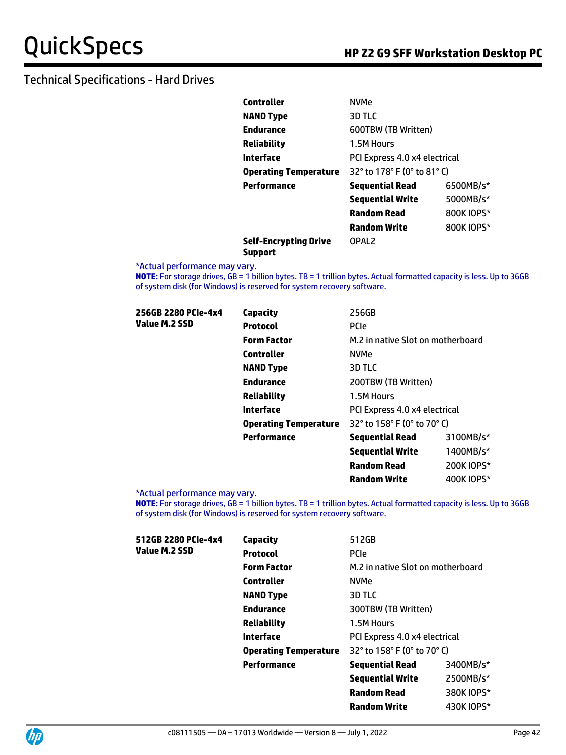| Controller                   | <b>NVMe</b>                   |            |  |
|------------------------------|-------------------------------|------------|--|
| NAND Type                    | 3D TLC                        |            |  |
| Endurance                    | 600TBW (TB Written)           |            |  |
| Reliability                  | 1.5M Hours                    |            |  |
| Interface                    | PCI Express 4.0 x4 electrical |            |  |
| <b>Operating Temperature</b> | 32° to 178° F (0° to 81° C)   |            |  |
| Performance                  | <b>Sequential Read</b>        | 6500MB/s*  |  |
|                              | <b>Sequential Write</b>       | 5000MB/s*  |  |
|                              | 800K IOPS*<br>Random Read     |            |  |
|                              | <b>Random Write</b>           | 800K IOPS* |  |
| Self-Encrypting Drive        | OPAL <sub>2</sub>             |            |  |

**Self-Encrypting Drive Support**

\*Actual performance may vary.

**NOTE:** For storage drives, GB = 1 billion bytes. TB = 1 trillion bytes. Actual formatted capacity is less. Up to 36GB of system disk (for Windows) is reserved for system recovery software.

| 256GB 2280 PCIe-4x4 | Capacity                     | 256GB                             |            |
|---------------------|------------------------------|-----------------------------------|------------|
| Value M.2 SSD       | <b>Protocol</b>              | <b>PCIe</b>                       |            |
|                     | <b>Form Factor</b>           | M.2 in native Slot on motherboard |            |
|                     | <b>Controller</b>            | <b>NVMe</b>                       |            |
|                     | <b>NAND Type</b>             | 3D TLC                            |            |
|                     | <b>Endurance</b>             | 200TBW (TB Written)               |            |
|                     | Reliability                  | 1.5M Hours                        |            |
|                     | Interface                    | PCI Express 4.0 x4 electrical     |            |
|                     | <b>Operating Temperature</b> | 32° to 158° F (0° to 70° C)       |            |
|                     | Performance                  | <b>Sequential Read</b>            | 3100MB/s*  |
|                     |                              | <b>Sequential Write</b>           | 1400MB/s*  |
|                     |                              | <b>Random Read</b>                | 200K IOPS* |

\*Actual performance may vary.

**NOTE:** For storage drives, GB = 1 billion bytes. TB = 1 trillion bytes. Actual formatted capacity is less. Up to 36GB of system disk (for Windows) is reserved for system recovery software.

**Random Write** 400K IOPS\*

| 512GB 2280 PCIe-4x4 | <b>Capacity</b>              | 512GB                             |            |
|---------------------|------------------------------|-----------------------------------|------------|
| Value M.2 SSD       | <b>Protocol</b>              | <b>PCIe</b>                       |            |
|                     | <b>Form Factor</b>           | M.2 in native Slot on motherboard |            |
|                     | <b>Controller</b>            | <b>NVMe</b>                       |            |
|                     | <b>NAND Type</b>             | 3D TLC                            |            |
|                     | <b>Endurance</b>             | 300TBW (TB Written)               |            |
|                     | <b>Reliability</b>           | 1.5M Hours                        |            |
|                     | <b>Interface</b>             | PCI Express 4.0 x4 electrical     |            |
|                     | <b>Operating Temperature</b> | 32° to 158° F (0° to 70° C)       |            |
|                     | Performance                  | <b>Sequential Read</b>            | 3400MB/s*  |
|                     |                              | <b>Sequential Write</b>           | 2500MB/s*  |
|                     |                              | <b>Random Read</b>                | 380K IOPS* |
|                     |                              | <b>Random Write</b>               | 430K IOPS* |
|                     |                              |                                   |            |

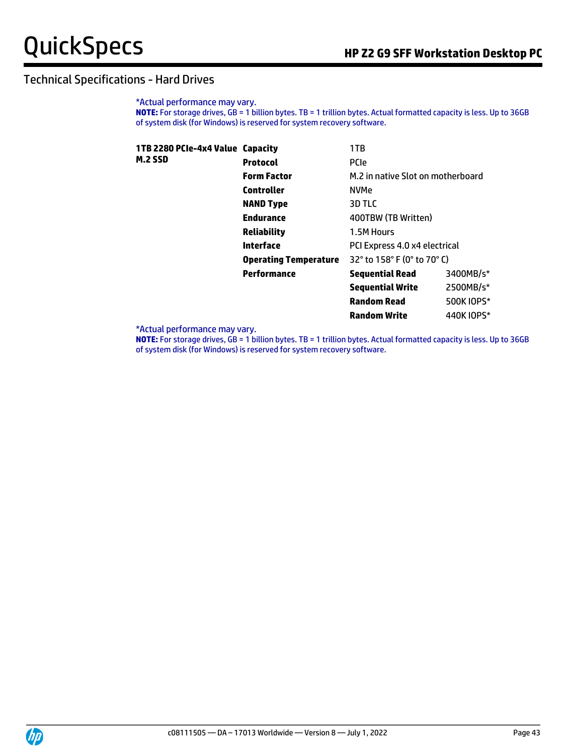\*Actual performance may vary. **NOTE:** For storage drives, GB = 1 billion bytes. TB = 1 trillion bytes. Actual formatted capacity is less. Up to 36GB of system disk (for Windows) is reserved for system recovery software.

| 1TB 2280 PCIe-4x4 Value Capacity |                              | 1TB                               |            |
|----------------------------------|------------------------------|-----------------------------------|------------|
| <b>M.2 SSD</b>                   | <b>Protocol</b>              | <b>PCIe</b>                       |            |
|                                  | <b>Form Factor</b>           | M.2 in native Slot on motherboard |            |
|                                  | <b>Controller</b>            | <b>NVMe</b>                       |            |
|                                  | <b>NAND Type</b>             | 3D TLC                            |            |
|                                  | <b>Endurance</b>             | 400TBW (TB Written)               |            |
|                                  | <b>Reliability</b>           | 1.5M Hours                        |            |
|                                  | Interface                    | PCI Express 4.0 x4 electrical     |            |
|                                  | <b>Operating Temperature</b> | 32° to 158° F (0° to 70° C)       |            |
|                                  | Performance                  | <b>Sequential Read</b>            | 3400MB/s*  |
|                                  |                              | <b>Sequential Write</b>           | 2500MB/s*  |
|                                  |                              | <b>Random Read</b>                | 500K IOPS* |
|                                  |                              | <b>Random Write</b>               | 440K IOPS* |

\*Actual performance may vary.

**NOTE:** For storage drives, GB = 1 billion bytes. TB = 1 trillion bytes. Actual formatted capacity is less. Up to 36GB of system disk (for Windows) is reserved for system recovery software.

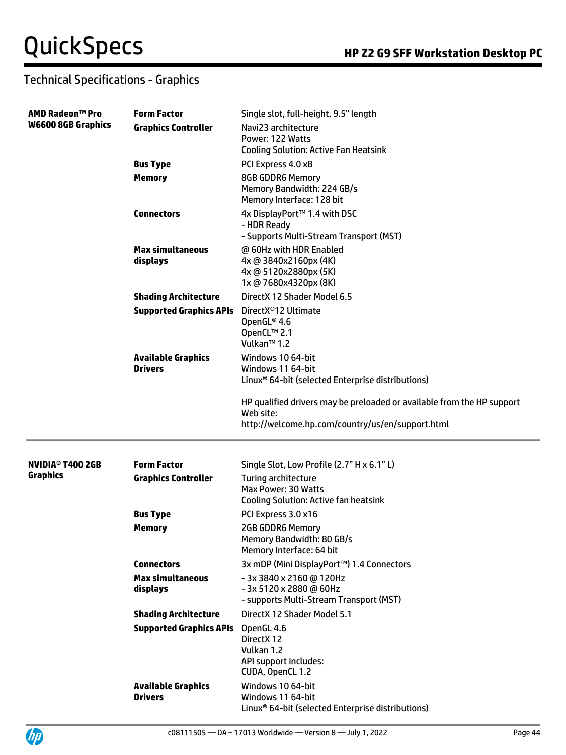| <b>AMD Radeon™ Pro</b><br><b>W6600 8GB Graphics</b> | <b>Form Factor</b>                          | Single slot, full-height, 9.5" length                                                                                                   |
|-----------------------------------------------------|---------------------------------------------|-----------------------------------------------------------------------------------------------------------------------------------------|
|                                                     | <b>Graphics Controller</b>                  | Navi23 architecture<br>Power: 122 Watts<br><b>Cooling Solution: Active Fan Heatsink</b>                                                 |
|                                                     | <b>Bus Type</b>                             | PCI Express 4.0 x8                                                                                                                      |
|                                                     | <b>Memory</b>                               | <b>8GB GDDR6 Memory</b><br>Memory Bandwidth: 224 GB/s<br>Memory Interface: 128 bit                                                      |
|                                                     | <b>Connectors</b>                           | 4x DisplayPort™ 1.4 with DSC<br>- HDR Ready<br>- Supports Multi-Stream Transport (MST)                                                  |
|                                                     | <b>Max simultaneous</b><br>displays         | @ 60Hz with HDR Enabled<br>4x @ 3840x2160px (4K)<br>4x @ 5120x2880px (5K)<br>1x @ 7680x4320px (8K)                                      |
|                                                     | <b>Shading Architecture</b>                 | DirectX 12 Shader Model 6.5                                                                                                             |
|                                                     | <b>Supported Graphics APIs</b>              | DirectX <sup>®</sup> 12 Ultimate<br>OpenGL® 4.6<br>OpenCL™ 2.1<br>Vulkan <sup>™</sup> 1.2                                               |
|                                                     | <b>Available Graphics</b><br><b>Drivers</b> | Windows 10 64-bit<br>Windows 11 64-bit<br>Linux <sup>®</sup> 64-bit (selected Enterprise distributions)                                 |
|                                                     |                                             | HP qualified drivers may be preloaded or available from the HP support<br>Web site:<br>http://welcome.hp.com/country/us/en/support.html |
| NVIDIA <sup>®</sup> T400 2GB                        | <b>Form Factor</b>                          | Single Slot, Low Profile (2.7" H x 6.1" L)                                                                                              |
| <b>Graphics</b>                                     | <b>Graphics Controller</b>                  | Turing architecture<br><b>Max Power: 30 Watts</b><br><b>Cooling Solution: Active fan heatsink</b>                                       |
|                                                     | <b>Bus Type</b>                             | PCI Express 3.0 x16                                                                                                                     |
|                                                     | <b>Memory</b>                               | <b>2GB GDDR6 Memory</b><br>Memory Bandwidth: 80 GB/s<br>Memory Interface: 64 bit                                                        |
|                                                     | <b>Connectors</b>                           | 3x mDP (Mini DisplayPort™) 1.4 Connectors                                                                                               |
|                                                     | <b>Max simultaneous</b><br>displays         | - 3x 3840 x 2160 @ 120Hz<br>- 3x 5120 x 2880 @ 60Hz<br>- supports Multi-Stream Transport (MST)                                          |
|                                                     | <b>Shading Architecture</b>                 | DirectX 12 Shader Model 5.1                                                                                                             |
|                                                     | <b>Supported Graphics APIs</b>              | OpenGL 4.6<br>DirectX 12<br>Vulkan 1.2<br>API support includes:<br>CUDA, OpenCL 1.2                                                     |
|                                                     | <b>Available Graphics</b><br><b>Drivers</b> | Windows 10 64-bit<br>Windows 11 64-bit<br>Linux <sup>®</sup> 64-bit (selected Enterprise distributions)                                 |



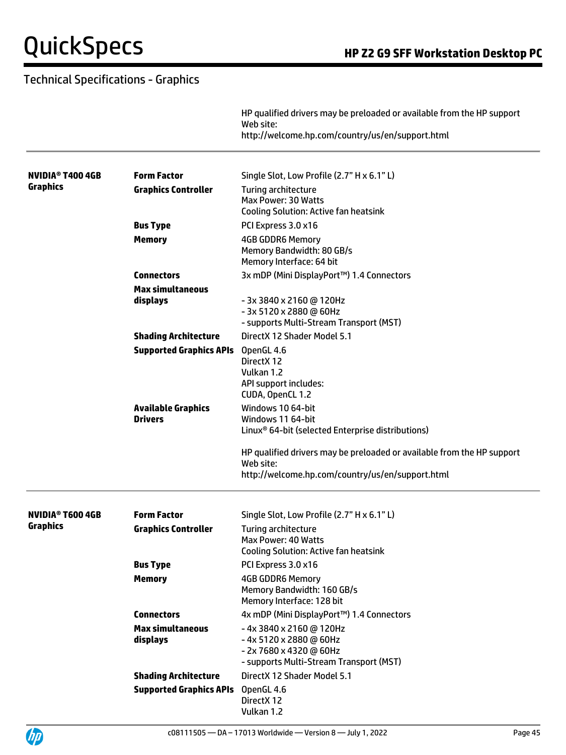|                                    |                                             | HP qualified drivers may be preloaded or available from the HP support<br>Web site:<br>http://welcome.hp.com/country/us/en/support.html |
|------------------------------------|---------------------------------------------|-----------------------------------------------------------------------------------------------------------------------------------------|
| NVIDIA® T400 4GB                   | <b>Form Factor</b>                          | Single Slot, Low Profile (2.7" H x 6.1" L)                                                                                              |
| <b>Graphics</b>                    | <b>Graphics Controller</b>                  | Turing architecture<br>Max Power: 30 Watts<br><b>Cooling Solution: Active fan heatsink</b>                                              |
|                                    | <b>Bus Type</b>                             | PCI Express 3.0 x16                                                                                                                     |
|                                    | <b>Memory</b>                               | <b>4GB GDDR6 Memory</b><br>Memory Bandwidth: 80 GB/s<br>Memory Interface: 64 bit                                                        |
|                                    | <b>Connectors</b>                           | 3x mDP (Mini DisplayPort™) 1.4 Connectors                                                                                               |
|                                    | <b>Max simultaneous</b><br>displays         | - 3x 3840 x 2160 @ 120Hz<br>- 3x 5120 x 2880 @ 60Hz<br>- supports Multi-Stream Transport (MST)                                          |
|                                    | <b>Shading Architecture</b>                 | DirectX 12 Shader Model 5.1                                                                                                             |
|                                    | <b>Supported Graphics APIs</b>              | OpenGL 4.6<br>DirectX 12<br>Vulkan 1.2<br>API support includes:<br>CUDA, OpenCL 1.2                                                     |
|                                    | <b>Available Graphics</b><br><b>Drivers</b> | Windows 10 64-bit<br>Windows 11 64-bit<br>Linux <sup>®</sup> 64-bit (selected Enterprise distributions)                                 |
|                                    |                                             | HP qualified drivers may be preloaded or available from the HP support<br>Web site:<br>http://welcome.hp.com/country/us/en/support.html |
| <b>NVIDIA<sup>®</sup> T600 4GB</b> | <b>Form Factor</b>                          | Single Slot, Low Profile (2.7" H x 6.1" L)                                                                                              |
| Graphics                           | <b>Graphics Controller</b>                  | Turing architecture<br>Max Power: 40 Watts<br><b>Cooling Solution: Active fan heatsink</b>                                              |
|                                    | <b>Bus Type</b>                             | PCI Express 3.0 x16                                                                                                                     |
|                                    | <b>Memory</b>                               | <b>4GB GDDR6 Memory</b><br>Memory Bandwidth: 160 GB/s<br>Memory Interface: 128 bit                                                      |
|                                    | <b>Connectors</b>                           | 4x mDP (Mini DisplayPort™) 1.4 Connectors                                                                                               |
|                                    | <b>Max simultaneous</b><br>displays         | -4x 3840 x 2160 @ 120Hz<br>-4x 5120 x 2880 @ 60Hz<br>- 2x 7680 x 4320 @ 60Hz<br>- supports Multi-Stream Transport (MST)                 |
|                                    | <b>Shading Architecture</b>                 | DirectX 12 Shader Model 5.1                                                                                                             |
|                                    | <b>Supported Graphics APIs</b> OpenGL 4.6   | DirectX 12<br>Vulkan 1.2                                                                                                                |

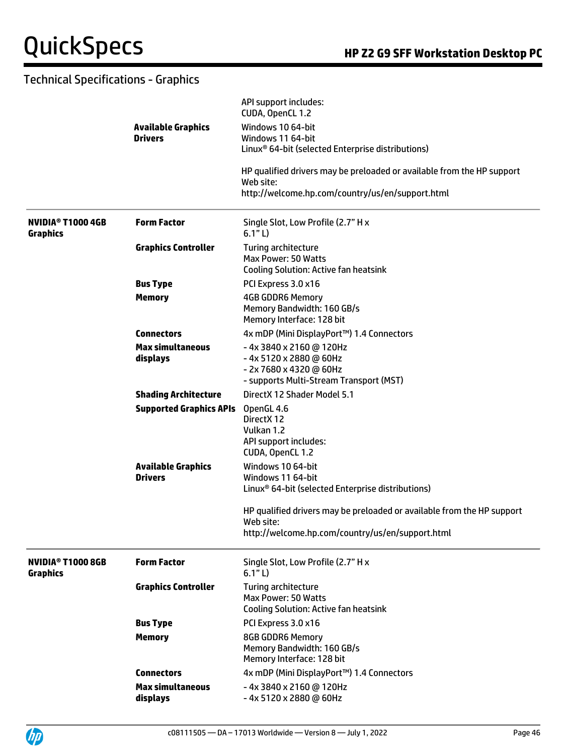|                                                  |                                             | API support includes:<br>CUDA, OpenCL 1.2                                                         |
|--------------------------------------------------|---------------------------------------------|---------------------------------------------------------------------------------------------------|
|                                                  | <b>Available Graphics</b>                   | Windows 10 64-bit                                                                                 |
|                                                  | <b>Drivers</b>                              | Windows 11 64-bit                                                                                 |
|                                                  |                                             | Linux <sup>®</sup> 64-bit (selected Enterprise distributions)                                     |
|                                                  |                                             | HP qualified drivers may be preloaded or available from the HP support<br>Web site:               |
|                                                  |                                             | http://welcome.hp.com/country/us/en/support.html                                                  |
| NVIDIA <sup>®</sup> T1000 4GB<br><b>Graphics</b> | <b>Form Factor</b>                          | Single Slot, Low Profile (2.7" H x<br>6.1" L)                                                     |
|                                                  | <b>Graphics Controller</b>                  | <b>Turing architecture</b><br>Max Power: 50 Watts<br><b>Cooling Solution: Active fan heatsink</b> |
|                                                  | <b>Bus Type</b>                             | PCI Express 3.0 x16                                                                               |
|                                                  | <b>Memory</b>                               | <b>4GB GDDR6 Memory</b>                                                                           |
|                                                  |                                             | Memory Bandwidth: 160 GB/s                                                                        |
|                                                  |                                             | Memory Interface: 128 bit                                                                         |
|                                                  | <b>Connectors</b>                           | 4x mDP (Mini DisplayPort™) 1.4 Connectors                                                         |
|                                                  | <b>Max simultaneous</b>                     | -4x 3840 x 2160 @ 120Hz                                                                           |
|                                                  | displays                                    | -4x 5120 x 2880 @ 60Hz                                                                            |
|                                                  |                                             | - 2x 7680 x 4320 @ 60Hz<br>- supports Multi-Stream Transport (MST)                                |
|                                                  | <b>Shading Architecture</b>                 | DirectX 12 Shader Model 5.1                                                                       |
|                                                  | <b>Supported Graphics APIs</b>              | OpenGL 4.6                                                                                        |
|                                                  |                                             | DirectX 12                                                                                        |
|                                                  |                                             | Vulkan 1.2                                                                                        |
|                                                  |                                             | API support includes:                                                                             |
|                                                  |                                             | CUDA, OpenCL 1.2                                                                                  |
|                                                  | <b>Available Graphics</b><br><b>Drivers</b> | Windows 10 64-bit<br>Windows 11 64-bit                                                            |
|                                                  |                                             | Linux <sup>®</sup> 64-bit (selected Enterprise distributions)                                     |
|                                                  |                                             | HP qualified drivers may be preloaded or available from the HP support                            |
|                                                  |                                             | Web site:                                                                                         |
|                                                  |                                             | http://welcome.hp.com/country/us/en/support.html                                                  |
| <b>NVIDIA<sup>®</sup> T1000 8GB</b>              | <b>Form Factor</b>                          | Single Slot, Low Profile (2.7" H x                                                                |
| <b>Graphics</b>                                  |                                             | 6.1"L)                                                                                            |
|                                                  | <b>Graphics Controller</b>                  | Turing architecture                                                                               |
|                                                  |                                             | Max Power: 50 Watts                                                                               |
|                                                  |                                             | <b>Cooling Solution: Active fan heatsink</b>                                                      |
|                                                  | <b>Bus Type</b>                             | PCI Express 3.0 x16                                                                               |
|                                                  | <b>Memory</b>                               | <b>8GB GDDR6 Memory</b><br>Memory Bandwidth: 160 GB/s<br>Memory Interface: 128 bit                |
|                                                  | <b>Connectors</b>                           | 4x mDP (Mini DisplayPort™) 1.4 Connectors                                                         |
|                                                  | <b>Max simultaneous</b>                     | -4x 3840 x 2160 @ 120Hz                                                                           |
|                                                  | displays                                    | -4x 5120 x 2880 @ 60Hz                                                                            |

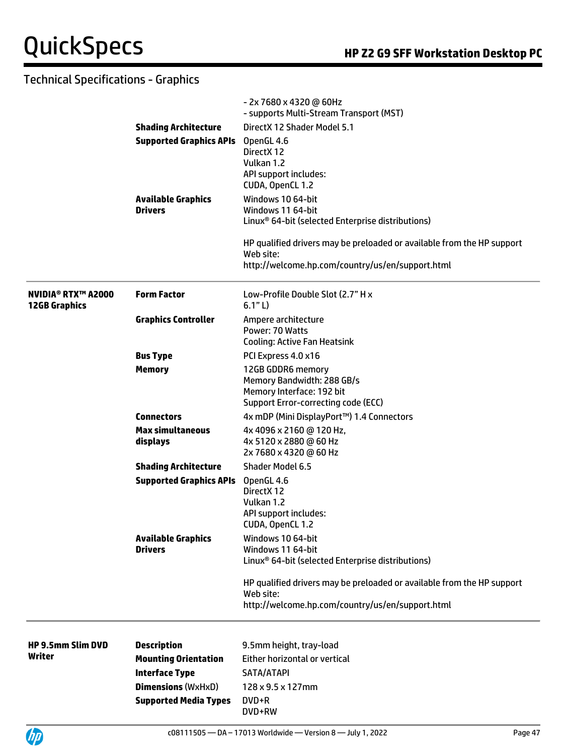|                                                   |                                             | - 2x 7680 x 4320 @ 60Hz<br>- supports Multi-Stream Transport (MST)                                                                      |  |  |
|---------------------------------------------------|---------------------------------------------|-----------------------------------------------------------------------------------------------------------------------------------------|--|--|
|                                                   | <b>Shading Architecture</b>                 | DirectX 12 Shader Model 5.1                                                                                                             |  |  |
|                                                   | <b>Supported Graphics APIs</b>              | OpenGL 4.6<br>DirectX 12<br>Vulkan 1.2<br>API support includes:<br>CUDA, OpenCL 1.2                                                     |  |  |
|                                                   | <b>Available Graphics</b><br><b>Drivers</b> | Windows 10 64-bit<br>Windows 11 64-bit<br>Linux <sup>®</sup> 64-bit (selected Enterprise distributions)                                 |  |  |
|                                                   |                                             | HP qualified drivers may be preloaded or available from the HP support<br>Web site:<br>http://welcome.hp.com/country/us/en/support.html |  |  |
| <b>NVIDIA® RTX™ A2000</b><br><b>12GB Graphics</b> | <b>Form Factor</b>                          | Low-Profile Double Slot (2.7" H x<br>6.1" L)                                                                                            |  |  |
|                                                   | <b>Graphics Controller</b>                  | Ampere architecture<br>Power: 70 Watts<br><b>Cooling: Active Fan Heatsink</b>                                                           |  |  |
|                                                   | <b>Bus Type</b>                             | PCI Express 4.0 x16                                                                                                                     |  |  |
|                                                   | <b>Memory</b>                               | 12GB GDDR6 memory<br>Memory Bandwidth: 288 GB/s<br>Memory Interface: 192 bit<br>Support Error-correcting code (ECC)                     |  |  |
|                                                   | <b>Connectors</b>                           | 4x mDP (Mini DisplayPort™) 1.4 Connectors                                                                                               |  |  |
|                                                   | <b>Max simultaneous</b><br>displays         | 4x 4096 x 2160 @ 120 Hz,<br>4x 5120 x 2880 @ 60 Hz<br>2x 7680 x 4320 @ 60 Hz                                                            |  |  |
|                                                   | <b>Shading Architecture</b>                 | <b>Shader Model 6.5</b>                                                                                                                 |  |  |
|                                                   | <b>Supported Graphics APIs</b>              | OpenGL 4.6<br>DirectX 12<br>Vulkan 1.2<br>API support includes:<br>CUDA, OpenCL 1.2                                                     |  |  |
|                                                   | <b>Available Graphics</b><br><b>Drivers</b> | Windows 10 64-bit<br>Windows 11 64-bit<br>Linux <sup>®</sup> 64-bit (selected Enterprise distributions)                                 |  |  |
|                                                   |                                             | HP qualified drivers may be preloaded or available from the HP support<br>Web site:<br>http://welcome.hp.com/country/us/en/support.html |  |  |
| <b>HP 9.5mm Slim DVD</b>                          | <b>Description</b>                          | 9.5mm height, tray-load                                                                                                                 |  |  |
| Writer                                            | <b>Mounting Orientation</b>                 | Either horizontal or vertical                                                                                                           |  |  |
|                                                   | <b>Interface Type</b>                       | SATA/ATAPI                                                                                                                              |  |  |
|                                                   | <b>Dimensions (WxHxD)</b>                   | 128 x 9.5 x 127mm                                                                                                                       |  |  |
|                                                   | <b>Supported Media Types</b>                | DVD+R<br>DVD+RW                                                                                                                         |  |  |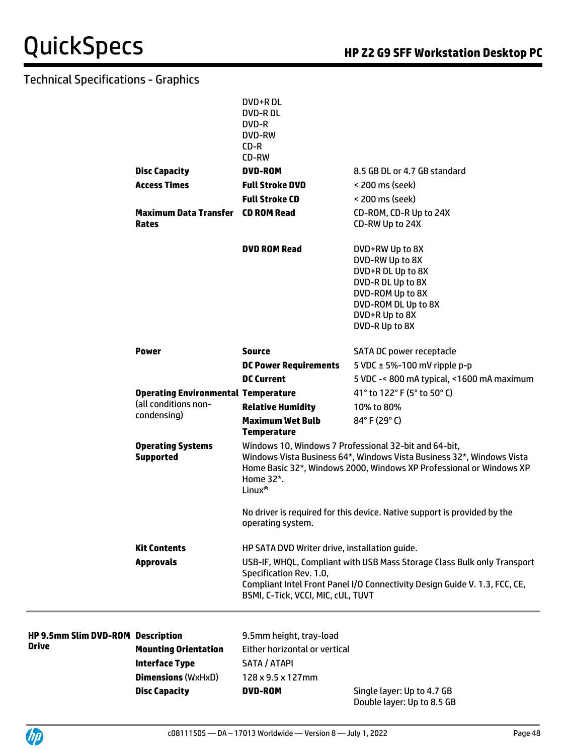|                                              | DVD+R DL<br><b>DVD-RDL</b><br>DVD-R<br>DVD-RW                                            |                                                                                                                                                       |
|----------------------------------------------|------------------------------------------------------------------------------------------|-------------------------------------------------------------------------------------------------------------------------------------------------------|
|                                              | $CD-R$<br>CD-RW                                                                          |                                                                                                                                                       |
| <b>Disc Capacity</b>                         | <b>DVD-ROM</b>                                                                           | 8.5 GB DL or 4.7 GB standard                                                                                                                          |
| <b>Access Times</b>                          | <b>Full Stroke DVD</b>                                                                   | < 200 ms (seek)                                                                                                                                       |
|                                              | <b>Full Stroke CD</b>                                                                    | < 200 ms (seek)                                                                                                                                       |
| <b>Maximum Data Transfer CD ROM Read</b>     |                                                                                          | CD-ROM, CD-R Up to 24X                                                                                                                                |
| <b>Rates</b>                                 |                                                                                          | CD-RW Up to 24X                                                                                                                                       |
|                                              | <b>DVD ROM Read</b>                                                                      | DVD+RW Up to 8X                                                                                                                                       |
|                                              |                                                                                          | DVD-RW Up to 8X                                                                                                                                       |
|                                              |                                                                                          | DVD+R DL Up to 8X<br>DVD-R DL Up to 8X                                                                                                                |
|                                              |                                                                                          | DVD-ROM Up to 8X                                                                                                                                      |
|                                              |                                                                                          | DVD-ROM DL Up to 8X                                                                                                                                   |
|                                              |                                                                                          | DVD+R Up to 8X                                                                                                                                        |
|                                              |                                                                                          | DVD-R Up to 8X                                                                                                                                        |
| <b>Power</b>                                 | <b>Source</b>                                                                            | SATA DC power receptacle                                                                                                                              |
|                                              | <b>DC Power Requirements</b>                                                             | 5 VDC $\pm$ 5%-100 mV ripple p-p                                                                                                                      |
|                                              | <b>DC Current</b>                                                                        | 5 VDC -< 800 mA typical, <1600 mA maximum                                                                                                             |
| <b>Operating Environmental Temperature</b>   |                                                                                          | 41° to 122° F (5° to 50° C)                                                                                                                           |
| (all conditions non-                         | <b>Relative Humidity</b>                                                                 | 10% to 80%                                                                                                                                            |
| condensing)                                  | <b>Maximum Wet Bulb</b><br><b>Temperature</b>                                            | 84°F (29°C)                                                                                                                                           |
| <b>Operating Systems</b><br><b>Supported</b> | Windows 10, Windows 7 Professional 32-bit and 64-bit,<br>Home 32*.<br>Linux <sup>®</sup> | Windows Vista Business 64*, Windows Vista Business 32*, Windows Vista<br>Home Basic 32*, Windows 2000, Windows XP Professional or Windows XP          |
|                                              | operating system.                                                                        | No driver is required for this device. Native support is provided by the                                                                              |
| <b>Kit Contents</b>                          | HP SATA DVD Writer drive, installation guide.                                            |                                                                                                                                                       |
| <b>Approvals</b>                             | Specification Rev. 1.0,<br>BSMI, C-Tick, VCCI, MIC, cUL, TUVT                            | USB-IF, WHQL, Compliant with USB Mass Storage Class Bulk only Transport<br>Compliant Intel Front Panel I/O Connectivity Design Guide V. 1.3, FCC, CE, |
|                                              |                                                                                          |                                                                                                                                                       |
| D-ROM Description                            | 9.5mm height, tray-load                                                                  |                                                                                                                                                       |
| <b>Mounting Orientation</b>                  | Either horizontal or vertical                                                            |                                                                                                                                                       |
|                                              |                                                                                          |                                                                                                                                                       |

| HP 9.5mm Slim DVD-ROM Description<br><b>Drive</b> |                             | 9.5mm height, tray-load        |                            |
|---------------------------------------------------|-----------------------------|--------------------------------|----------------------------|
|                                                   | <b>Mounting Orientation</b> | Either horizontal or vertical  |                            |
|                                                   | Interface Type              | SATA / ATAPI                   |                            |
|                                                   | <b>Dimensions</b> (WxHxD)   | $128 \times 9.5 \times 127$ mm |                            |
|                                                   | <b>Disc Capacity</b>        | <b>DVD-ROM</b>                 | Single layer: Up to 4.7 GB |

Double layer: Up to 8.5 GB

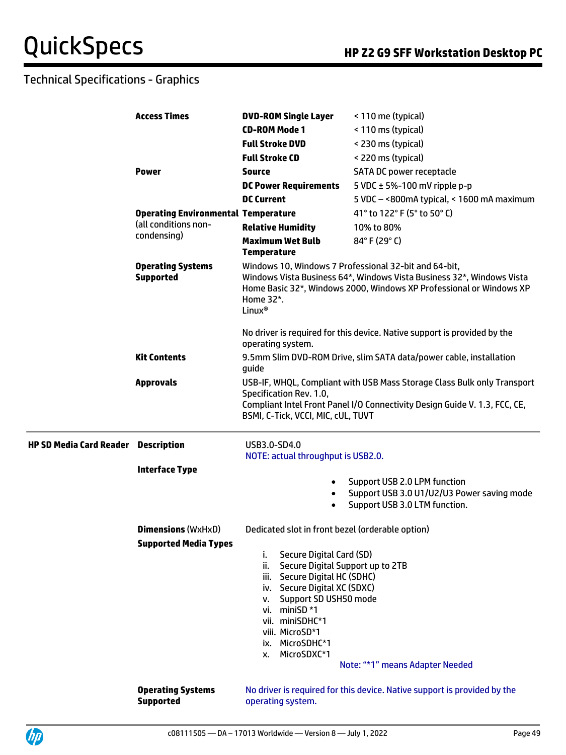|                                            | <b>Access Times</b>                                                                 | <b>DVD-ROM Single Layer</b>                                                                                                                                                                                                                                                                                          | < 110 me (typical)                                                                                                                                    |
|--------------------------------------------|-------------------------------------------------------------------------------------|----------------------------------------------------------------------------------------------------------------------------------------------------------------------------------------------------------------------------------------------------------------------------------------------------------------------|-------------------------------------------------------------------------------------------------------------------------------------------------------|
|                                            |                                                                                     | <b>CD-ROM Mode 1</b>                                                                                                                                                                                                                                                                                                 | < 110 ms (typical)                                                                                                                                    |
|                                            |                                                                                     | <b>Full Stroke DVD</b>                                                                                                                                                                                                                                                                                               | < 230 ms (typical)                                                                                                                                    |
|                                            |                                                                                     | <b>Full Stroke CD</b>                                                                                                                                                                                                                                                                                                | < 220 ms (typical)                                                                                                                                    |
|                                            | <b>Power</b>                                                                        | <b>Source</b>                                                                                                                                                                                                                                                                                                        | <b>SATA DC power receptacle</b>                                                                                                                       |
|                                            |                                                                                     | <b>DC Power Requirements</b>                                                                                                                                                                                                                                                                                         | 5 VDC $\pm$ 5%-100 mV ripple p-p                                                                                                                      |
|                                            |                                                                                     | <b>DC Current</b>                                                                                                                                                                                                                                                                                                    | 5 VDC - < 800mA typical, < 1600 mA maximum                                                                                                            |
|                                            | <b>Operating Environmental Temperature</b>                                          |                                                                                                                                                                                                                                                                                                                      | 41° to 122° F (5° to 50° C)                                                                                                                           |
|                                            | (all conditions non-<br>condensing)<br><b>Operating Systems</b><br><b>Supported</b> | <b>Relative Humidity</b>                                                                                                                                                                                                                                                                                             | 10% to 80%                                                                                                                                            |
|                                            |                                                                                     | <b>Maximum Wet Bulb</b><br><b>Temperature</b>                                                                                                                                                                                                                                                                        | 84°F (29°C)                                                                                                                                           |
|                                            |                                                                                     | Windows 10, Windows 7 Professional 32-bit and 64-bit,<br>Windows Vista Business 64*, Windows Vista Business 32*, Windows Vista<br>Home Basic 32*, Windows 2000, Windows XP Professional or Windows XP<br>Home 32*.<br>Linux <sup>®</sup><br>No driver is required for this device. Native support is provided by the |                                                                                                                                                       |
|                                            |                                                                                     | operating system.                                                                                                                                                                                                                                                                                                    |                                                                                                                                                       |
|                                            | <b>Kit Contents</b>                                                                 | guide                                                                                                                                                                                                                                                                                                                | 9.5mm Slim DVD-ROM Drive, slim SATA data/power cable, installation                                                                                    |
|                                            | <b>Approvals</b>                                                                    | Specification Rev. 1.0,<br>BSMI, C-Tick, VCCI, MIC, cUL, TUVT                                                                                                                                                                                                                                                        | USB-IF, WHQL, Compliant with USB Mass Storage Class Bulk only Transport<br>Compliant Intel Front Panel I/O Connectivity Design Guide V. 1.3, FCC, CE, |
| <b>HP SD Media Card Reader Description</b> |                                                                                     | USB3.0-SD4.0<br>NOTE: actual throughput is USB2.0.                                                                                                                                                                                                                                                                   |                                                                                                                                                       |
|                                            | <b>Interface Type</b>                                                               |                                                                                                                                                                                                                                                                                                                      |                                                                                                                                                       |
|                                            |                                                                                     | $\bullet$                                                                                                                                                                                                                                                                                                            | Support USB 2.0 LPM function<br>Support USB 3.0 U1/U2/U3 Power saving mode<br>Support USB 3.0 LTM function.                                           |
|                                            | <b>Dimensions (WxHxD)</b>                                                           | Dedicated slot in front bezel (orderable option)                                                                                                                                                                                                                                                                     |                                                                                                                                                       |
|                                            | <b>Supported Media Types</b>                                                        | Secure Digital Card (SD)<br>ı.<br>ii. Secure Digital Support up to 2TB<br>iii. Secure Digital HC (SDHC)<br>iv. Secure Digital XC (SDXC)<br>v. Support SD USH50 mode<br>vi. miniSD *1<br>vii. miniSDHC*1<br>viii. MicroSD*1<br>ix. MicroSDHC*1<br>MicroSDXC*1<br>х.                                                   | Note: "*1" means Adapter Needed                                                                                                                       |
|                                            | <b>Operating Systems</b><br><b>Supported</b>                                        | operating system.                                                                                                                                                                                                                                                                                                    | No driver is required for this device. Native support is provided by the                                                                              |

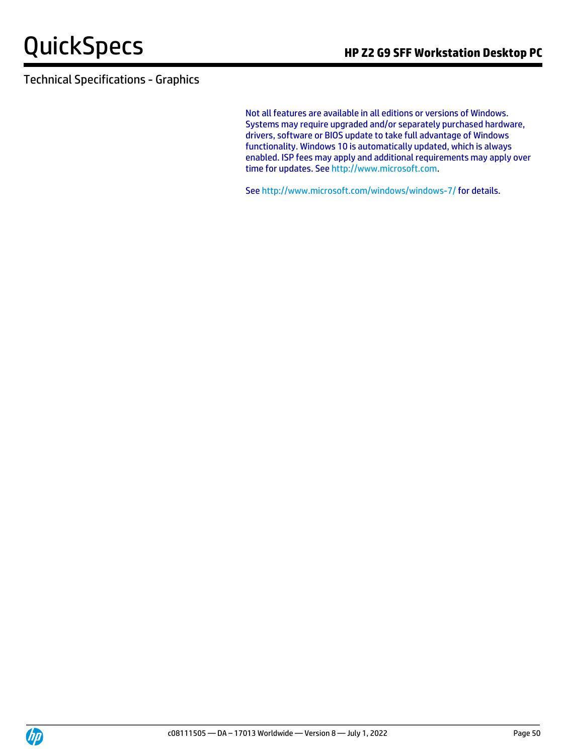Not all features are available in all editions or versions of Windows. Systems may require upgraded and/or separately purchased hardware, drivers, software or BIOS update to take full advantage of Windows functionality. Windows 10 is automatically updated, which is always enabled. ISP fees may apply and additional requirements may apply over time for updates. See [http://www.microsoft.com.](http://www.microsoft.com/)

See http://www.microsoft.com/windows/windows-7/ for details.

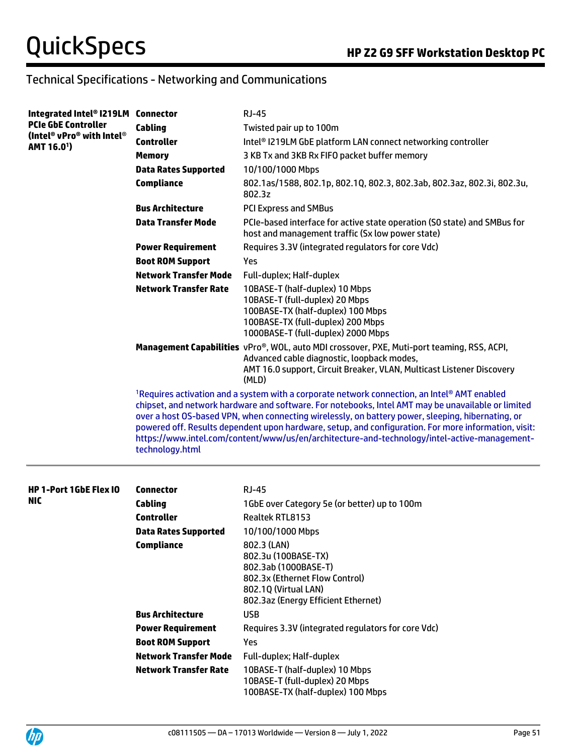| Integrated Intel® I219LM Connector                   |                              | <b>RJ-45</b>                                                                                                                                                                                                                                                                                                                                                                                                                                                                                                    |
|------------------------------------------------------|------------------------------|-----------------------------------------------------------------------------------------------------------------------------------------------------------------------------------------------------------------------------------------------------------------------------------------------------------------------------------------------------------------------------------------------------------------------------------------------------------------------------------------------------------------|
| <b>PCIe GbE Controller</b>                           | Cabling                      | Twisted pair up to 100m                                                                                                                                                                                                                                                                                                                                                                                                                                                                                         |
| (Intel® vPro® with Intel®<br>AMT 16.0 <sup>1</sup> ) | <b>Controller</b>            | Intel® I219LM GbE platform LAN connect networking controller                                                                                                                                                                                                                                                                                                                                                                                                                                                    |
|                                                      | <b>Memory</b>                | 3 KB Tx and 3KB Rx FIFO packet buffer memory                                                                                                                                                                                                                                                                                                                                                                                                                                                                    |
|                                                      | <b>Data Rates Supported</b>  | 10/100/1000 Mbps                                                                                                                                                                                                                                                                                                                                                                                                                                                                                                |
|                                                      | <b>Compliance</b>            | 802.1as/1588, 802.1p, 802.1Q, 802.3, 802.3ab, 802.3az, 802.3i, 802.3u,<br>802.3z                                                                                                                                                                                                                                                                                                                                                                                                                                |
|                                                      | <b>Bus Architecture</b>      | <b>PCI Express and SMBus</b>                                                                                                                                                                                                                                                                                                                                                                                                                                                                                    |
|                                                      | <b>Data Transfer Mode</b>    | PCIe-based interface for active state operation (SO state) and SMBus for<br>host and management traffic (Sx low power state)                                                                                                                                                                                                                                                                                                                                                                                    |
|                                                      | <b>Power Requirement</b>     | Requires 3.3V (integrated regulators for core Vdc)                                                                                                                                                                                                                                                                                                                                                                                                                                                              |
|                                                      | <b>Boot ROM Support</b>      | Yes                                                                                                                                                                                                                                                                                                                                                                                                                                                                                                             |
|                                                      | <b>Network Transfer Mode</b> | Full-duplex; Half-duplex                                                                                                                                                                                                                                                                                                                                                                                                                                                                                        |
|                                                      | <b>Network Transfer Rate</b> | 10BASE-T (half-duplex) 10 Mbps<br>10BASE-T (full-duplex) 20 Mbps<br>100BASE-TX (half-duplex) 100 Mbps<br>100BASE-TX (full-duplex) 200 Mbps<br>1000BASE-T (full-duplex) 2000 Mbps                                                                                                                                                                                                                                                                                                                                |
|                                                      |                              | Management Capabilities vPro®, WOL, auto MDI crossover, PXE, Muti-port teaming, RSS, ACPI,<br>Advanced cable diagnostic, loopback modes,<br>AMT 16.0 support, Circuit Breaker, VLAN, Multicast Listener Discovery<br>(MLD)                                                                                                                                                                                                                                                                                      |
|                                                      | technology.html              | 1Requires activation and a system with a corporate network connection, an Intel® AMT enabled<br>chipset, and network hardware and software. For notebooks, Intel AMT may be unavailable or limited<br>over a host OS-based VPN, when connecting wirelessly, on battery power, sleeping, hibernating, or<br>powered off. Results dependent upon hardware, setup, and configuration. For more information, visit:<br>https://www.intel.com/content/www/us/en/architecture-and-technology/intel-active-management- |
| <b>HP 1-Port 1GbE Flex IO</b>                        | <b>Connector</b>             | <b>RJ-45</b>                                                                                                                                                                                                                                                                                                                                                                                                                                                                                                    |
| NIC                                                  | <b>Cabling</b>               | 1GbE over Category 5e (or better) up to 100m                                                                                                                                                                                                                                                                                                                                                                                                                                                                    |
|                                                      | <b>Controller</b>            | Realtek RTL8153                                                                                                                                                                                                                                                                                                                                                                                                                                                                                                 |
|                                                      | <b>Data Rates Supported</b>  | 10/100/1000 Mbps                                                                                                                                                                                                                                                                                                                                                                                                                                                                                                |
|                                                      | <b>Compliance</b>            | 802.3 (LAN)<br>802.3u (100BASE-TX)<br>802.3ab (1000BASE-T)<br>802.3x (Ethernet Flow Control)<br>802.1Q (Virtual LAN)<br>802.3az (Energy Efficient Ethernet)                                                                                                                                                                                                                                                                                                                                                     |
|                                                      | <b>Bus Architecture</b>      | <b>USB</b>                                                                                                                                                                                                                                                                                                                                                                                                                                                                                                      |
|                                                      | <b>Power Requirement</b>     | Requires 3.3V (integrated regulators for core Vdc)                                                                                                                                                                                                                                                                                                                                                                                                                                                              |
|                                                      | <b>Boot ROM Support</b>      | Yes                                                                                                                                                                                                                                                                                                                                                                                                                                                                                                             |
|                                                      | <b>Network Transfer Mode</b> | Full-duplex; Half-duplex                                                                                                                                                                                                                                                                                                                                                                                                                                                                                        |
|                                                      | <b>Network Transfer Rate</b> | 10BASE-T (half-duplex) 10 Mbps<br>10BASE-T (full-duplex) 20 Mbps<br>100BASE-TX (half-duplex) 100 Mbps                                                                                                                                                                                                                                                                                                                                                                                                           |

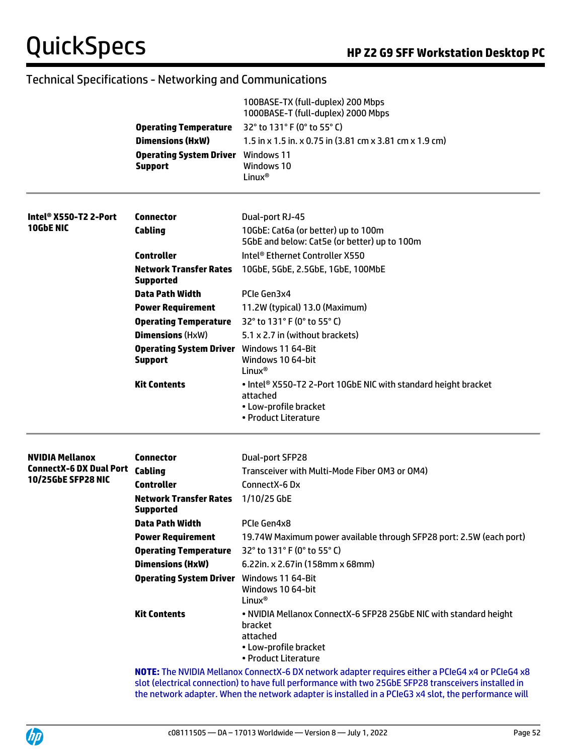|                                   |                                                                             | 100BASE-TX (full-duplex) 200 Mbps<br>1000BASE-T (full-duplex) 2000 Mbps                                                                                                                                                                                                                                          |  |  |
|-----------------------------------|-----------------------------------------------------------------------------|------------------------------------------------------------------------------------------------------------------------------------------------------------------------------------------------------------------------------------------------------------------------------------------------------------------|--|--|
|                                   | <b>Operating Temperature</b>                                                | 32° to 131° F (0° to 55° C)                                                                                                                                                                                                                                                                                      |  |  |
|                                   | <b>Dimensions (HxW)</b><br><b>Operating System Driver</b><br><b>Support</b> | 1.5 in x 1.5 in. x 0.75 in (3.81 cm x 3.81 cm x 1.9 cm)                                                                                                                                                                                                                                                          |  |  |
|                                   |                                                                             | Windows 11<br>Windows 10<br>Linux <sup>®</sup>                                                                                                                                                                                                                                                                   |  |  |
| Intel <sup>®</sup> X550-T2 2-Port | Connector                                                                   | Dual-port RJ-45                                                                                                                                                                                                                                                                                                  |  |  |
| 10GbE NIC                         | Cabling                                                                     | 10GbE: Cat6a (or better) up to 100m<br>5GbE and below: Cat5e (or better) up to 100m                                                                                                                                                                                                                              |  |  |
|                                   | <b>Controller</b>                                                           | Intel® Ethernet Controller X550                                                                                                                                                                                                                                                                                  |  |  |
|                                   | <b>Network Transfer Rates</b><br><b>Supported</b>                           | 10GbE, 5GbE, 2.5GbE, 1GbE, 100MbE                                                                                                                                                                                                                                                                                |  |  |
|                                   | <b>Data Path Width</b>                                                      | PCIe Gen3x4                                                                                                                                                                                                                                                                                                      |  |  |
|                                   | <b>Power Requirement</b>                                                    | 11.2W (typical) 13.0 (Maximum)                                                                                                                                                                                                                                                                                   |  |  |
|                                   | <b>Operating Temperature</b>                                                | 32° to 131° F (0° to 55° C)                                                                                                                                                                                                                                                                                      |  |  |
|                                   | <b>Dimensions (HxW)</b>                                                     | 5.1 x 2.7 in (without brackets)                                                                                                                                                                                                                                                                                  |  |  |
|                                   | <b>Operating System Driver</b> Windows 11 64-Bit<br><b>Support</b>          | Windows 10 64-bit<br>Linux <sup>®</sup>                                                                                                                                                                                                                                                                          |  |  |
|                                   | <b>Kit Contents</b>                                                         | . Intel <sup>®</sup> X550-T2 2-Port 10GbE NIC with standard height bracket<br>attached<br>• Low-profile bracket<br>• Product Literature                                                                                                                                                                          |  |  |
| <b>NVIDIA Mellanox</b>            | Connector                                                                   | Dual-port SFP28                                                                                                                                                                                                                                                                                                  |  |  |
| <b>ConnectX-6 DX Dual Port</b>    | Cabling                                                                     | Transceiver with Multi-Mode Fiber OM3 or OM4)                                                                                                                                                                                                                                                                    |  |  |
| 10/25GbE SFP28 NIC                | <b>Controller</b>                                                           | ConnectX-6 Dx                                                                                                                                                                                                                                                                                                    |  |  |
|                                   | <b>Network Transfer Rates</b><br><b>Supported</b>                           | 1/10/25 GbE                                                                                                                                                                                                                                                                                                      |  |  |
|                                   | <b>Data Path Width</b>                                                      | PCIe Gen4x8                                                                                                                                                                                                                                                                                                      |  |  |
|                                   | <b>Power Requirement</b>                                                    | 19.74W Maximum power available through SFP28 port: 2.5W (each port)                                                                                                                                                                                                                                              |  |  |
|                                   | <b>Operating Temperature</b>                                                | 32° to 131° F (0° to 55° C)                                                                                                                                                                                                                                                                                      |  |  |
|                                   | <b>Dimensions (HxW)</b>                                                     | 6.22in. x 2.67in (158mm x 68mm)                                                                                                                                                                                                                                                                                  |  |  |
|                                   | <b>Operating System Driver</b>                                              | Windows 11 64-Bit<br>Windows 10 64-bit<br>Linux <sup>®</sup>                                                                                                                                                                                                                                                     |  |  |
|                                   | <b>Kit Contents</b>                                                         | . NVIDIA Mellanox ConnectX-6 SFP28 25GbE NIC with standard height<br>bracket<br>attached<br>• Low-profile bracket<br>• Product Literature                                                                                                                                                                        |  |  |
|                                   |                                                                             | NOTE: The NVIDIA Mellanox ConnectX-6 DX network adapter requires either a PCIeG4 x4 or PCIeG4 x8<br>slot (electrical connection) to have full performance with two 25GbE SFP28 transceivers installed in<br>the network adapter. When the network adapter is installed in a PCIeG3 x4 slot, the performance will |  |  |

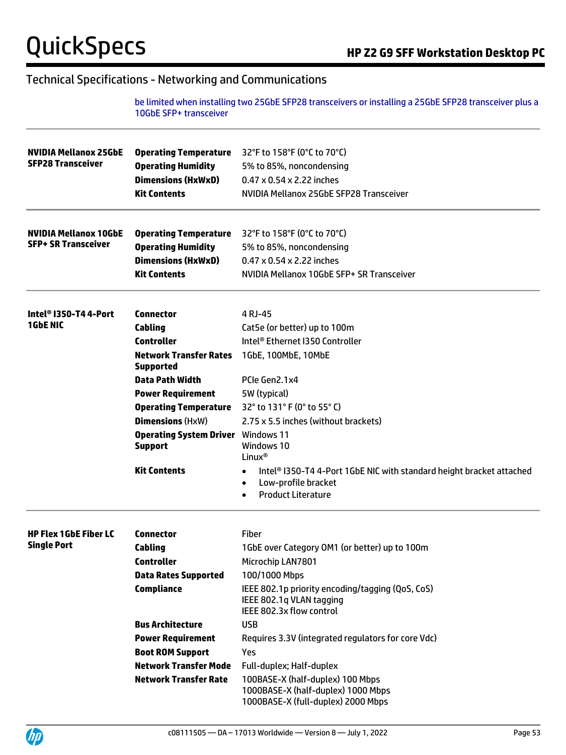be limited when installing two 25GbE SFP28 transceivers or installing a 25GbE SFP28 transceiver plus a 10GbE SFP+ transceiver

| <b>NVIDIA Mellanox 25GbE</b><br><b>SFP28 Transceiver</b>   | <b>Operating Temperature</b><br><b>Operating Humidity</b><br><b>Dimensions (HxWxD)</b><br><b>Kit Contents</b>                     | 32°F to 158°F (0°C to 70°C)<br>5% to 85%, noncondensing<br>0.47 x 0.54 x 2.22 inches<br>NVIDIA Mellanox 25GbE SFP28 Transceiver                                 |  |  |
|------------------------------------------------------------|-----------------------------------------------------------------------------------------------------------------------------------|-----------------------------------------------------------------------------------------------------------------------------------------------------------------|--|--|
| <b>NVIDIA Mellanox 10GbE</b><br><b>SFP+ SR Transceiver</b> | <b>Operating Temperature</b><br><b>Operating Humidity</b><br><b>Dimensions (HxWxD)</b><br><b>Kit Contents</b>                     | 32°F to 158°F (0°C to 70°C)<br>5% to 85%, noncondensing<br>0.47 x 0.54 x 2.22 inches<br>NVIDIA Mellanox 10GbE SFP+ SR Transceiver                               |  |  |
| Intel® I350-T4 4-Port<br><b>1GbE NIC</b>                   | <b>Connector</b><br>Cabling<br><b>Controller</b><br><b>Network Transfer Rates</b>                                                 | 4 RJ-45<br>Cat5e (or better) up to 100m<br>Intel® Ethernet I350 Controller<br>1GbE, 100MbE, 10MbE                                                               |  |  |
|                                                            | <b>Supported</b><br><b>Data Path Width</b><br><b>Power Requirement</b><br><b>Operating Temperature</b><br><b>Dimensions (HxW)</b> | PCIe Gen2.1x4<br>5W (typical)<br>32° to 131° F (0° to 55° C)<br>2.75 x 5.5 inches (without brackets)                                                            |  |  |
|                                                            | <b>Operating System Driver</b> Windows 11<br><b>Support</b>                                                                       | Windows 10<br>Linux <sup>®</sup>                                                                                                                                |  |  |
|                                                            | <b>Kit Contents</b>                                                                                                               | Intel® I350-T4 4-Port 1GbE NIC with standard height bracket attached<br>$\bullet$<br>Low-profile bracket<br>$\bullet$<br><b>Product Literature</b><br>$\bullet$ |  |  |
| <b>HP Flex 1GbE Fiber LC</b>                               | <b>Connector</b>                                                                                                                  | <b>Fiber</b>                                                                                                                                                    |  |  |
| <b>Single Port</b>                                         | <b>Cabling</b>                                                                                                                    | 1GbE over Category OM1 (or better) up to 100m                                                                                                                   |  |  |
|                                                            | <b>Controller</b>                                                                                                                 | Microchip LAN7801                                                                                                                                               |  |  |
|                                                            | <b>Data Rates Supported</b>                                                                                                       | 100/1000 Mbps                                                                                                                                                   |  |  |
|                                                            | <b>Compliance</b>                                                                                                                 | IEEE 802.1p priority encoding/tagging (QoS, CoS)<br>IEEE 802.1g VLAN tagging<br>IEEE 802.3x flow control                                                        |  |  |
|                                                            | <b>Bus Architecture</b>                                                                                                           | <b>USB</b>                                                                                                                                                      |  |  |
|                                                            | <b>Power Requirement</b>                                                                                                          | Requires 3.3V (integrated regulators for core Vdc)                                                                                                              |  |  |
|                                                            | <b>Boot ROM Support</b>                                                                                                           | Yes                                                                                                                                                             |  |  |
|                                                            | <b>Network Transfer Mode</b>                                                                                                      | Full-duplex; Half-duplex                                                                                                                                        |  |  |
|                                                            | <b>Network Transfer Rate</b>                                                                                                      | 100BASE-X (half-duplex) 100 Mbps<br>1000BASE-X (half-duplex) 1000 Mbps<br>1000BASE-X (full-duplex) 2000 Mbps                                                    |  |  |

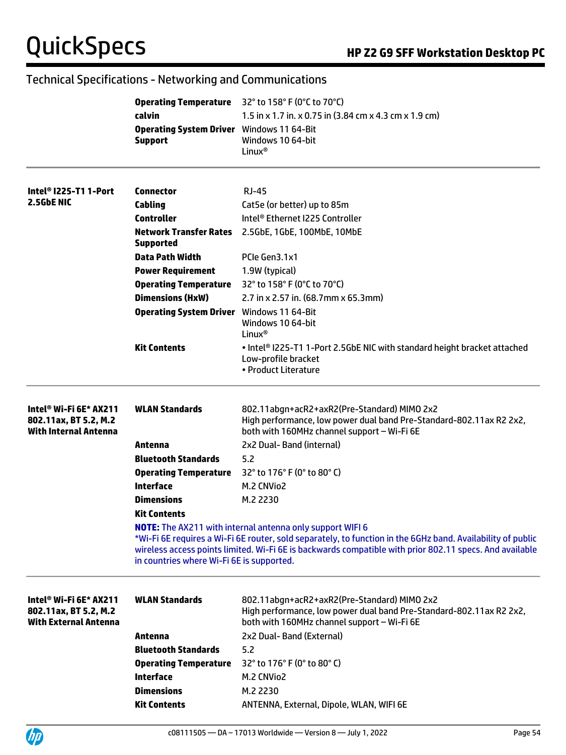|                                                                                 | calvin<br><b>Operating System Driver</b> Windows 11 64-Bit<br><b>Support</b> | <b>Operating Temperature</b> 32° to 158° F (0°C to 70°C)<br>1.5 in x 1.7 in. x 0.75 in (3.84 cm x 4.3 cm x 1.9 cm)<br>Windows 10 64-bit<br>Linux <sup>®</sup>                                                                                                                              |
|---------------------------------------------------------------------------------|------------------------------------------------------------------------------|--------------------------------------------------------------------------------------------------------------------------------------------------------------------------------------------------------------------------------------------------------------------------------------------|
| Intel <sup>®</sup> I225-T1 1-Port<br>2.5GbE NIC                                 | Connector<br>Cabling<br><b>Controller</b>                                    | RJ-45<br>Cat5e (or better) up to 85m<br>Intel <sup>®</sup> Ethernet I225 Controller                                                                                                                                                                                                        |
|                                                                                 | <b>Network Transfer Rates</b><br><b>Supported</b>                            | 2.5GbE, 1GbE, 100MbE, 10MbE                                                                                                                                                                                                                                                                |
|                                                                                 | <b>Data Path Width</b><br><b>Power Requirement</b>                           | PCIe Gen3.1x1<br>1.9W (typical)                                                                                                                                                                                                                                                            |
|                                                                                 | <b>Operating Temperature</b><br><b>Dimensions (HxW)</b>                      | 32° to 158° F (0°C to 70°C)<br>2.7 in x 2.57 in. (68.7mm x 65.3mm)                                                                                                                                                                                                                         |
|                                                                                 | <b>Operating System Driver</b> Windows 11 64-Bit                             | Windows 10 64-bit<br>Linux <sup>®</sup>                                                                                                                                                                                                                                                    |
|                                                                                 | <b>Kit Contents</b>                                                          | . Intel® I225-T1 1-Port 2.5GbE NIC with standard height bracket attached<br>Low-profile bracket<br>• Product Literature                                                                                                                                                                    |
| Intel® Wi-Fi 6E* AX211<br>802.11ax, BT 5.2, M.2<br><b>With Internal Antenna</b> | <b>WLAN Standards</b>                                                        | 802.11abgn+acR2+axR2(Pre-Standard) MIMO 2x2<br>High performance, low power dual band Pre-Standard-802.11ax R2 2x2,<br>both with 160MHz channel support - Wi-Fi 6E                                                                                                                          |
|                                                                                 | Antenna                                                                      | 2x2 Dual- Band (internal)                                                                                                                                                                                                                                                                  |
|                                                                                 | <b>Bluetooth Standards</b>                                                   | 5.2                                                                                                                                                                                                                                                                                        |
|                                                                                 | <b>Operating Temperature</b>                                                 | 32° to 176° F (0° to 80° C)                                                                                                                                                                                                                                                                |
|                                                                                 | <b>Interface</b>                                                             | M.2 CNVio2                                                                                                                                                                                                                                                                                 |
|                                                                                 | <b>Dimensions</b>                                                            | M.2 2230                                                                                                                                                                                                                                                                                   |
|                                                                                 | <b>Kit Contents</b>                                                          |                                                                                                                                                                                                                                                                                            |
|                                                                                 | in countries where Wi-Fi 6E is supported.                                    | <b>NOTE:</b> The AX211 with internal antenna only support WIFI 6<br>*Wi-Fi 6E requires a Wi-Fi 6E router, sold separately, to function in the 6GHz band. Availability of public<br>wireless access points limited. Wi-Fi 6E is backwards compatible with prior 802.11 specs. And available |
| Intel® Wi-Fi 6E* AX211<br>802.11ax, BT 5.2, M.2<br><b>With External Antenna</b> | <b>WLAN Standards</b>                                                        | 802.11abgn+acR2+axR2(Pre-Standard) MIMO 2x2<br>High performance, low power dual band Pre-Standard-802.11ax R2 2x2,<br>both with 160MHz channel support - Wi-Fi 6E                                                                                                                          |
|                                                                                 | Antenna                                                                      | 2x2 Dual-Band (External)                                                                                                                                                                                                                                                                   |
|                                                                                 | <b>Bluetooth Standards</b>                                                   | 5.2                                                                                                                                                                                                                                                                                        |
|                                                                                 | <b>Operating Temperature</b>                                                 | 32° to 176° F (0° to 80° C)                                                                                                                                                                                                                                                                |
|                                                                                 | <b>Interface</b>                                                             | M.2 CNVio2                                                                                                                                                                                                                                                                                 |
|                                                                                 | <b>Dimensions</b>                                                            | M.2 2230                                                                                                                                                                                                                                                                                   |
|                                                                                 | <b>Kit Contents</b>                                                          | ANTENNA, External, Dipole, WLAN, WIFI 6E                                                                                                                                                                                                                                                   |

### Technical Specifications - Networking and Communications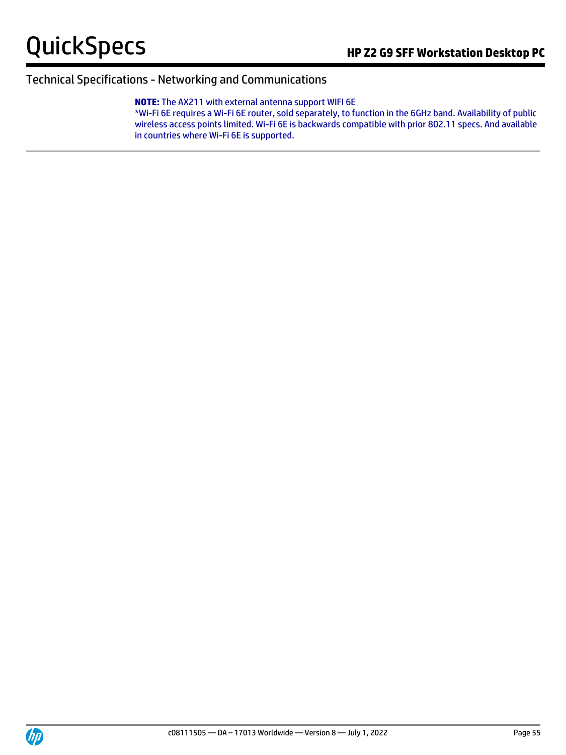#### **NOTE:** The AX211 with external antenna support WIFI 6E

\*Wi-Fi 6E requires a Wi-Fi 6E router, sold separately, to function in the 6GHz band. Availability of public wireless access points limited. Wi-Fi 6E is backwards compatible with prior 802.11 specs. And available in countries where Wi-Fi 6E is supported.

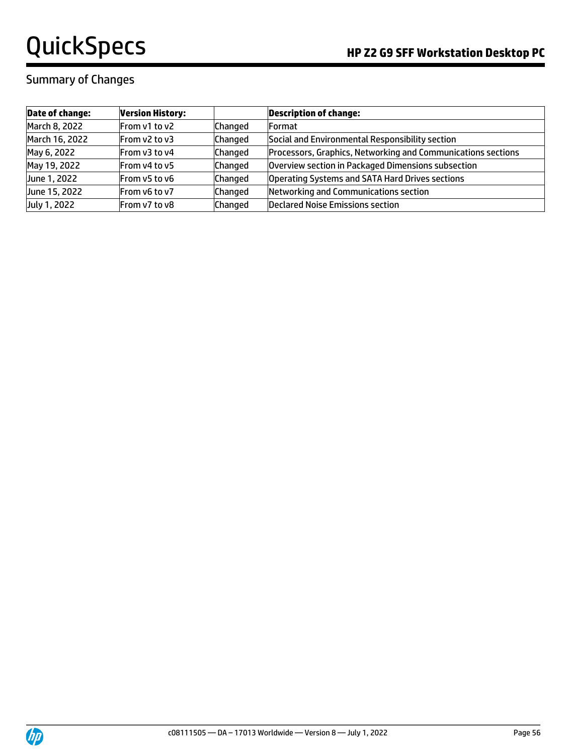### Summary of Changes

| <b>Date of change:</b> | <b>Version History:</b> |                | <b>Description of change:</b>                                |
|------------------------|-------------------------|----------------|--------------------------------------------------------------|
| March 8, 2022          | From v1 to v2           | <b>Changed</b> | <b>Format</b>                                                |
| March 16, 2022         | From v2 to v3           | <b>Changed</b> | Social and Environmental Responsibility section              |
| May 6, 2022            | <b>From v3 to v4</b>    | Changed        | Processors, Graphics, Networking and Communications sections |
| May 19, 2022           | From v4 to v5           | Changed        | Overview section in Packaged Dimensions subsection           |
| June 1, 2022           | From v5 to v6           | Changed        | Operating Systems and SATA Hard Drives sections              |
| June 15, 2022          | <b>From v6 to v7</b>    | Changed        | Networking and Communications section                        |
| July 1, 2022           | From v7 to v8           | Changed        | <b>Declared Noise Emissions section</b>                      |